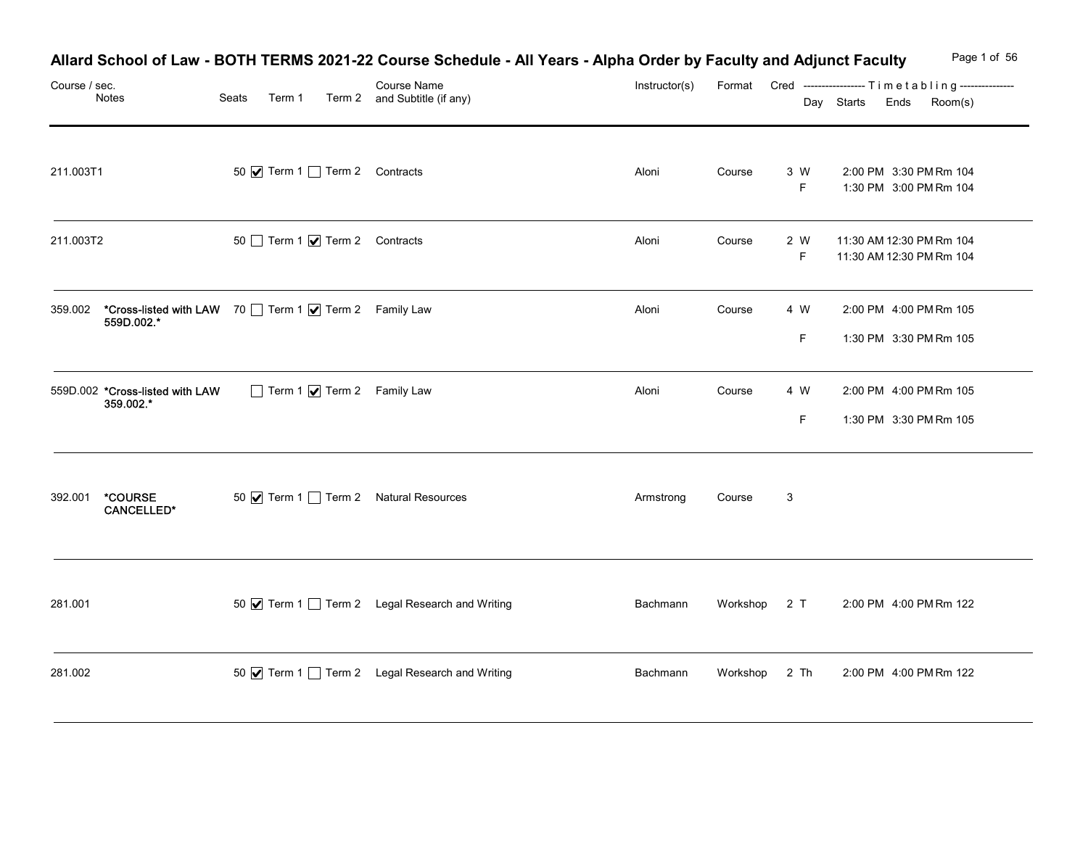| Course / sec.                                                                 |       |        | Allard School of Law - BOTH TERMS 2021-22 Course Schedule - All Years - Alpha Order by Faculty and Adjunct Faculty<br>Course Name | Instructor(s) |               |                    | Page 1 of 56<br>Format Cred ----------------- Timetabling--------------- |
|-------------------------------------------------------------------------------|-------|--------|-----------------------------------------------------------------------------------------------------------------------------------|---------------|---------------|--------------------|--------------------------------------------------------------------------|
| Notes                                                                         | Seats | Term 1 | Term 2 and Subtitle (if any)                                                                                                      |               |               |                    | Day Starts Ends<br>Room(s)                                               |
| 211.003T1                                                                     |       |        | 50 V Term 1 Term 2 Contracts                                                                                                      | Aloni         | Course        | 3 W<br>F           | 2:00 PM 3:30 PM Rm 104<br>1:30 PM 3:00 PM Rm 104                         |
| 211.003T2                                                                     |       |        | 50 Term 1 7 Term 2 Contracts                                                                                                      | Aloni         | Course        | 2 W<br>F.          | 11:30 AM 12:30 PM Rm 104<br>11:30 AM 12:30 PM Rm 104                     |
| *Cross-listed with LAW 70 Term 1 7 Term 2 Family Law<br>359.002<br>559D.002.* |       |        |                                                                                                                                   | Aloni         | Course        | 4 W<br>F.          | 2:00 PM 4:00 PM Rm 105<br>1:30 PM 3:30 PM Rm 105                         |
| 559D.002 *Cross-listed with LAW<br>359.002.*                                  |       |        | $\Box$ Term 1 $\bigvee$ Term 2 Family Law                                                                                         | Aloni         | Course        | 4 W<br>$\mathsf F$ | 2:00 PM 4:00 PM Rm 105<br>1:30 PM 3:30 PM Rm 105                         |
| *COURSE<br>392.001<br><b>CANCELLED*</b>                                       |       |        | 50 $\sqrt{ }$ Term 1 $\Box$ Term 2 Natural Resources                                                                              | Armstrong     | Course        | $\mathbf{3}$       |                                                                          |
| 281.001                                                                       |       |        | 50 Ø Term 1 □ Term 2 Legal Research and Writing                                                                                   | Bachmann      | Workshop 2 T  |                    | 2:00 PM 4:00 PM Rm 122                                                   |
| 281.002                                                                       |       |        | 50 √ Term 1 1 Term 2 Legal Research and Writing                                                                                   | Bachmann      | Workshop 2 Th |                    | 2:00 PM 4:00 PM Rm 122                                                   |

#### Allard School of Law - BOTH TERMS 2021-22 Course Schedule - All Years - Alpha Order by Faculty and Adjunct Faculty Page 1 of 56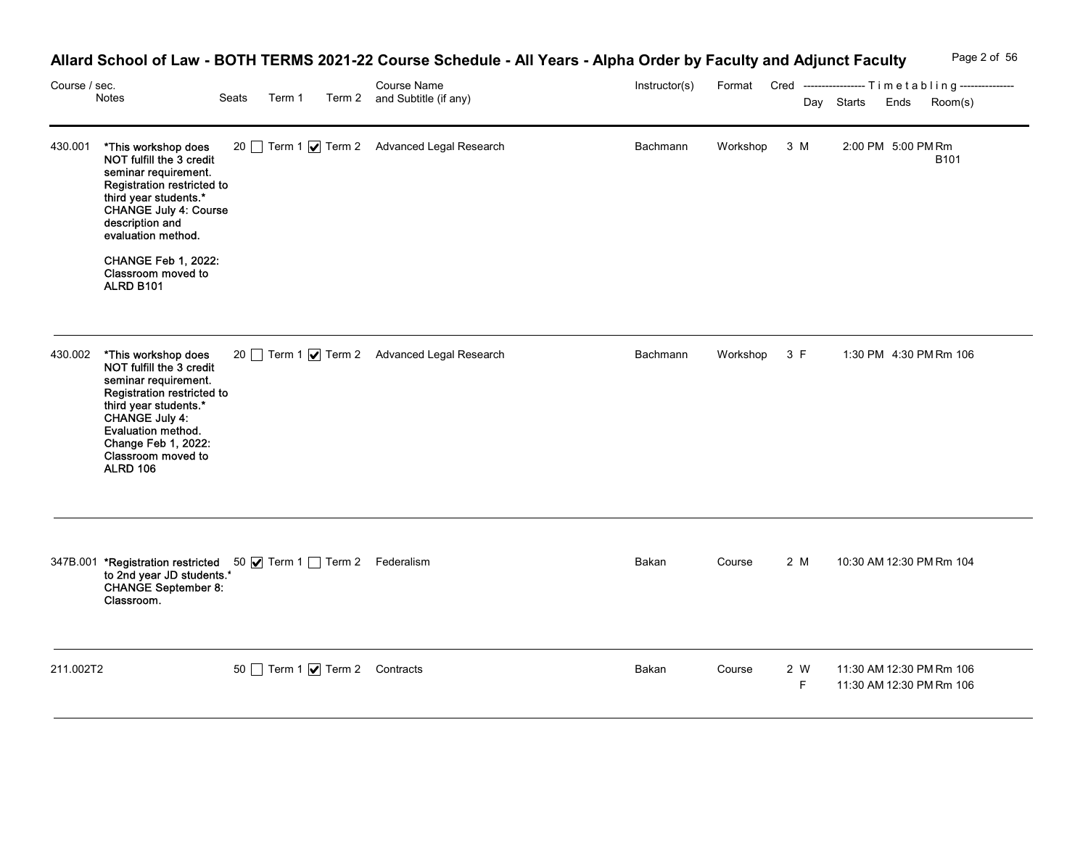| Page 2 of 56<br><b>Allard School of Law -</b><br>v - BOTH TERMS 2021-22 Course Schedule -<br>- All Years - Alpha Order by Faculty and Adjunct Faculty |
|-------------------------------------------------------------------------------------------------------------------------------------------------------|
|-------------------------------------------------------------------------------------------------------------------------------------------------------|

|               |                                                                                                                                                                                                                                                                           |                              | Allard School of Law - BOTH TERMS 2021-22 Course Schedule - All Years - Alpha Order by Faculty and Adjunct Faculty |               |              |           | Page 2 of 56                                                                          |
|---------------|---------------------------------------------------------------------------------------------------------------------------------------------------------------------------------------------------------------------------------------------------------------------------|------------------------------|--------------------------------------------------------------------------------------------------------------------|---------------|--------------|-----------|---------------------------------------------------------------------------------------|
| Course / sec. | Notes                                                                                                                                                                                                                                                                     | Seats<br>Term 1              | Course Name<br>Term 2 and Subtitle (if any)                                                                        | Instructor(s) |              |           | Format Cred -----------------Timetabling---------------<br>Day Starts Ends<br>Room(s) |
|               | 430.001 *This workshop does<br>NOT fulfill the 3 credit<br>seminar requirement.<br>Registration restricted to<br>third year students.*<br>CHANGE July 4: Course<br>description and<br>evaluation method.<br><b>CHANGE Feb 1, 2022:</b><br>Classroom moved to<br>ALRD B101 |                              | 20 Term 1 Ø Term 2 Advanced Legal Research                                                                         | Bachmann      | Workshop 3 M |           | 2:00 PM 5:00 PM Rm<br>B101                                                            |
|               | 430.002 *This workshop does<br>NOT fulfill the 3 credit<br>seminar requirement.<br>Registration restricted to<br>third year students.*<br>CHANGE July 4:<br>Evaluation method.<br>Change Feb 1, 2022:<br>Classroom moved to<br><b>ALRD 106</b>                            |                              | 20 Term 1 <b>V</b> Term 2 Advanced Legal Research                                                                  | Bachmann      | Workshop 3 F |           | 1:30 PM 4:30 PM Rm 106                                                                |
|               | 347B.001 <b>*Registration restricted</b> 50 <b>Ø</b> Term 1 <b>□</b> Term 2 Federalism<br>to 2nd year JD students. <sup>*</sup><br>CHANGE September 8:<br>Classroom.                                                                                                      |                              |                                                                                                                    | Bakan         | Course       | 2 M       | 10:30 AM 12:30 PM Rm 104                                                              |
| 211.002T2     |                                                                                                                                                                                                                                                                           | 50 Term 1 7 Term 2 Contracts |                                                                                                                    | Bakan         | Course       | 2 W<br>F. | 11:30 AM 12:30 PM Rm 106<br>11:30 AM 12:30 PM Rm 106                                  |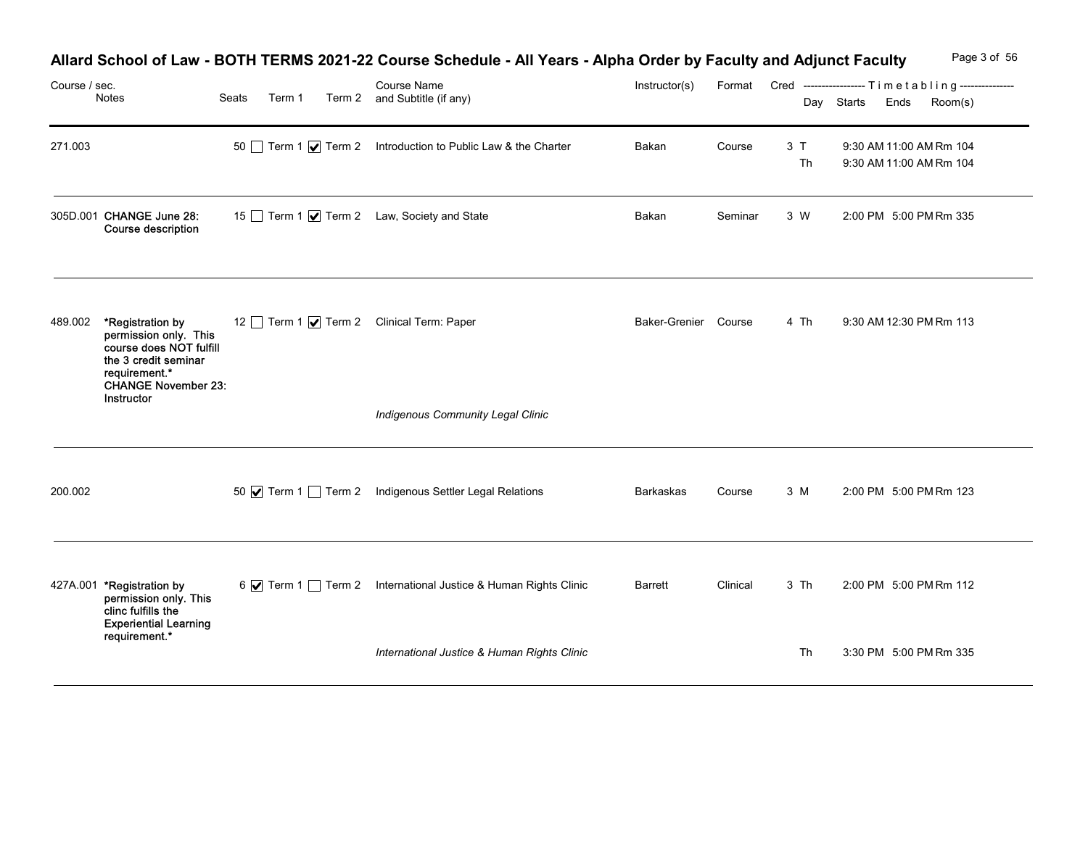| Course / sec. | Notes                                                                                                         | Seats | Term 1 | Allard School of Law - BOTH TERMS 2021-22 Course Schedule - All Years - Alpha Order by Faculty and Adjunct Faculty<br>Course Name<br>Term 2 and Subtitle (if any) | Instructor(s)                            |          |          | Page 3 of 56<br>Format Cred ----------------- Timetabling---------------         |  |
|---------------|---------------------------------------------------------------------------------------------------------------|-------|--------|-------------------------------------------------------------------------------------------------------------------------------------------------------------------|------------------------------------------|----------|----------|----------------------------------------------------------------------------------|--|
| 271.003       |                                                                                                               |       |        | 50 Term 1 7 Term 2 Introduction to Public Law & the Charter                                                                                                       | Bakan                                    | Course   | 3T<br>Th | Day Starts Ends<br>Room(s)<br>9:30 AM 11:00 AM Rm 104<br>9:30 AM 11:00 AM Rm 104 |  |
|               | 305D.001 CHANGE June 28:<br>Course description                                                                |       |        | 15 Term 1 Ø Term 2 Law, Society and State                                                                                                                         | Bakan                                    | Seminar  | 3 W      | 2:00 PM 5:00 PM Rm 335                                                           |  |
| 489.002       | *Registration by<br>permission only. This<br>course does NOT fulfill<br>the 3 credit seminar<br>requirement.* |       |        | 12 Term 1 Ø Term 2 Clinical Term: Paper                                                                                                                           | Baker-Grenier Course                     |          | 4 Th     | 9:30 AM 12:30 PM Rm 113                                                          |  |
|               | <b>CHANGE November 23:</b><br>Instructor                                                                      |       |        |                                                                                                                                                                   | <b>Indigenous Community Legal Clinic</b> |          |          |                                                                                  |  |
| 200.002       |                                                                                                               |       |        | 50 V Term 1 Term 2 Indigenous Settler Legal Relations                                                                                                             | Barkaskas                                | Course   | 3 M      | 2:00 PM 5:00 PM Rm 123                                                           |  |
|               | 427A.001 *Registration by<br>permission only. This<br>clinc fulfills the                                      |       |        | 6 7 Term 1 Term 2 International Justice & Human Rights Clinic                                                                                                     | Barrett                                  | Clinical | 3 Th     | 2:00 PM 5:00 PM Rm 112                                                           |  |
|               | <b>Experiential Learning</b><br>requirement.*                                                                 |       |        | International Justice & Human Rights Clinic                                                                                                                       |                                          |          | Th       | 3:30 PM 5:00 PM Rm 335                                                           |  |

#### Allard School of Law - BOTH TERMS 2021-22 Course Schedule - All Years - Alpha Order by Faculty and Adjunct Faculty Page 3 of 56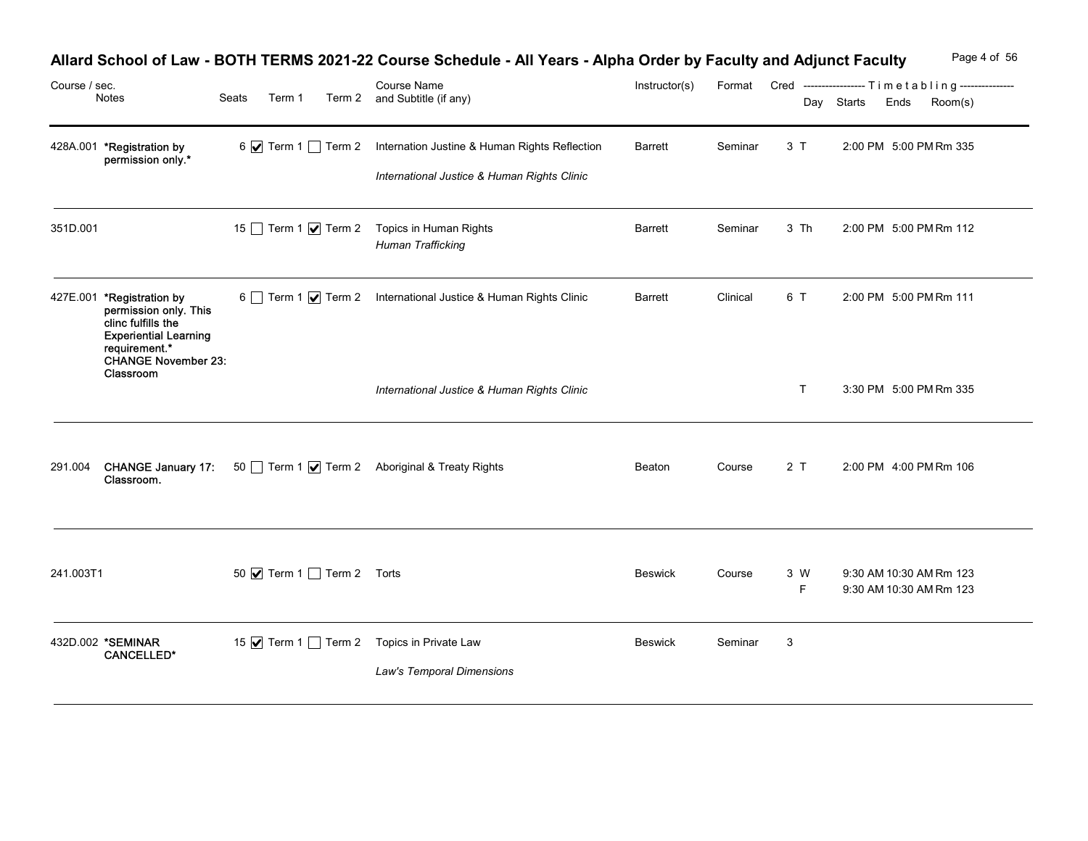|               |                                                                                                                                                  |                                 | Allard School of Law - BOTH TERMS 2021-22 Course Schedule - All Years - Alpha Order by Faculty and Adjunct Faculty |               |          |                                                  |            |      | Page 4 of 56                                       |
|---------------|--------------------------------------------------------------------------------------------------------------------------------------------------|---------------------------------|--------------------------------------------------------------------------------------------------------------------|---------------|----------|--------------------------------------------------|------------|------|----------------------------------------------------|
| Course / sec. | Notes                                                                                                                                            | Seats<br>Term 1                 | Course Name<br>Term 2 and Subtitle (if any)                                                                        | Instructor(s) | Format   | Cred -----------------Timetabling--------------- | Day Starts | Ends | Room(s)                                            |
|               | 428A.001 *Registration by<br>permission only.*                                                                                                   |                                 | 6 7 Term 1 Term 2 Internation Justine & Human Rights Reflection<br>International Justice & Human Rights Clinic     | Barrett       | Seminar  | 3T                                               |            |      | 2:00 PM 5:00 PM Rm 335                             |
| 351D.001      |                                                                                                                                                  |                                 | 15 Term 1 <b>V</b> Term 2 Topics in Human Rights<br><b>Human Trafficking</b>                                       | Barrett       | Seminar  | 3 Th                                             |            |      | 2:00 PM 5:00 PM Rm 112                             |
|               | 427E.001 *Registration by<br>permission only. This<br>clinc fulfills the<br><b>Experiential Learning</b><br>requirement.*<br>CHANGE November 23: |                                 | 6 Term 1 √ Term 2 International Justice & Human Rights Clinic                                                      | Barrett       | Clinical | 6 T                                              |            |      | 2:00 PM 5:00 PM Rm 111                             |
|               | Classroom                                                                                                                                        |                                 | International Justice & Human Rights Clinic                                                                        |               |          | $\top$                                           |            |      | 3:30 PM 5:00 PM Rm 335                             |
|               | Classroom.                                                                                                                                       |                                 | 291.004 CHANGE January 17: 50 Term 1   Term 2 Aboriginal & Treaty Rights                                           | Beaton        | Course   | 2T                                               |            |      | 2:00 PM 4:00 PM Rm 106                             |
| 241.003T1     |                                                                                                                                                  | 50 <b>V</b> Term 1 Term 2 Torts |                                                                                                                    | Beswick       | Course   | 3 W<br>F                                         |            |      | 9:30 AM 10:30 AM Rm 123<br>9:30 AM 10:30 AM Rm 123 |
|               | 432D.002 *SEMINAR<br><b>CANCELLED*</b>                                                                                                           |                                 | 15 √ Term 1 1 Term 2 Topics in Private Law<br>Law's Temporal Dimensions                                            | Beswick       | Seminar  | $\mathbf{3}$                                     |            |      |                                                    |

# Allard School of Law - BOTH TERMS 2021-22 Course Schedule - All Years - Alpha Order by Faculty and Adjunct Faculty Page 4 of 56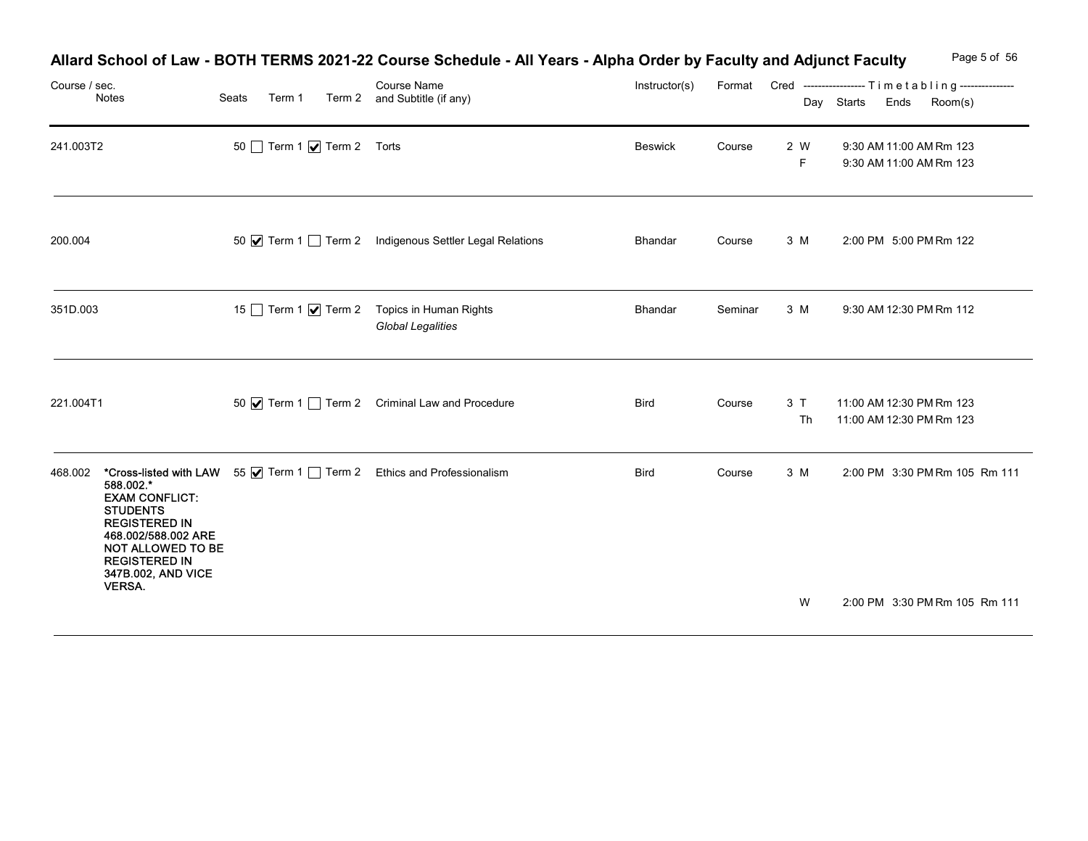| Course / sec. | Notes                                                                                                                                                                                    | Seats | Allard School of Law - BOTH TERMS 2021-22 Course Schedule - All Years - Alpha Order by Faculty and Adjunct Faculty<br>Course Name<br>Term 1 Term 2 and Subtitle (if any) | Instructor(s) |         |          | Page 5 of 56<br>Format Cred ----------------- Timetabling---------------<br>Day Starts<br>Room(s)<br>Ends |
|---------------|------------------------------------------------------------------------------------------------------------------------------------------------------------------------------------------|-------|--------------------------------------------------------------------------------------------------------------------------------------------------------------------------|---------------|---------|----------|-----------------------------------------------------------------------------------------------------------|
| 241.003T2     |                                                                                                                                                                                          |       | 50 Term 1 7 Term 2 Torts                                                                                                                                                 | Beswick       | Course  | 2 W<br>F | 9:30 AM 11:00 AM Rm 123<br>9:30 AM 11:00 AM Rm 123                                                        |
| 200.004       |                                                                                                                                                                                          |       | 50 V Term 1 Term 2 Indigenous Settler Legal Relations                                                                                                                    | Bhandar       | Course  | 3 M      | 2:00 PM 5:00 PM Rm 122                                                                                    |
| 351D.003      |                                                                                                                                                                                          |       | 15 Term 1 <b>V</b> Term 2 Topics in Human Rights<br><b>Global Legalities</b>                                                                                             | Bhandar       | Seminar | 3 M      | 9:30 AM 12:30 PM Rm 112                                                                                   |
| 221.004T1     |                                                                                                                                                                                          |       | 50 $\sqrt{ }$ Term 1 Term 2 Criminal Law and Procedure                                                                                                                   | <b>Bird</b>   | Course  | 3T<br>Th | 11:00 AM 12:30 PM Rm 123<br>11:00 AM 12:30 PM Rm 123                                                      |
|               | 588.002.*<br><b>EXAM CONFLICT:</b><br><b>STUDENTS</b><br><b>REGISTERED IN</b><br>468.002/588.002 ARE<br>NOT ALLOWED TO BE<br><b>REGISTERED IN</b><br>347B.002, AND VICE<br><b>VERSA.</b> |       | 468.002 *Cross-listed with LAW 55 V Term 1 Term 2 Ethics and Professionalism                                                                                             | Bird          | Course  | 3 M      | 2:00 PM 3:30 PM Rm 105 Rm 111                                                                             |
|               |                                                                                                                                                                                          |       |                                                                                                                                                                          |               |         | W        | 2:00 PM 3:30 PM Rm 105 Rm 111                                                                             |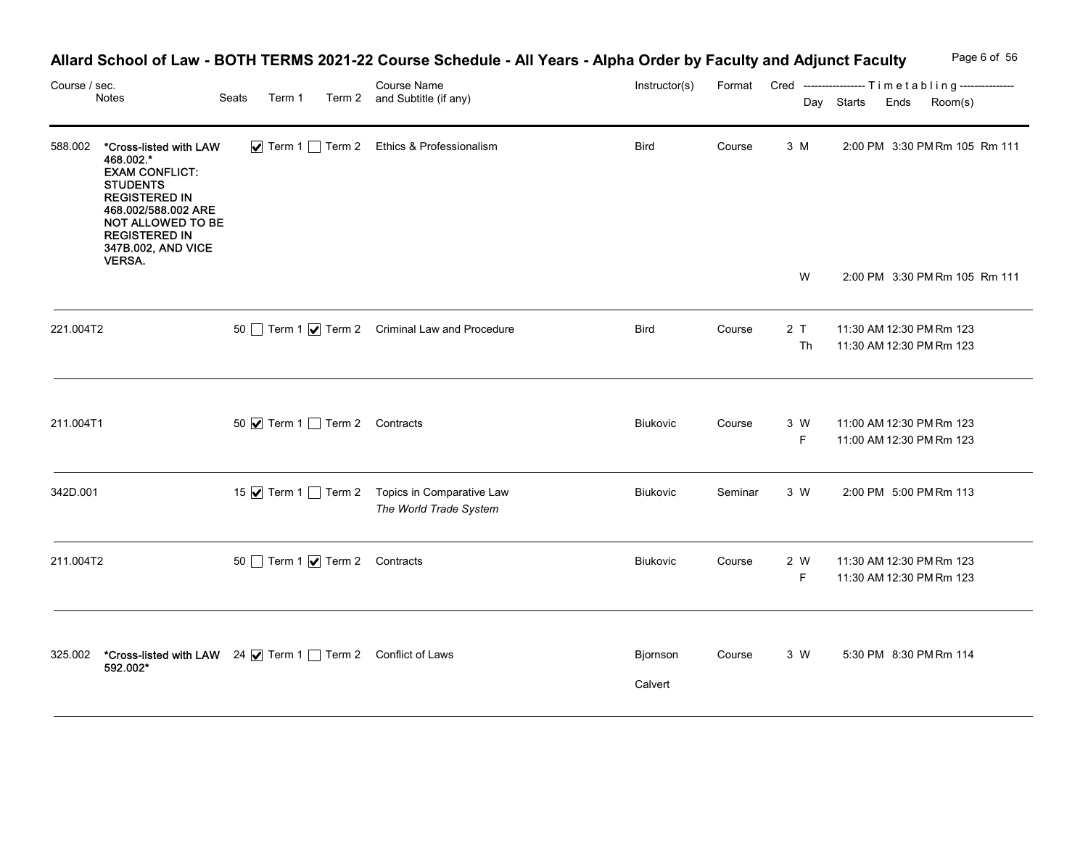|               |                                                                                                                                                                                                                    |                                | Allard School of Law - BOTH TERMS 2021-22 Course Schedule - All Years - Alpha Order by Faculty and Adjunct Faculty |                     |         |                    |            | Page 6 of 56                                                               |
|---------------|--------------------------------------------------------------------------------------------------------------------------------------------------------------------------------------------------------------------|--------------------------------|--------------------------------------------------------------------------------------------------------------------|---------------------|---------|--------------------|------------|----------------------------------------------------------------------------|
| Course / sec. | Notes                                                                                                                                                                                                              | Seats<br>Term 1                | <b>Course Name</b><br>Term 2 and Subtitle (if any)                                                                 | Instructor(s)       |         |                    | Day Starts | Format Cred -----------------Timetabling---------------<br>Room(s)<br>Ends |
| 588.002       | *Cross-listed with LAW<br>468.002.*<br><b>EXAM CONFLICT:</b><br><b>STUDENTS</b><br><b>REGISTERED IN</b><br>468.002/588.002 ARE<br>NOT ALLOWED TO BE<br><b>REGISTERED IN</b><br>347B.002, AND VICE<br><b>VERSA.</b> |                                | ▼ Term 1 Term 2 Ethics & Professionalism                                                                           | <b>Bird</b>         | Course  | 3 M                |            | 2:00 PM 3:30 PM Rm 105 Rm 111                                              |
|               |                                                                                                                                                                                                                    |                                |                                                                                                                    |                     |         | W                  |            | 2:00 PM 3:30 PM Rm 105 Rm 111                                              |
| 221.004T2     |                                                                                                                                                                                                                    |                                | 50 Term 1 $\sqrt{ }$ Term 2 Criminal Law and Procedure                                                             | Bird                | Course  | 2 T<br>Th          |            | 11:30 AM 12:30 PM Rm 123<br>11:30 AM 12:30 PM Rm 123                       |
| 211.004T1     |                                                                                                                                                                                                                    | 50 Ø Term 1 □ Term 2 Contracts |                                                                                                                    | Biukovic            | Course  | 3 W<br>$\mathsf F$ |            | 11:00 AM 12:30 PM Rm 123<br>11:00 AM 12:30 PM Rm 123                       |
| 342D.001      |                                                                                                                                                                                                                    |                                | 15 Ø Term 1 □ Term 2 Topics in Comparative Law<br>The World Trade System                                           | Biukovic            | Seminar | 3 W                |            | 2:00 PM 5:00 PM Rm 113                                                     |
| 211.004T2     |                                                                                                                                                                                                                    | 50 Term 1 Ø Term 2 Contracts   |                                                                                                                    | Biukovic            | Course  | 2 W<br>F           |            | 11:30 AM 12:30 PM Rm 123<br>11:30 AM 12:30 PM Rm 123                       |
| 325.002       | *Cross-listed with LAW 24 V Term 1 Term 2 Conflict of Laws<br>592.002*                                                                                                                                             |                                |                                                                                                                    | Bjornson<br>Calvert | Course  | 3 W                |            | 5:30 PM 8:30 PM Rm 114                                                     |

## Allard School of Law - BOTH TERMS 2021-22 Course Schedule - All Years - Alpha Order by Faculty and Adjunct Faculty Page 6 of 56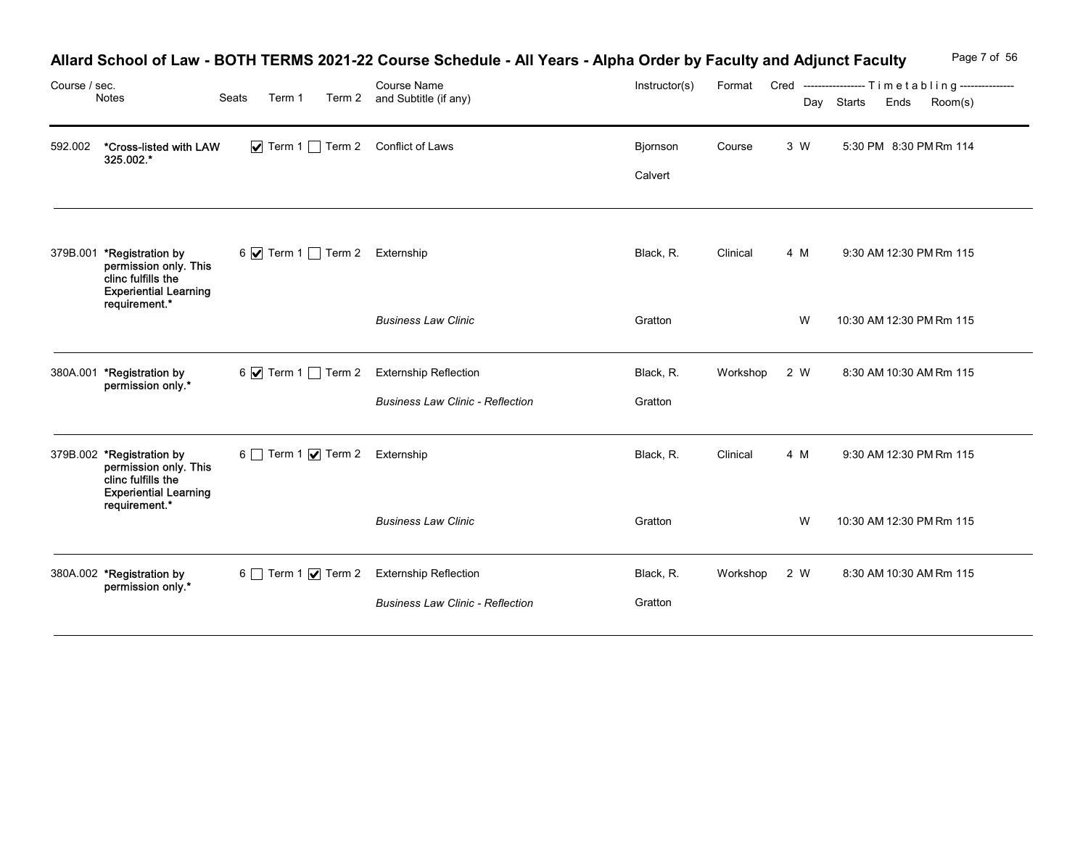| Course / sec. |                                                                                                                  |       |        | Allard School of Law - BOTH TERMS 2021-22 Course Schedule - All Years - Alpha Order by Faculty and Adjunct Faculty<br><b>Course Name</b> | Instructor(s)       |              |     | Page 7 of 56<br>Format Cred -----------------Timetabling--------------- |
|---------------|------------------------------------------------------------------------------------------------------------------|-------|--------|------------------------------------------------------------------------------------------------------------------------------------------|---------------------|--------------|-----|-------------------------------------------------------------------------|
|               | Notes                                                                                                            | Seats | Term 1 | Term 2 and Subtitle (if any)                                                                                                             |                     |              |     | Day Starts<br>Ends<br>Room(s)                                           |
| 592.002       | *Cross-listed with LAW<br>325.002.*                                                                              |       |        | Term 1 Term 2 Conflict of Laws                                                                                                           | Bjornson<br>Calvert | Course       | 3 W | 5:30 PM 8:30 PM Rm 114                                                  |
| 379B.001      | *Registration by<br>permission only. This<br>clinc fulfills the<br><b>Experiential Learning</b><br>requirement.* |       |        | 6 7 Term 1 Term 2 Externship                                                                                                             | Black, R.           | Clinical     | 4 M | 9:30 AM 12:30 PM Rm 115                                                 |
|               |                                                                                                                  |       |        | <b>Business Law Clinic</b>                                                                                                               | Gratton             |              | W   | 10:30 AM 12:30 PM Rm 115                                                |
|               | 380A.001 *Registration by<br>permission only.*                                                                   |       |        | 6 √ Term 1 ◯ Term 2 Externship Reflection                                                                                                | Black, R.           | Workshop 2 W |     | 8:30 AM 10:30 AM Rm 115                                                 |
|               |                                                                                                                  |       |        | <b>Business Law Clinic - Reflection</b>                                                                                                  | Gratton             |              |     |                                                                         |
|               | 379B.002 *Registration by<br>permission only. This<br>clinc fulfills the<br><b>Experiential Learning</b>         |       |        | 6 Term 1 Ø Term 2 Externship                                                                                                             | Black, R.           | Clinical     | 4 M | 9:30 AM 12:30 PM Rm 115                                                 |
|               | requirement.*                                                                                                    |       |        | <b>Business Law Clinic</b>                                                                                                               | Gratton             |              | W   | 10:30 AM 12:30 PM Rm 115                                                |
|               | 380A.002 *Registration by                                                                                        |       |        | 6 Term 1 Ø Term 2 Externship Reflection                                                                                                  | Black, R.           | Workshop 2 W |     | 8:30 AM 10:30 AM Rm 115                                                 |
|               | permission only.*                                                                                                |       |        | <b>Business Law Clinic - Reflection</b>                                                                                                  | Gratton             |              |     |                                                                         |

## Allard School of Law - BOTH TERMS 2021-22 Course Schedule - All Years - Alpha Order by Faculty and Adjunct Faculty Page 7 of 56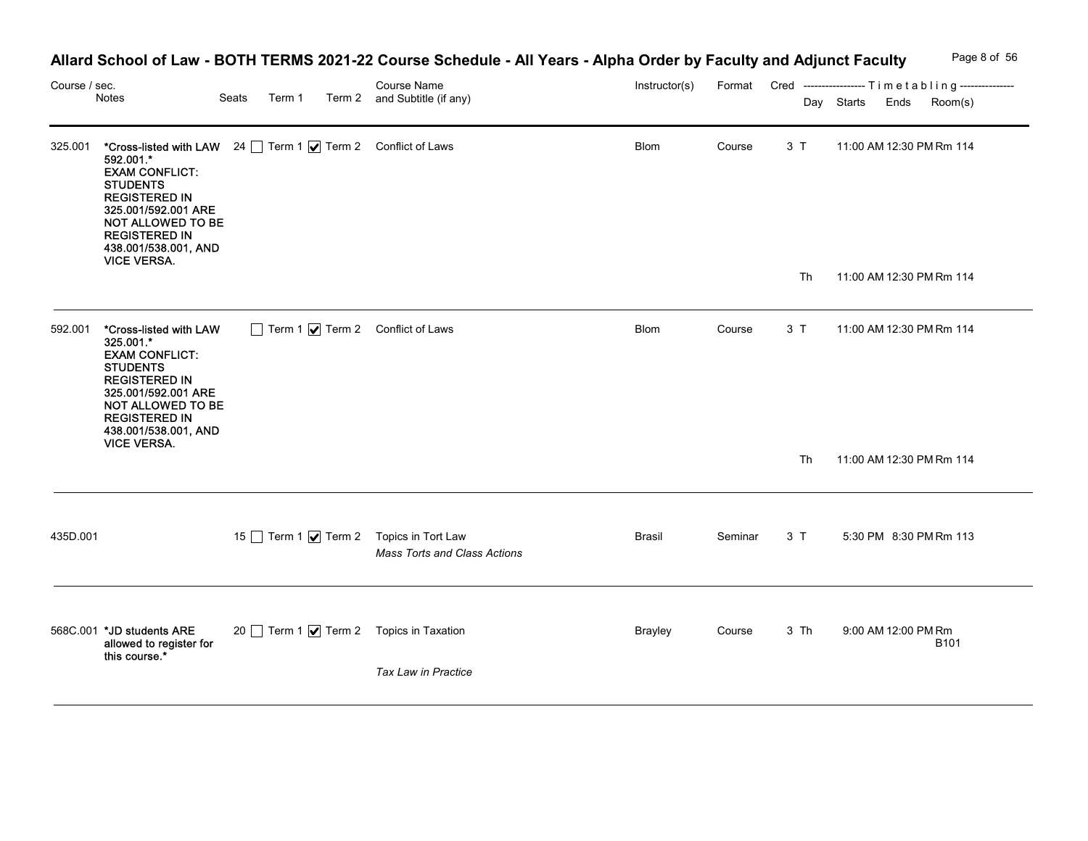|                                                                                                                                                                                                      |                                                                            |                                                 | Course Name                  | Instructor(s)                                                                                                                                                                                                                  |        |           | Page 8 of 56<br>Format Cred ----------------- Timetabling---------------<br>Day Starts Ends<br>Room(s)                              |
|------------------------------------------------------------------------------------------------------------------------------------------------------------------------------------------------------|----------------------------------------------------------------------------|-------------------------------------------------|------------------------------|--------------------------------------------------------------------------------------------------------------------------------------------------------------------------------------------------------------------------------|--------|-----------|-------------------------------------------------------------------------------------------------------------------------------------|
| 592.001.*<br><b>EXAM CONFLICT:</b><br><b>STUDENTS</b><br><b>REGISTERED IN</b><br>325.001/592.001 ARE<br><b>REGISTERED IN</b><br>438.001/538.001, AND<br><b>VICE VERSA.</b>                           |                                                                            |                                                 |                              | Blom                                                                                                                                                                                                                           | Course | 3T        | 11:00 AM 12:30 PM Rm 114<br>11:00 AM 12:30 PM Rm 114                                                                                |
| *Cross-listed with LAW<br>325.001.*<br><b>EXAM CONFLICT:</b><br><b>STUDENTS</b><br><b>REGISTERED IN</b><br>325.001/592.001 ARE<br><b>REGISTERED IN</b><br>438.001/538.001, AND<br><b>VICE VERSA.</b> |                                                                            |                                                 |                              | Blom                                                                                                                                                                                                                           | Course | 3 T<br>Th | 11:00 AM 12:30 PM Rm 114<br>11:00 AM 12:30 PM Rm 114                                                                                |
|                                                                                                                                                                                                      |                                                                            |                                                 | Mass Torts and Class Actions | Brasil                                                                                                                                                                                                                         |        | 3T        | 5:30 PM 8:30 PM Rm 113                                                                                                              |
| allowed to register for<br>this course.*                                                                                                                                                             |                                                                            |                                                 | Tax Law in Practice          | <b>Brayley</b>                                                                                                                                                                                                                 | Course | 3 Th      | 9:00 AM 12:00 PM Rm<br><b>B101</b>                                                                                                  |
| 592.001                                                                                                                                                                                              | Course / sec.<br>Notes<br>325.001<br>435D.001<br>568C.001 *JD students ARE | Seats<br>NOT ALLOWED TO BE<br>NOT ALLOWED TO BE | Term 1                       | Term 2 and Subtitle (if any)<br>*Cross-listed with LAW 24 Term 1 7 Term 2 Conflict of Laws<br>Term 1 7 Term 2 Conflict of Laws<br>15 Term 1 <b>V</b> Term 2 Topics in Tort Law<br>20 Term 1 <b>V</b> Term 2 Topics in Taxation |        |           | Allard School of Law - BOTH TERMS 2021-22 Course Schedule - All Years - Alpha Order by Faculty and Adjunct Faculty<br>Th<br>Seminar |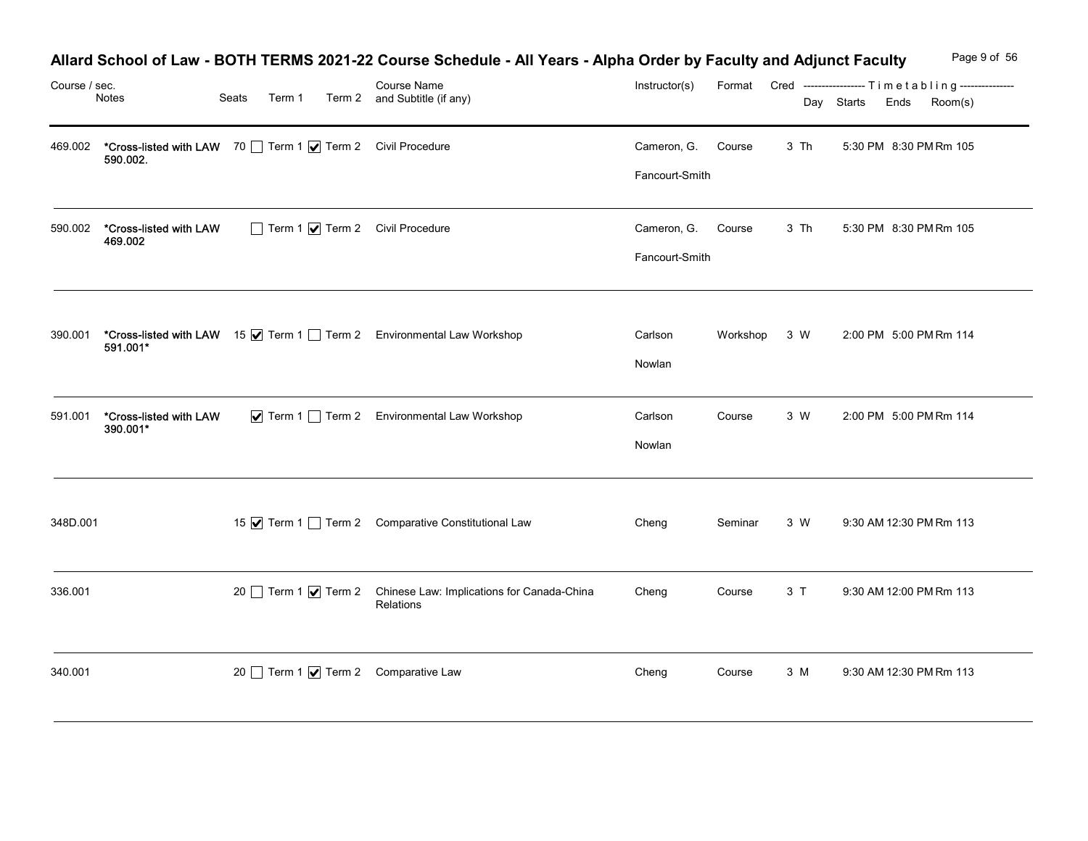| Course / sec. | Notes                                                                 | Seats<br>Term 1 | Allard School of Law - BOTH TERMS 2021-22 Course Schedule - All Years - Alpha Order by Faculty and Adjunct Faculty<br>Course Name<br>Term 2 and Subtitle (if any) | Instructor(s)                        |              |      | Page 9 of 56<br>Format Cred ----------------- Timetabling---------------<br>Day Starts Ends<br>Room(s) |
|---------------|-----------------------------------------------------------------------|-----------------|-------------------------------------------------------------------------------------------------------------------------------------------------------------------|--------------------------------------|--------------|------|--------------------------------------------------------------------------------------------------------|
| 469.002       | *Cross-listed with LAW 70 Term 1 7 Term 2 Civil Procedure<br>590.002. |                 |                                                                                                                                                                   | Cameron, G.<br>Fancourt-Smith        | Course       | 3 Th | 5:30 PM 8:30 PM Rm 105                                                                                 |
| 590.002       | *Cross-listed with LAW<br>469.002                                     |                 | Term 1 7 Term 2 Civil Procedure                                                                                                                                   | Cameron, G. Course<br>Fancourt-Smith |              | 3 Th | 5:30 PM 8:30 PM Rm 105                                                                                 |
|               | 591.001*                                                              |                 | 390.001 *Cross-listed with LAW 15 V Term 1 Term 2 Environmental Law Workshop                                                                                      | Carlson<br>Nowlan                    | Workshop 3 W |      | 2:00 PM 5:00 PM Rm 114                                                                                 |
| 591.001       | *Cross-listed with LAW<br>390.001*                                    |                 | ▼ Term 1 Term 2 Environmental Law Workshop                                                                                                                        | Carlson<br>Nowlan                    | Course       | 3 W  | 2:00 PM 5:00 PM Rm 114                                                                                 |
| 348D.001      |                                                                       |                 | 15 √ Term 1 i Term 2 Comparative Constitutional Law                                                                                                               | Cheng                                | Seminar      | 3 W  | 9:30 AM 12:30 PM Rm 113                                                                                |
| 336.001       |                                                                       |                 | 20 Term 1 √ Term 2 Chinese Law: Implications for Canada-China<br>Relations                                                                                        | Cheng                                | Course       | 3T   | 9:30 AM 12:00 PM Rm 113                                                                                |
| 340.001       |                                                                       |                 | 20 Term 1 Ø Term 2 Comparative Law                                                                                                                                | Cheng                                | Course       | 3 M  | 9:30 AM 12:30 PM Rm 113                                                                                |

### Allard School of Law - BOTH TERMS 2021-22 Course Schedule - All Years - Alpha Order by Faculty and Adjunct Faculty Page 9 of 56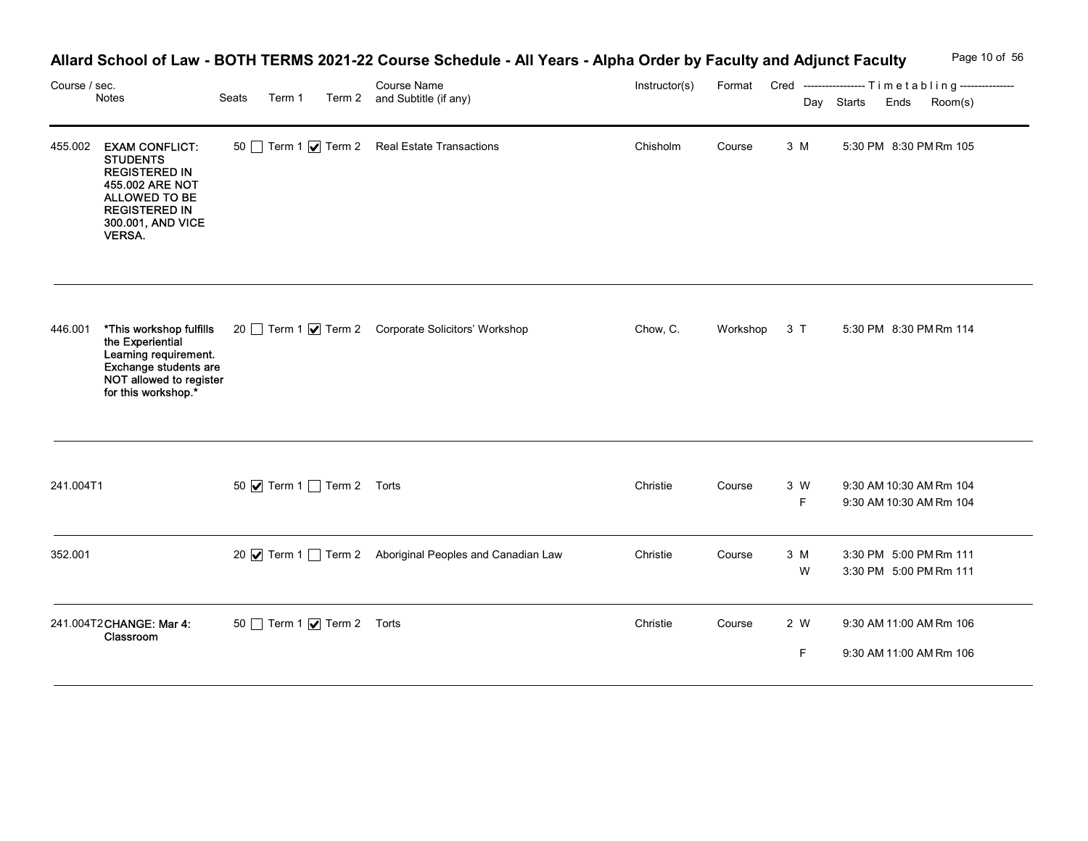| Course / sec. | Notes                                                                                                                                                                     | Seats<br>Term 1                   | Allard School of Law - BOTH TERMS 2021-22 Course Schedule - All Years - Alpha Order by Faculty and Adjunct Faculty<br><b>Course Name</b><br>Term 2 and Subtitle (if any) | Instructor(s) |              |          | Page 10 of 56<br>Format Cred ----------------- Timetabling---------------<br>Day Starts<br>Ends<br>Room(s) |
|---------------|---------------------------------------------------------------------------------------------------------------------------------------------------------------------------|-----------------------------------|--------------------------------------------------------------------------------------------------------------------------------------------------------------------------|---------------|--------------|----------|------------------------------------------------------------------------------------------------------------|
|               | 455.002 EXAM CONFLICT:<br><b>STUDENTS</b><br><b>REGISTERED IN</b><br>455.002 ARE NOT<br><b>ALLOWED TO BE</b><br><b>REGISTERED IN</b><br>300.001, AND VICE<br><b>VERSA</b> |                                   | 50 Term 1 Ø Term 2 Real Estate Transactions                                                                                                                              | Chisholm      | Course       | 3 M      | 5:30 PM 8:30 PM Rm 105                                                                                     |
| 446.001       | the Experiential<br>Learning requirement.<br>Exchange students are<br>NOT allowed to register<br>for this workshop.*                                                      |                                   | *This workshop fulfills 20 Term 1   Term 2 Corporate Solicitors' Workshop                                                                                                | Chow, C.      | Workshop 3 T |          | 5:30 PM 8:30 PM Rm 114                                                                                     |
| 241.004T1     |                                                                                                                                                                           | 50 V Term 1 Term 2 Torts          |                                                                                                                                                                          | Christie      | Course       | 3 W<br>F | 9:30 AM 10:30 AM Rm 104<br>9:30 AM 10:30 AM Rm 104                                                         |
| 352.001       |                                                                                                                                                                           |                                   | 20 √ Term 1 ◯ Term 2 Aboriginal Peoples and Canadian Law                                                                                                                 | Christie      | Course       | 3 M<br>W | 3:30 PM 5:00 PM Rm 111<br>3:30 PM 5:00 PM Rm 111                                                           |
|               | 241.004T2CHANGE: Mar 4:<br>Classroom                                                                                                                                      | 50 Term 1 $\sqrt{ }$ Term 2 Torts |                                                                                                                                                                          | Christie      | Course       | 2 W<br>F | 9:30 AM 11:00 AM Rm 106<br>9:30 AM 11:00 AM Rm 106                                                         |

## Allard School of Law - BOTH TERMS 2021-22 Course Schedule - All Years - Alpha Order by Faculty and Adjunct Faculty Page 10 of 56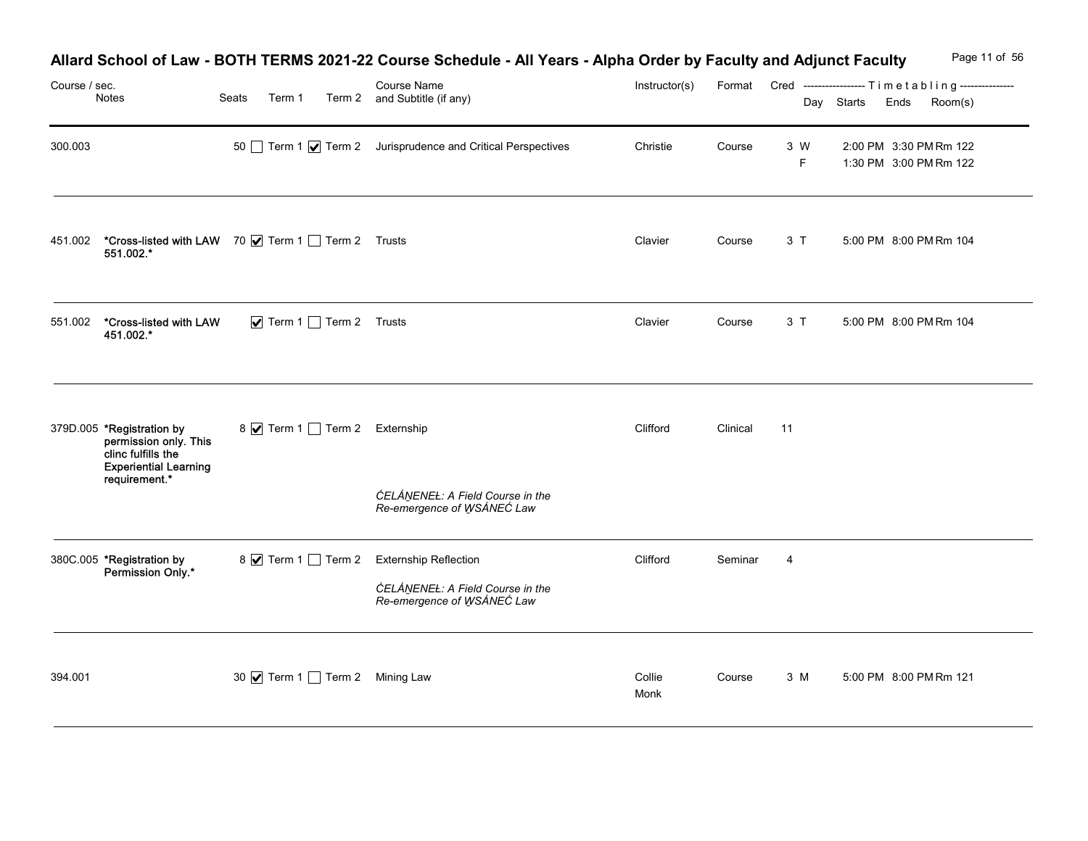| Course / sec. | Notes                                                                                                                     | Seats<br>Term 1                 | Allard School of Law - BOTH TERMS 2021-22 Course Schedule - All Years - Alpha Order by Faculty and Adjunct Faculty<br>Course Name<br>Term 2 and Subtitle (if any) | Instructor(s)  |          |                | Format Cred ----------------- Timetabling---------------<br>Day Starts Ends | Page 11 of 56<br>Room(s) |
|---------------|---------------------------------------------------------------------------------------------------------------------------|---------------------------------|-------------------------------------------------------------------------------------------------------------------------------------------------------------------|----------------|----------|----------------|-----------------------------------------------------------------------------|--------------------------|
| 300.003       |                                                                                                                           |                                 | 50 Term 1 √ Term 2 Jurisprudence and Critical Perspectives                                                                                                        | Christie       | Course   | 3 W<br>F.      | 2:00 PM 3:30 PM Rm 122<br>1:30 PM 3:00 PM Rm 122                            |                          |
| 451.002       | *Cross-listed with LAW 70 V Term 1 Term 2 Trusts<br>551.002.*                                                             |                                 |                                                                                                                                                                   | Clavier        | Course   | 3T             | 5:00 PM 8:00 PM Rm 104                                                      |                          |
| 551.002       | *Cross-listed with LAW<br>451.002.*                                                                                       | Term 1 Term 2 Trusts            |                                                                                                                                                                   | Clavier        | Course   | 3T             | 5:00 PM 8:00 PM Rm 104                                                      |                          |
|               | 379D.005 *Registration by<br>permission only. This<br>clinc fulfills the<br><b>Experiential Learning</b><br>requirement.* | 8 7 Term 1 Term 2 Externship    | ĆELÁNENEŁ: A Field Course in the<br>Re-emergence of WSÁNEC Law                                                                                                    | Clifford       | Clinical | 11             |                                                                             |                          |
|               | 380C.005 *Registration by<br>*-Permission Only                                                                            |                                 | 8 V Term 1 Term 2 Externship Reflection<br>ĆELÁNENEŁ: A Field Course in the<br>Re-emergence of WSÁNEC Law                                                         | Clifford       | Seminar  | $\overline{4}$ |                                                                             |                          |
| 394.001       |                                                                                                                           | 30 √ Term 1 □ Term 2 Mining Law |                                                                                                                                                                   | Collie<br>Monk | Course   | 3 M            | 5:00 PM 8:00 PM Rm 121                                                      |                          |

# Allard School of Law - BOTH TERMS 2021-22 Course Schedule - All Years - Alpha Order by Faculty and Adjunct Faculty Page 11 of 56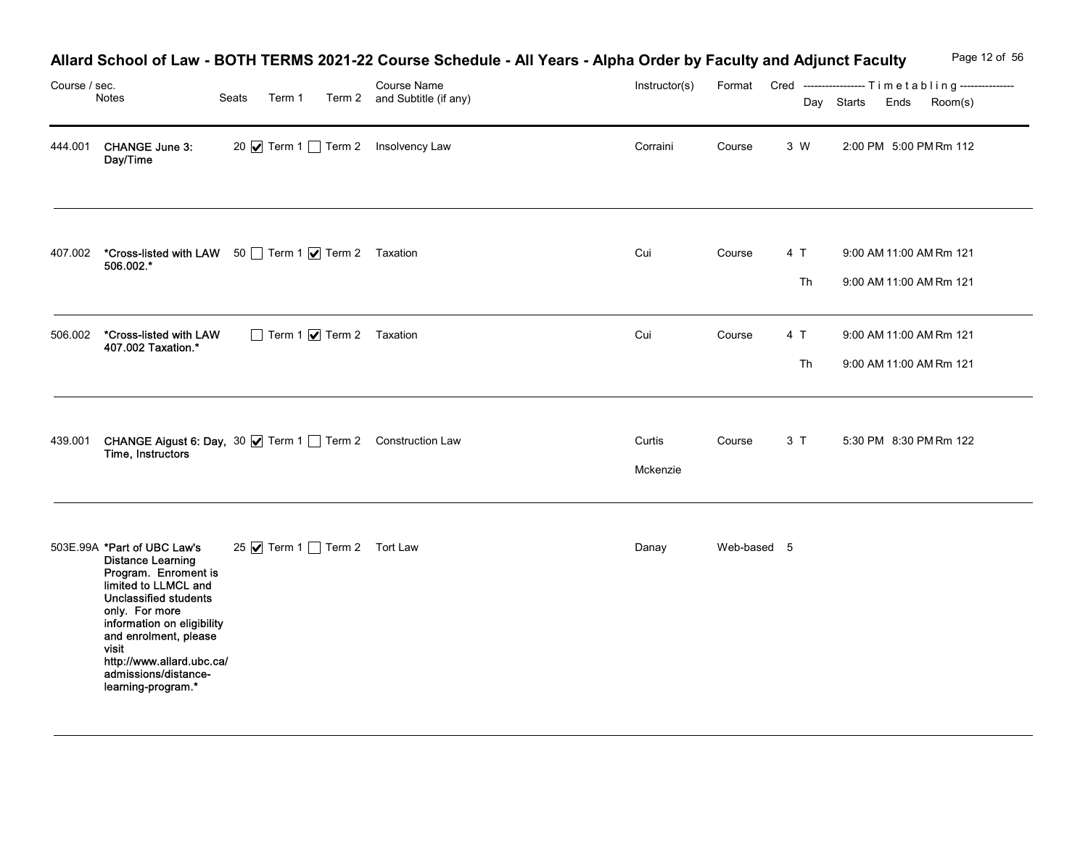| Course / sec. | Notes                                                                                                                                                                                                                                                                                                | Seats                                                                                                  | Allard School of Law - BOTH TERMS 2021-22 Course Schedule - All Years - Alpha Order by Faculty and Adjunct Faculty<br>Course Name<br>Term 1 Term 2 and Subtitle (if any) | Instructor(s)      |             |           | Page 12 of 56<br>Format Cred -----------------Timetabling---------------<br>Room(s)<br>Day Starts<br>Ends |
|---------------|------------------------------------------------------------------------------------------------------------------------------------------------------------------------------------------------------------------------------------------------------------------------------------------------------|--------------------------------------------------------------------------------------------------------|--------------------------------------------------------------------------------------------------------------------------------------------------------------------------|--------------------|-------------|-----------|-----------------------------------------------------------------------------------------------------------|
| 444.001       | <b>CHANGE June 3:</b><br>Day/Time                                                                                                                                                                                                                                                                    | 20 <b>Ø</b> Term 1 □ Term 2 Insolvency Law                                                             |                                                                                                                                                                          | Corraini           | Course      | 3 W       | 2:00 PM 5:00 PM Rm 112                                                                                    |
| 407.002       | 506.002.*                                                                                                                                                                                                                                                                                            | *Cross-listed with LAW 50 Term 1 7 Term 2 Taxation                                                     |                                                                                                                                                                          | Cui                | Course      | 4 T<br>Th | 9:00 AM 11:00 AM Rm 121<br>9:00 AM 11:00 AM Rm 121                                                        |
| 506.002       | *Cross-listed with LAW<br>407.002 Taxation.*                                                                                                                                                                                                                                                         | Term 1 7 Term 2 Taxation                                                                               |                                                                                                                                                                          | Cui                | Course      | 4 T<br>Th | 9:00 AM 11:00 AM Rm 121<br>9:00 AM 11:00 AM Rm 121                                                        |
|               |                                                                                                                                                                                                                                                                                                      | 439.001 <b>CHANGE Aigust 6: Day, 30 √</b> Term 1 │ Term 2 Construction Law<br><b>Time, Instructors</b> |                                                                                                                                                                          | Curtis<br>Mckenzie | Course      | 3 T       | 5:30 PM 8:30 PM Rm 122                                                                                    |
|               | 503E.99A *Part of UBC Law's<br><b>Distance Learning</b><br>Program. Enroment is<br>limited to LLMCL and<br><b>Unclassified students</b><br>only. For more<br>information on eligibility<br>and enrolment, please<br>visit<br>http://www.allard.ubc.ca/<br>admissions/distance-<br>learning-program.* | 25 Ø Term 1 □ Term 2 Tort Law                                                                          |                                                                                                                                                                          | Danay              | Web-based 5 |           |                                                                                                           |

## Allard School of Law - BOTH TERMS 2021-22 Course Schedule - All Years - Alpha Order by Faculty and Adjunct Faculty Page 12 of 56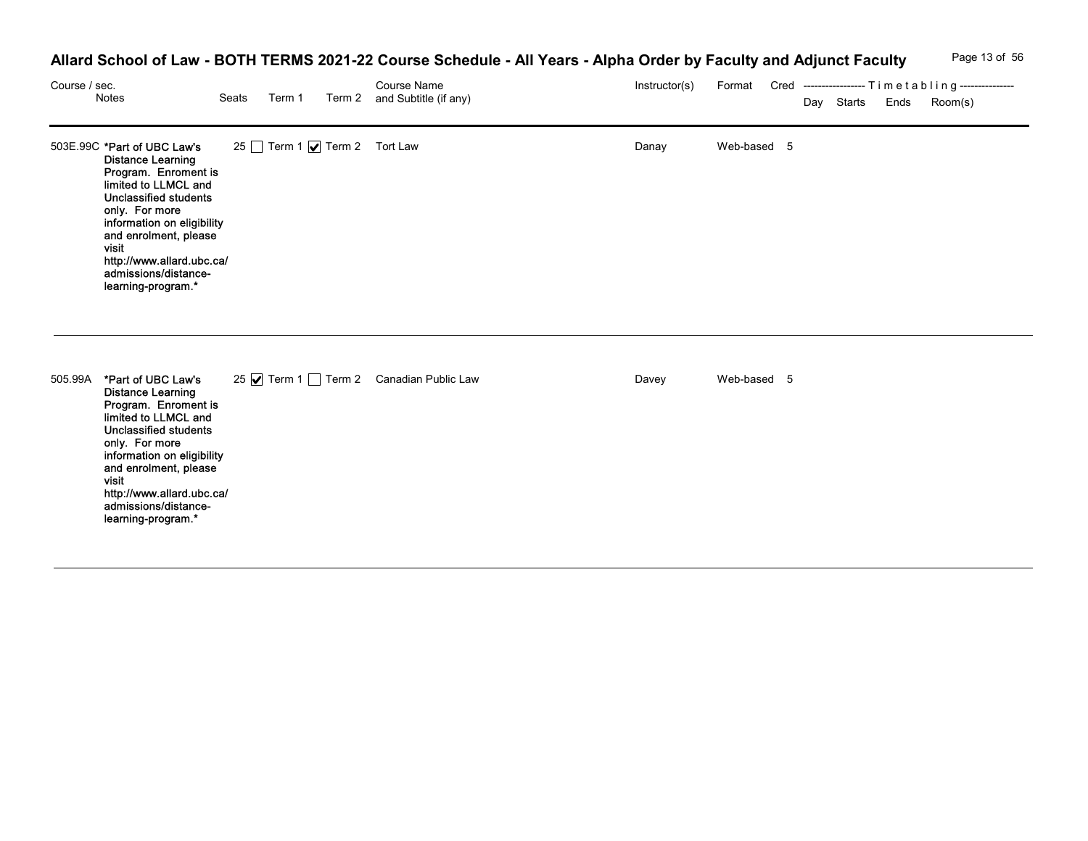## Allard School of Law - BOTH TERMS 2021-22 Course Schedule - All Years - Alpha Order by Faculty and Adjunct Faculty Page 13 of 56

| Course / sec. | Notes                                                                                                                                                                                                                                                                                                | Seats | Term 1                      | Allard School of Law - BOTH TERMS 2021-22 Course Schedule - All Years - Alpha Order by Faculty and Adjunct Faculty<br><b>Course Name</b><br>Term 2 and Subtitle (if any) | Instructor(s) |             | Format Cred -----------------Timetabling---------------<br>Day Starts Ends | Page 13 of 56<br>Room(s) |
|---------------|------------------------------------------------------------------------------------------------------------------------------------------------------------------------------------------------------------------------------------------------------------------------------------------------------|-------|-----------------------------|--------------------------------------------------------------------------------------------------------------------------------------------------------------------------|---------------|-------------|----------------------------------------------------------------------------|--------------------------|
|               | 503E.99C *Part of UBC Law's<br><b>Distance Learning</b><br>Program. Enroment is<br>limited to LLMCL and<br><b>Unclassified students</b><br>only. For more<br>information on eligibility<br>and enrolment, please<br>visit<br>http://www.allard.ubc.ca/<br>admissions/distance-<br>learning-program.* |       | 25 Term 1 Ø Term 2 Tort Law |                                                                                                                                                                          | Danay         | Web-based 5 |                                                                            |                          |
|               | 505.99A *Part of UBC Law's<br><b>Distance Learning</b><br>Program. Enroment is<br>limited to LLMCL and<br><b>Unclassified students</b><br>only. For more<br>information on eligibility<br>and enrolment, please<br>visit<br>http://www.allard.ubc.ca/<br>admissions/distance-<br>learning-program.*  |       |                             | 25 Ø Term 1 □ Term 2 Canadian Public Law                                                                                                                                 | Davey         | Web-based 5 |                                                                            |                          |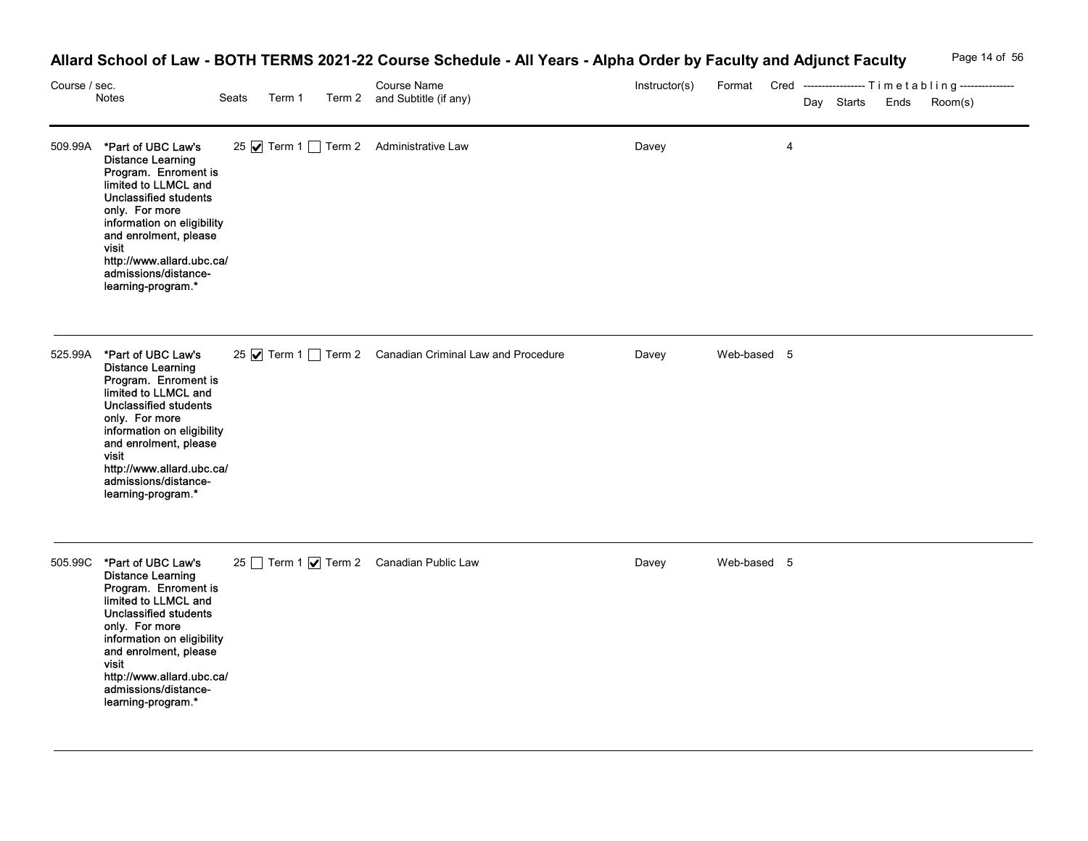# Allard School of Law - BOTH TERMS 2021-22 Course Schedule - All Years - Alpha Order by Faculty and Adjunct Faculty Page 14 of 56

| Course / sec. | Notes                                                                                                                                                                                                                                                                                               | Seats | Term 1 | Allard School of Law - BOTH TERMS 2021-22 Course Schedule - All Years - Alpha Order by Faculty and Adjunct Faculty<br>Course Name<br>Term 2 and Subtitle (if any) | Instructor(s) |             | Day Starts | Ends | Page 14 of 56<br>Format Cred -----------------Timetabling---------------<br>Room(s) |
|---------------|-----------------------------------------------------------------------------------------------------------------------------------------------------------------------------------------------------------------------------------------------------------------------------------------------------|-------|--------|-------------------------------------------------------------------------------------------------------------------------------------------------------------------|---------------|-------------|------------|------|-------------------------------------------------------------------------------------|
|               | 509.99A *Part of UBC Law's<br><b>Distance Learning</b><br>Program. Enroment is<br>limited to LLMCL and<br><b>Unclassified students</b><br>only. For more<br>information on eligibility<br>and enrolment, please<br>visit<br>http://www.allard.ubc.ca/<br>admissions/distance-<br>learning-program.* |       |        | 25 Ø Term 1 Term 2 Administrative Law                                                                                                                             | Davey         | 4           |            |      |                                                                                     |
|               | 525.99A *Part of UBC Law's<br><b>Distance Learning</b><br>Program. Enroment is<br>limited to LLMCL and<br><b>Unclassified students</b><br>only. For more<br>information on eligibility<br>and enrolment, please<br>visit<br>http://www.allard.ubc.ca/<br>admissions/distance-<br>learning-program.* |       |        | 25 √ Term 1 ∂ Term 2 Canadian Criminal Law and Procedure                                                                                                          | Davey         | Web-based 5 |            |      |                                                                                     |
| 505.99C       | *Part of UBC Law's<br><b>Distance Learning</b><br>Program. Enroment is<br>limited to LLMCL and<br><b>Unclassified students</b><br>only. For more<br>information on eligibility<br>and enrolment, please<br>visit<br>http://www.allard.ubc.ca/<br>admissions/distance-<br>learning-program.*         |       |        | 25 Term 1 Ø Term 2 Canadian Public Law                                                                                                                            | Davey         | Web-based 5 |            |      |                                                                                     |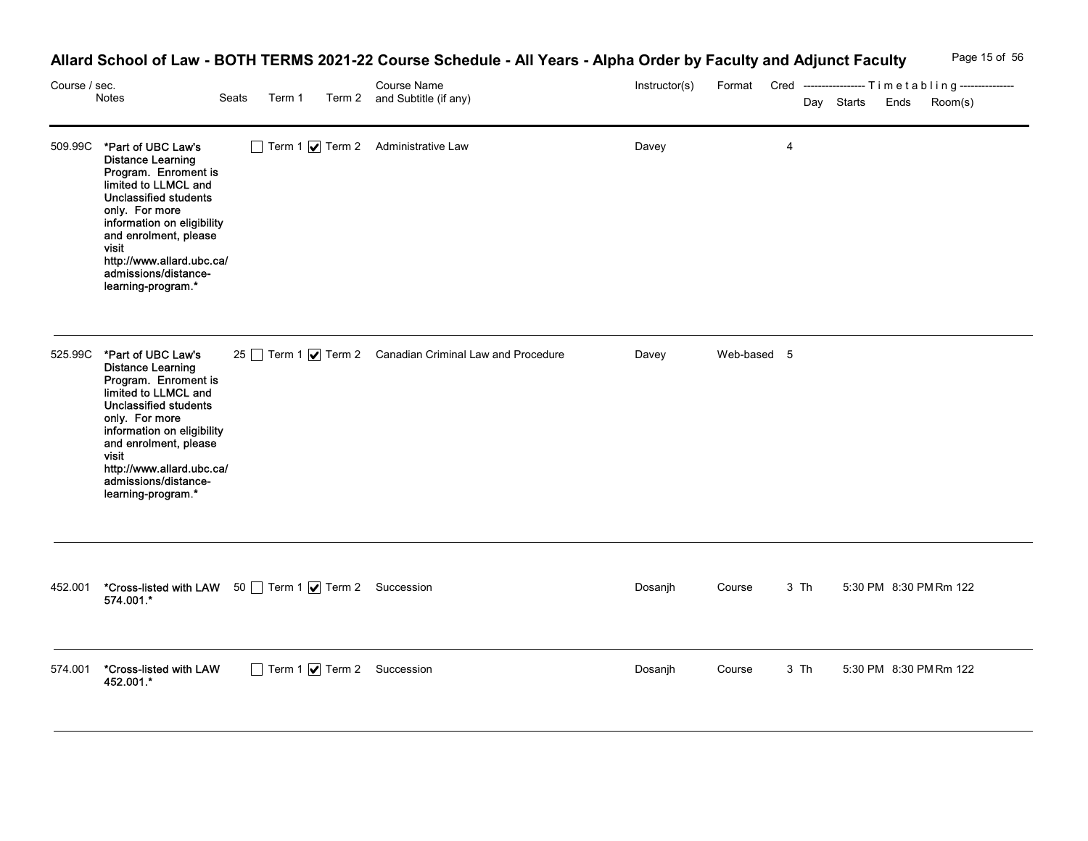# Allard School of Law - BOTH TERMS 2021-22 Course Schedule - All Years - Alpha Order by Faculty and Adjunct Faculty Page 15 of 56

| Course / sec. | Notes                                                                                                                                                                                                                                                                                        | Seats<br>Term 1                                                            | Allard School of Law - BOTH TERMS 2021-22 Course Schedule - All Years - Alpha Order by Faculty and Adjunct Faculty<br>Course Name<br>Term 2 and Subtitle (if any) | Instructor(s) |             |      | Page 15 of 56<br>Format Cred ----------------- Timetabling ---------------<br>Room(s)<br>Day Starts<br>Ends |
|---------------|----------------------------------------------------------------------------------------------------------------------------------------------------------------------------------------------------------------------------------------------------------------------------------------------|----------------------------------------------------------------------------|-------------------------------------------------------------------------------------------------------------------------------------------------------------------|---------------|-------------|------|-------------------------------------------------------------------------------------------------------------|
| 509.99C       | *Part of UBC Law's<br><b>Distance Learning</b><br>Program. Enroment is<br>limited to LLMCL and<br><b>Unclassified students</b><br>only. For more<br>information on eligibility<br>and enrolment, please<br>visit<br>http://www.allard.ubc.ca/<br>admissions/distance-<br>learning-program.*  |                                                                            | $\Box$ Term 1 $\bigtriangledown$ Term 2 Administrative Law                                                                                                        | Davey         |             | 4    |                                                                                                             |
|               | 525.99C *Part of UBC Law's<br><b>Distance Learning</b><br>Program. Enroment is<br>limited to LLMCL and<br>Unclassified students<br>only. For more<br>information on eligibility<br>and enrolment, please<br>visit<br>http://www.allard.ubc.ca/<br>admissions/distance-<br>learning-program.* |                                                                            | 25 Term 1 √ Term 2 Canadian Criminal Law and Procedure                                                                                                            | Davey         | Web-based 5 |      |                                                                                                             |
|               | 574.001.*                                                                                                                                                                                                                                                                                    | 452.001 <b>*Cross-listed with LAW</b> 50 Term 1 <b>V</b> Term 2 Succession |                                                                                                                                                                   | Dosanjh       | Course      | 3 Th | 5:30 PM 8:30 PM Rm 122                                                                                      |
| 574.001       | *Cross-listed with LAW<br>452.001.*                                                                                                                                                                                                                                                          | Term 1 7 Term 2 Succession                                                 |                                                                                                                                                                   | Dosanjh       | Course      | 3 Th | 5:30 PM 8:30 PM Rm 122                                                                                      |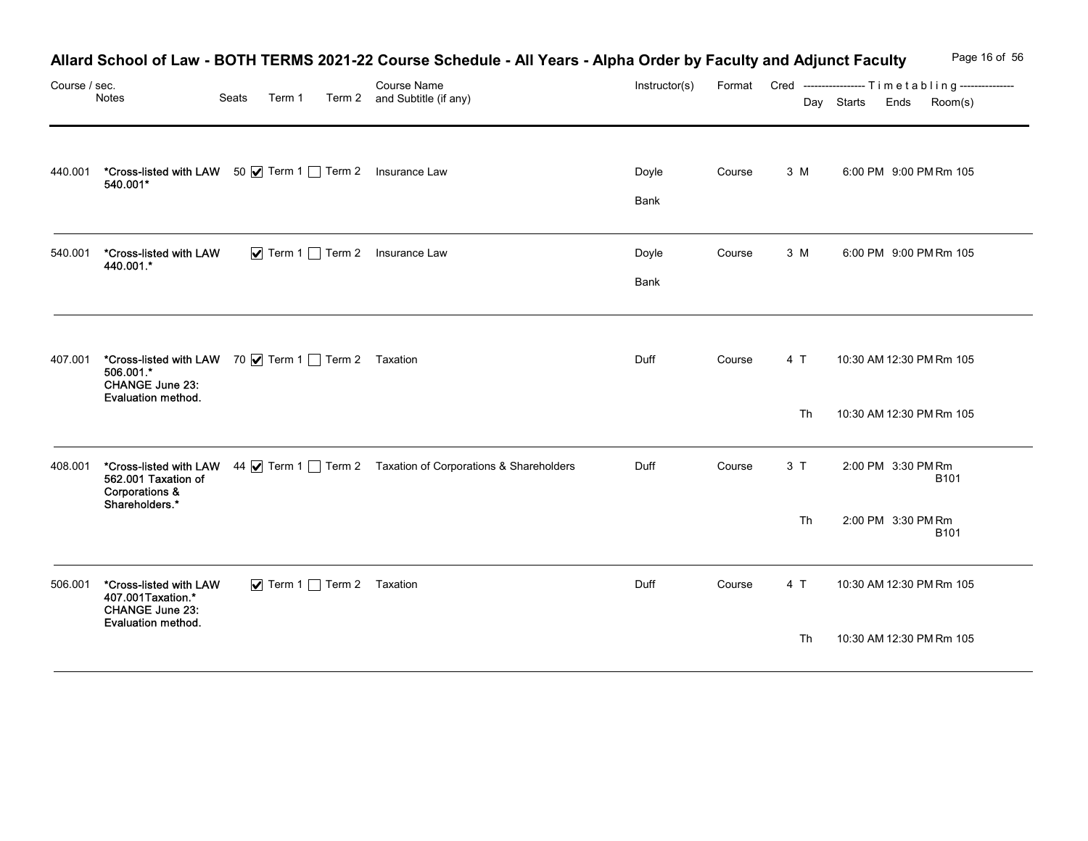|               |                                                                                                                    |                                                   | Allard School of Law - BOTH TERMS 2021-22 Course Schedule - All Years - Alpha Order by Faculty and Adjunct Faculty |               |        |     |            |                                                                         | Page 16 of 56 |
|---------------|--------------------------------------------------------------------------------------------------------------------|---------------------------------------------------|--------------------------------------------------------------------------------------------------------------------|---------------|--------|-----|------------|-------------------------------------------------------------------------|---------------|
| Course / sec. | Notes                                                                                                              | Seats<br>Term 1                                   | Course Name<br>Term 2 and Subtitle (if any)                                                                        | Instructor(s) |        |     | Day Starts | Format Cred -----------------Timetabling---------------<br>Ends Room(s) |               |
| 440.001       | *Cross-listed with LAW 50   Term 1   Term 2 Insurance Law<br>540.001*                                              |                                                   |                                                                                                                    | Doyle<br>Bank | Course | 3 M |            | 6:00 PM 9:00 PM Rm 105                                                  |               |
| 540.001       | *Cross-listed with LAW<br>440.001.*                                                                                |                                                   | $\blacktriangleright$ Term 1 $\Box$ Term 2 Insurance Law                                                           | Doyle<br>Bank | Course | 3 M |            | 6:00 PM 9:00 PM Rm 105                                                  |               |
|               | 407.001 *Cross-listed with LAW 70   Term 1   Term 2 Taxation<br>506.001.*<br>CHANGE June 23:<br>Evaluation method. |                                                   |                                                                                                                    | Duff          | Course | 4 T |            | 10:30 AM 12:30 PM Rm 105                                                |               |
|               |                                                                                                                    |                                                   |                                                                                                                    |               |        | Th  |            | 10:30 AM 12:30 PM Rm 105                                                |               |
| 408.001       | 562.001 Taxation of<br>Corporations &<br>Shareholders.*                                                            |                                                   | *Cross-listed with LAW 44 V Term 1 Term 2 Taxation of Corporations & Shareholders                                  | Duff          | Course | 3T  |            | 2:00 PM 3:30 PM Rm<br><b>B101</b>                                       |               |
|               |                                                                                                                    |                                                   |                                                                                                                    |               |        | Th  |            | 2:00 PM 3:30 PM Rm<br><b>B101</b>                                       |               |
|               | 506.001 *Cross-listed with LAW<br>407.001Taxation.*<br><b>CHANGE June 23:</b><br>Evaluation method.                | $\triangleright$ Term 1 $\square$ Term 2 Taxation |                                                                                                                    | Duff          | Course | 4 T |            | 10:30 AM 12:30 PM Rm 105                                                |               |
|               |                                                                                                                    |                                                   |                                                                                                                    |               |        | Th  |            | 10:30 AM 12:30 PM Rm 105                                                |               |

## Allard School of Law - BOTH TERMS 2021-22 Course Schedule - All Years - Alpha Order by Faculty and Adjunct Faculty Page 16 of 56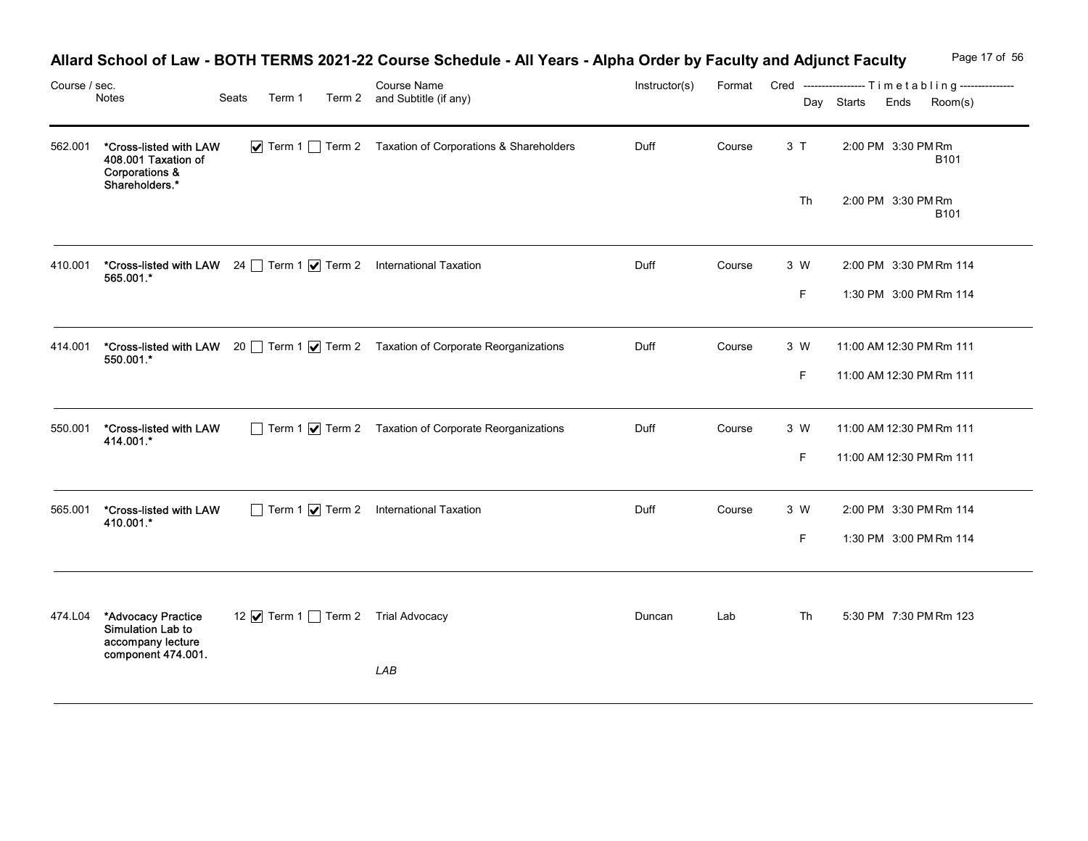|               |                                                                                              |       |        | Allard School of Law - BOTH TERMS 2021-22 Course Schedule - All Years - Alpha Order by Faculty and Adjunct Faculty |               |        |     |                                                                                       | Page 17 of 56 |
|---------------|----------------------------------------------------------------------------------------------|-------|--------|--------------------------------------------------------------------------------------------------------------------|---------------|--------|-----|---------------------------------------------------------------------------------------|---------------|
| Course / sec. | Notes                                                                                        | Seats | Term 1 | Course Name<br>Term 2 and Subtitle (if any)                                                                        | Instructor(s) |        |     | Format Cred -----------------Timetabling---------------<br>Day Starts Ends<br>Room(s) |               |
| 562.001       | *Cross-listed with LAW<br>408.001 Taxation of<br><b>Corporations &amp;</b><br>Shareholders.* |       |        | √ Term 1 1 Term 2 Taxation of Corporations & Shareholders                                                          | Duff          | Course | 3T  | 2:00 PM 3:30 PM Rm<br><b>B101</b>                                                     |               |
|               |                                                                                              |       |        |                                                                                                                    |               |        | Th  | 2:00 PM 3:30 PM Rm<br><b>B101</b>                                                     |               |
| 410.001       | 565.001.*                                                                                    |       |        | *Cross-listed with LAW 24 Term 1 7 Term 2 International Taxation                                                   | Duff          | Course | 3 W | 2:00 PM 3:30 PM Rm 114                                                                |               |
|               |                                                                                              |       |        |                                                                                                                    |               |        | F   | 1:30 PM 3:00 PM Rm 114                                                                |               |
| 414.001       | 550.001.*                                                                                    |       |        | *Cross-listed with LAW 20 Term 1 V Term 2 Taxation of Corporate Reorganizations                                    | Duff          | Course | 3 W | 11:00 AM 12:30 PM Rm 111                                                              |               |
|               |                                                                                              |       |        |                                                                                                                    |               |        | F.  | 11:00 AM 12:30 PM Rm 111                                                              |               |
| 550.001       | *Cross-listed with LAW<br>414.001.*                                                          |       |        | $\Box$ Term 1 $\bigtriangledown$ Term 2 Taxation of Corporate Reorganizations                                      | Duff          | Course | 3 W | 11:00 AM 12:30 PM Rm 111                                                              |               |
|               |                                                                                              |       |        |                                                                                                                    |               |        | F.  | 11:00 AM 12:30 PM Rm 111                                                              |               |
| 565.001       | *Cross-listed with LAW<br>410.001.*                                                          |       |        | $\Box$ Term 1 $\bigtriangledown$ Term 2 International Taxation                                                     | Duff          | Course | 3 W | 2:00 PM 3:30 PM Rm 114                                                                |               |
|               |                                                                                              |       |        |                                                                                                                    |               |        | F.  | 1:30 PM 3:00 PM Rm 114                                                                |               |
|               |                                                                                              |       |        |                                                                                                                    |               |        |     |                                                                                       |               |
| 474.L04       | *Advocacy Practice<br>Simulation Lab to<br>accompany lecture<br>component 474.001.           |       |        | 12 <b>Ø</b> Term 1 □ Term 2 Trial Advocacy                                                                         | Duncan        | Lab    | Th  | 5:30 PM 7:30 PM Rm 123                                                                |               |
|               |                                                                                              |       |        | ${\sf LAB}$                                                                                                        |               |        |     |                                                                                       |               |

# Allard School of Law - BOTH TERMS 2021-22 Course Schedule - All Years - Alpha Order by Faculty and Adjunct Faculty Page 17 of 56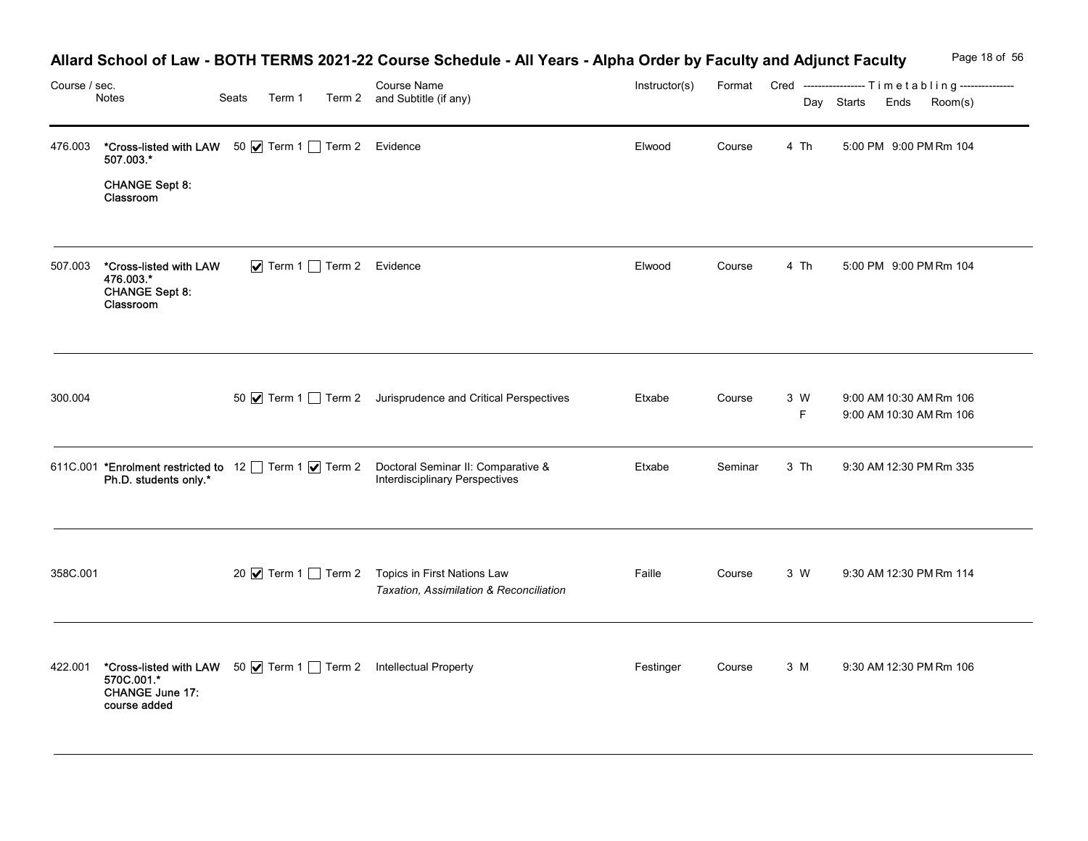| Course / sec. | Notes                                                                                                                     | Seats<br>Term 1          | Allard School of Law - BOTH TERMS 2021-22 Course Schedule - All Years - Alpha Order by Faculty and Adjunct Faculty<br><b>Course Name</b><br>Term 2 and Subtitle (if any) | Instructor(s) |         |           | Day Starts Ends | Page 18 of 56<br>Format Cred ----------------- Timetabling ---------------<br>Room(s) |
|---------------|---------------------------------------------------------------------------------------------------------------------------|--------------------------|--------------------------------------------------------------------------------------------------------------------------------------------------------------------------|---------------|---------|-----------|-----------------|---------------------------------------------------------------------------------------|
| 476.003       | *Cross-listed with LAW 50 V Term 1 Term 2 Evidence<br>507.003.*<br><b>CHANGE Sept 8:</b><br>Classroom                     |                          |                                                                                                                                                                          | Elwood        | Course  | 4 Th      |                 | 5:00 PM 9:00 PM Rm 104                                                                |
| 507.003       | *Cross-listed with LAW<br>476.003.*<br><b>CHANGE Sept 8:</b><br>Classroom                                                 | ✔ Term 1 Term 2 Evidence |                                                                                                                                                                          | Elwood        | Course  | 4 Th      |                 | 5:00 PM 9:00 PM Rm 104                                                                |
| 300.004       |                                                                                                                           |                          | 50 √ Term 1 ∂ Term 2 Jurisprudence and Critical Perspectives                                                                                                             | Etxabe        | Course  | 3 W<br>F. |                 | 9:00 AM 10:30 AM Rm 106<br>9:00 AM 10:30 AM Rm 106                                    |
|               | Ph.D. students only.*                                                                                                     |                          | 611C.001 *Enrolment restricted to 12 Term 1 Ø Term 2 Doctoral Seminar II: Comparative &<br>Interdisciplinary Perspectives                                                | Etxabe        | Seminar | 3 Th      |                 | 9:30 AM 12:30 PM Rm 335                                                               |
| 358C.001      |                                                                                                                           |                          | 20 √ Term 1 ◯ Term 2 Topics in First Nations Law<br>Taxation, Assimilation & Reconciliation                                                                              | Faille        | Course  | 3 W       |                 | 9:30 AM 12:30 PM Rm 114                                                               |
| 422.001       | *Cross-listed with LAW 50   Term 1   Term 2 Intellectual Property<br>570C.001.*<br><b>CHANGE June 17:</b><br>course added |                          |                                                                                                                                                                          | Festinger     | Course  | 3 M       |                 | 9:30 AM 12:30 PM Rm 106                                                               |

# Allard School of Law - BOTH TERMS 2021-22 Course Schedule - All Years - Alpha Order by Faculty and Adjunct Faculty Page 18 of 56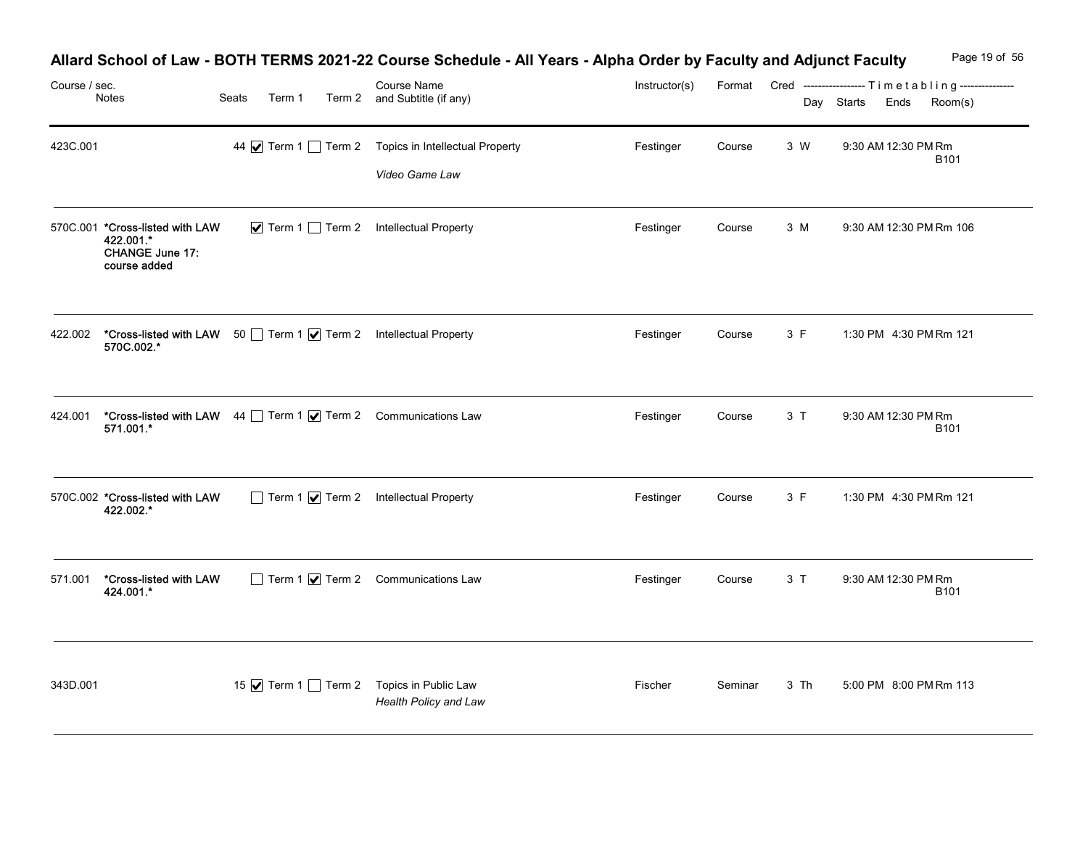| Course / sec. | Notes                                                                                  | Seats<br>Term 1 | Allard School of Law - BOTH TERMS 2021-22 Course Schedule - All Years - Alpha Order by Faculty and Adjunct Faculty<br><b>Course Name</b><br>Term 2 and Subtitle (if any) | Instructor(s) | Format  |      | Cred -----------------Timetabling---------------<br>Day Starts<br>Ends | Page 19 of 56<br>Room(s) |
|---------------|----------------------------------------------------------------------------------------|-----------------|--------------------------------------------------------------------------------------------------------------------------------------------------------------------------|---------------|---------|------|------------------------------------------------------------------------|--------------------------|
| 423C.001      |                                                                                        |                 | 44 V Term 1 Term 2 Topics in Intellectual Property<br>Video Game Law                                                                                                     | Festinger     | Course  | 3 W  | 9:30 AM 12:30 PM Rm                                                    | B101                     |
|               | 570C.001 *Cross-listed with LAW<br>422.001.*<br><b>CHANGE June 17:</b><br>course added |                 | ▼ Term 1 Term 2 Intellectual Property                                                                                                                                    | Festinger     | Course  | 3 M  | 9:30 AM 12:30 PM Rm 106                                                |                          |
| 422.002       | *Cross-listed with LAW 50 Term 1 7 Term 2 Intellectual Property<br>570C.002.*          |                 |                                                                                                                                                                          | Festinger     | Course  | 3 F  | 1:30 PM 4:30 PM Rm 121                                                 |                          |
| 424.001       | *Cross-listed with LAW 44 Term 1 7 Term 2 Communications Law<br>571.001.*              |                 |                                                                                                                                                                          | Festinger     | Course  | 3T   | 9:30 AM 12:30 PM Rm                                                    | <b>B101</b>              |
|               | 570C.002 *Cross-listed with LAW<br>422.002.*                                           |                 | Term 1 7 Term 2 Intellectual Property                                                                                                                                    | Festinger     | Course  | 3 F  | 1:30 PM 4:30 PM Rm 121                                                 |                          |
| 571.001       | *Cross-listed with LAW<br>424.001.*                                                    |                 | $\Box$ Term 1 $\bigvee$ Term 2 Communications Law                                                                                                                        | Festinger     | Course  | 3T   | 9:30 AM 12:30 PM Rm                                                    | B101                     |
| 343D.001      |                                                                                        |                 | 15 Ø Term 1 □ Term 2 Topics in Public Law<br>Health Policy and Law                                                                                                       | Fischer       | Seminar | 3 Th | 5:00 PM 8:00 PM Rm 113                                                 |                          |

# Allard School of Law - BOTH TERMS 2021-22 Course Schedule - All Years - Alpha Order by Faculty and Adjunct Faculty Page 19 of 56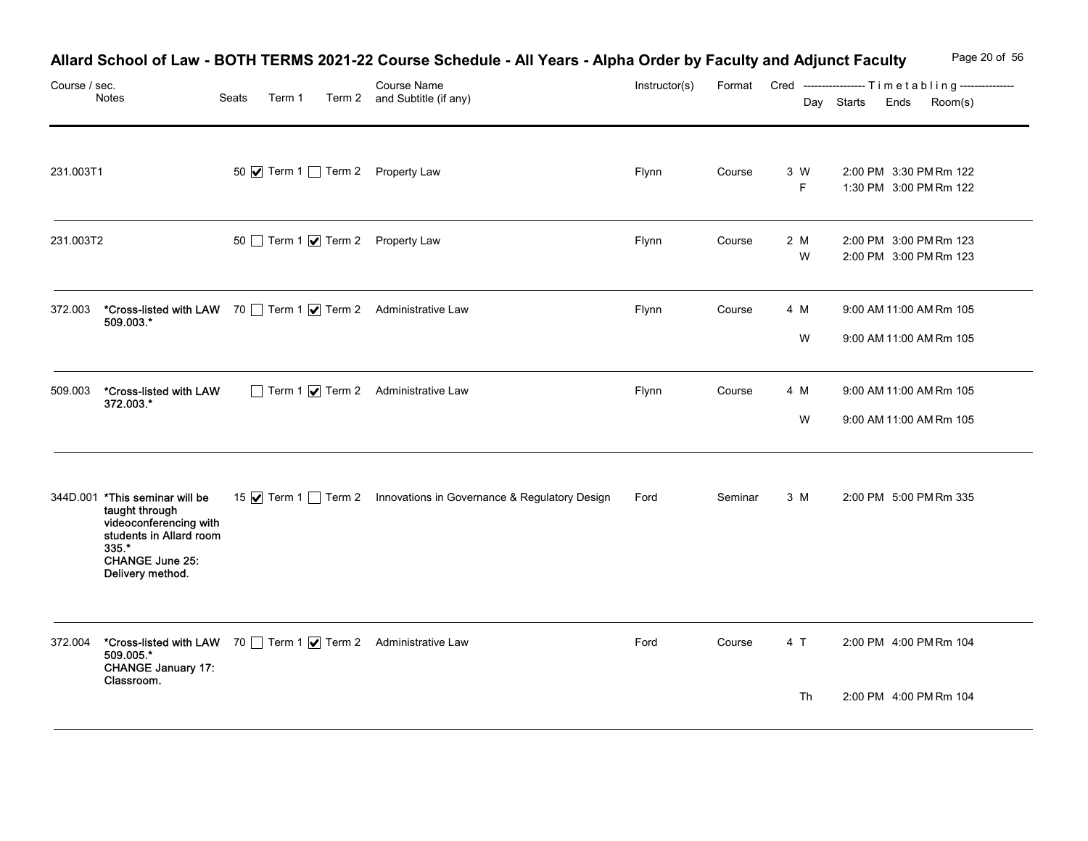|               |                                                                                                                                                          |                 | Allard School of Law - BOTH TERMS 2021-22 Course Schedule - All Years - Alpha Order by Faculty and Adjunct Faculty |               |         |          | Page 20 of 56                                                                       |
|---------------|----------------------------------------------------------------------------------------------------------------------------------------------------------|-----------------|--------------------------------------------------------------------------------------------------------------------|---------------|---------|----------|-------------------------------------------------------------------------------------|
| Course / sec. | Notes                                                                                                                                                    | Seats<br>Term 1 | Course Name<br>Term 2 and Subtitle (if any)                                                                        | Instructor(s) |         |          | Format Cred ----------------- Timetabling---------------<br>Day Starts Ends Room(s) |
| 231.003T1     |                                                                                                                                                          |                 | 50 Ø Term 1 Term 2 Property Law                                                                                    | Flynn         | Course  | 3 W<br>F | 2:00 PM 3:30 PM Rm 122<br>1:30 PM 3:00 PM Rm 122                                    |
| 231.003T2     |                                                                                                                                                          |                 | 50 Term 1 Ø Term 2 Property Law                                                                                    | Flynn         | Course  | 2 M<br>W | 2:00 PM 3:00 PM Rm 123<br>2:00 PM 3:00 PM Rm 123                                    |
| 372.003       | *Cross-listed with LAW 70 Term 1   Term 2 Administrative Law<br>509.003.*                                                                                |                 |                                                                                                                    | Flynn         | Course  | 4 M<br>W | 9:00 AM 11:00 AM Rm 105<br>9:00 AM 11:00 AM Rm 105                                  |
| 509.003       | *Cross-listed with LAW<br>372.003.*                                                                                                                      |                 | Term 1 7 Term 2 Administrative Law                                                                                 | Flynn         | Course  | 4 M<br>W | 9:00 AM 11:00 AM Rm 105<br>9:00 AM 11:00 AM Rm 105                                  |
|               | 344D.001 *This seminar will be<br>taught through<br>videoconferencing with<br>students in Allard room<br>$335.$ *<br>CHANGE June 25:<br>Delivery method. |                 | 15 √ Term 1 ∂ Term 2 Innovations in Governance & Regulatory Design                                                 | Ford          | Seminar | 3 M      | 2:00 PM 5:00 PM Rm 335                                                              |
| 372.004       | *Cross-listed with LAW 70 Term 1   Term 2 Administrative Law<br>509.005.*<br><b>CHANGE January 17:</b><br>Classroom.                                     |                 |                                                                                                                    | Ford          | Course  | 4 T      | 2:00 PM 4:00 PM Rm 104                                                              |
|               |                                                                                                                                                          |                 |                                                                                                                    |               |         | Th       | 2:00 PM 4:00 PM Rm 104                                                              |

# Allard School of Law - BOTH TERMS 2021-22 Course Schedule - All Years - Alpha Order by Faculty and Adjunct Faculty Page 20 of 56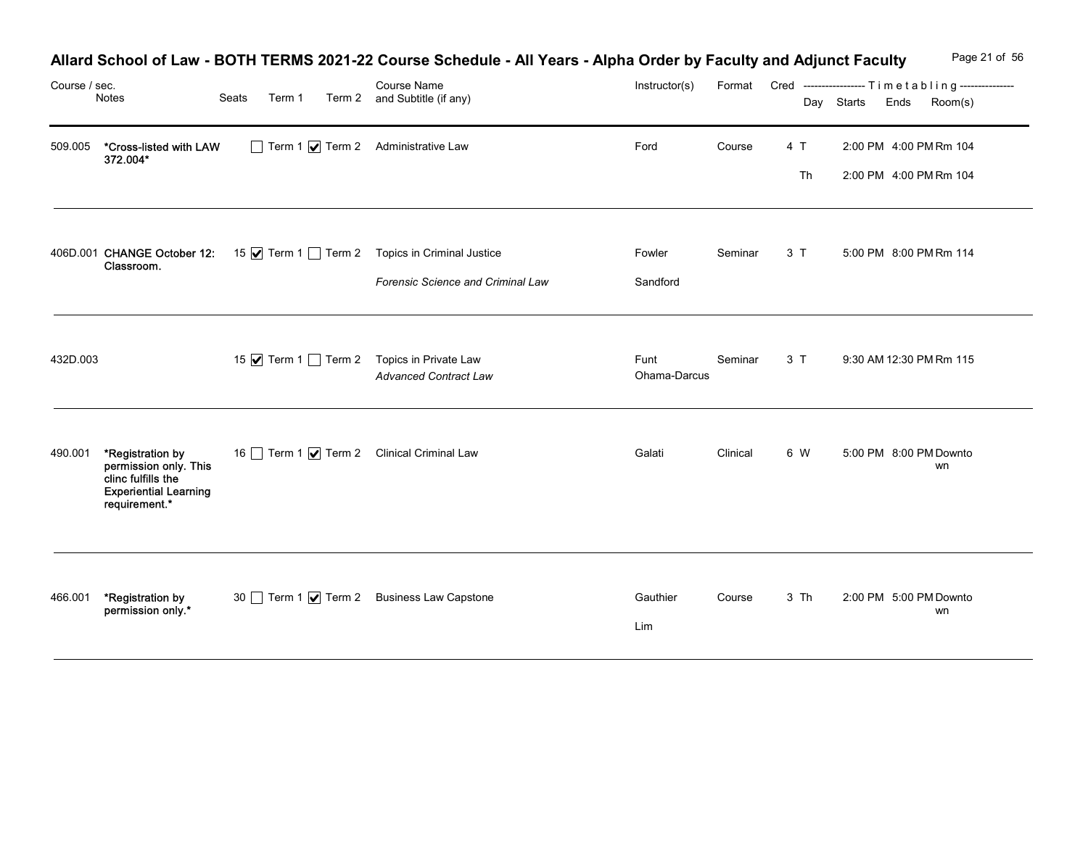|               |                                                                                                                  |       | Allard School of Law - BOTH TERMS 2021-22 Course Schedule - All Years - Alpha Order by Faculty and Adjunct Faculty |                      |          |           | Page 21 of 56                                                                             |
|---------------|------------------------------------------------------------------------------------------------------------------|-------|--------------------------------------------------------------------------------------------------------------------|----------------------|----------|-----------|-------------------------------------------------------------------------------------------|
| Course / sec. | Notes                                                                                                            | Seats | Course Name<br>Term 1 Term 2 and Subtitle (if any)                                                                 | Instructor(s)        |          |           | Format Cred ----------------- Timetabling---------------<br>Day Starts<br>Room(s)<br>Ends |
| 509.005       | *Cross-listed with LAW<br>372.004*                                                                               |       | Term 1 7 Term 2 Administrative Law                                                                                 | Ford                 | Course   | 4 T<br>Th | 2:00 PM 4:00 PM Rm 104<br>2:00 PM 4:00 PM Rm 104                                          |
|               | 406D.001 CHANGE October 12:<br>Classroom.                                                                        |       | 15 Ø Term 1 □ Term 2 Topics in Criminal Justice<br>Forensic Science and Criminal Law                               | Fowler<br>Sandford   | Seminar  | 3T        | 5:00 PM 8:00 PM Rm 114                                                                    |
| 432D.003      |                                                                                                                  |       | 15 Ø Term 1 □ Term 2 Topics in Private Law<br><b>Advanced Contract Law</b>                                         | Funt<br>Ohama-Darcus | Seminar  | 3T        | 9:30 AM 12:30 PM Rm 115                                                                   |
| 490.001       | *Registration by<br>permission only. This<br>clinc fulfills the<br><b>Experiential Learning</b><br>requirement.* |       | 16 Term 1 Ø Term 2 Clinical Criminal Law                                                                           | Galati               | Clinical | 6 W       | 5:00 PM 8:00 PM Downto<br>wn                                                              |
| 466.001       | *Registration by<br>permission only.*                                                                            |       | 30 Term 1 Ø Term 2 Business Law Capstone                                                                           | Gauthier<br>Lim      | Course   | 3 Th      | 2:00 PM 5:00 PM Downto<br>wn                                                              |

## Allard School of Law - BOTH TERMS 2021-22 Course Schedule - All Years - Alpha Order by Faculty and Adjunct Faculty Page 21 of 56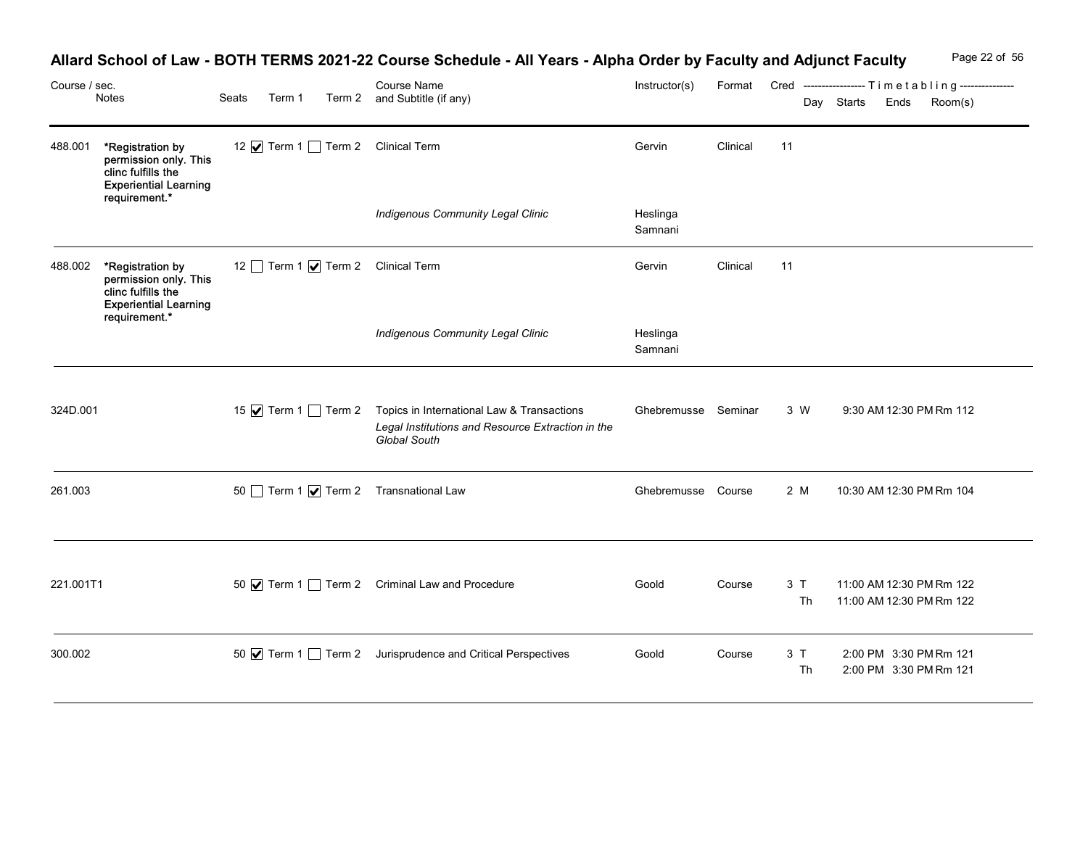|           | Course / sec.                                                                                                    |  | Seats<br>Term 1<br>12 √ Term 1 1 Term 2 Clinical Term |  | Allard School of Law - BOTH TERMS 2021-22 Course Schedule - All Years - Alpha Order by Faculty and Adjunct Faculty                          |                     |          |          |            |                                                                            | Page 22 of 56 |
|-----------|------------------------------------------------------------------------------------------------------------------|--|-------------------------------------------------------|--|---------------------------------------------------------------------------------------------------------------------------------------------|---------------------|----------|----------|------------|----------------------------------------------------------------------------|---------------|
|           | Notes                                                                                                            |  |                                                       |  | Course Name<br>Term 2 and Subtitle (if any)                                                                                                 | Instructor(s)       |          |          | Day Starts | Format Cred -----------------Timetabling---------------<br>Ends<br>Room(s) |               |
| 488.001   | *Registration by<br>permission only. This<br>clinc fulfills the<br><b>Experiential Learning</b><br>requirement.* |  |                                                       |  |                                                                                                                                             | Gervin              | Clinical | 11       |            |                                                                            |               |
|           |                                                                                                                  |  |                                                       |  | <b>Indigenous Community Legal Clinic</b>                                                                                                    | Heslinga<br>Samnani |          |          |            |                                                                            |               |
| 488.002   | *Registration by<br>permission only. This<br>clinc fulfills the<br><b>Experiential Learning</b>                  |  |                                                       |  | 12 Term 1 <b>V</b> Term 2 Clinical Term                                                                                                     | Gervin              | Clinical | 11       |            |                                                                            |               |
|           | requirement.*                                                                                                    |  |                                                       |  | <b>Indigenous Community Legal Clinic</b>                                                                                                    | Heslinga<br>Samnani |          |          |            |                                                                            |               |
| 324D.001  |                                                                                                                  |  |                                                       |  | 15 <b>Ø</b> Term 1 □ Term 2 Topics in International Law & Transactions<br>Legal Institutions and Resource Extraction in the<br>Global South | Ghebremusse Seminar |          | 3 W      |            | 9:30 AM 12:30 PM Rm 112                                                    |               |
| 261.003   |                                                                                                                  |  |                                                       |  | 50 Term 1 7 Term 2 Transnational Law                                                                                                        | Ghebremusse Course  |          | 2 M      |            | 10:30 AM 12:30 PM Rm 104                                                   |               |
| 221.001T1 |                                                                                                                  |  |                                                       |  | 50 V Term 1 Term 2 Criminal Law and Procedure                                                                                               | Goold               | Course   | 3T<br>Th |            | 11:00 AM 12:30 PM Rm 122<br>11:00 AM 12:30 PM Rm 122                       |               |
| 300.002   |                                                                                                                  |  |                                                       |  | 50 √ Term 1 ◯ Term 2 Jurisprudence and Critical Perspectives                                                                                | Goold               | Course   | 3T<br>Th |            | 2:00 PM 3:30 PM Rm 121<br>2:00 PM 3:30 PM Rm 121                           |               |

## Allard School of Law - BOTH TERMS 2021-22 Course Schedule - All Years - Alpha Order by Faculty and Adjunct Faculty Page 22 of 56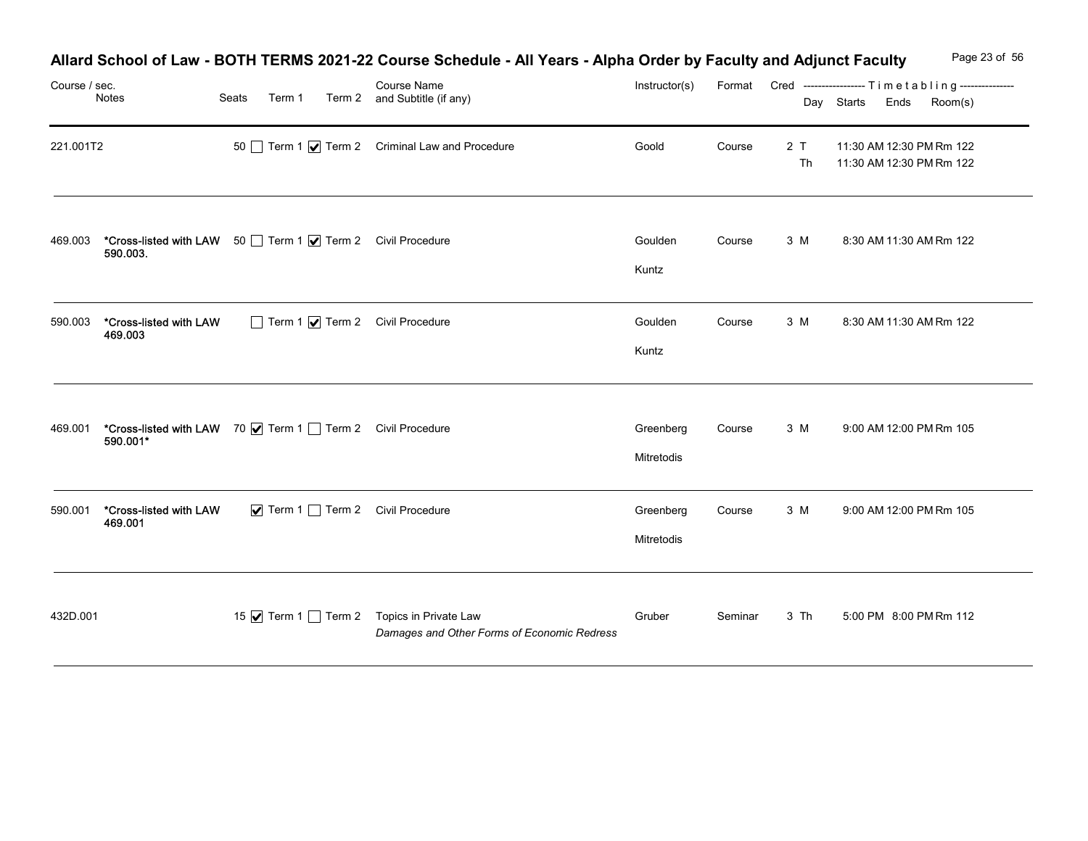|               |                                                                         |                 | Allard School of Law - BOTH TERMS 2021-22 Course Schedule - All Years - Alpha Order by Faculty and Adjunct Faculty |                         |         |           |                                                                                        | Page 23 of 56 |
|---------------|-------------------------------------------------------------------------|-----------------|--------------------------------------------------------------------------------------------------------------------|-------------------------|---------|-----------|----------------------------------------------------------------------------------------|---------------|
| Course / sec. | Notes                                                                   | Seats<br>Term 1 | Course Name<br>Term 2 and Subtitle (if any)                                                                        | Instructor(s)           |         |           | Format Cred ----------------- Timetabling---------------<br>Day Starts Ends<br>Room(s) |               |
| 221.001T2     |                                                                         |                 | 50 Term 1 $\sqrt{ }$ Term 2 Criminal Law and Procedure                                                             | Goold                   | Course  | 2 T<br>Th | 11:30 AM 12:30 PM Rm 122<br>11:30 AM 12:30 PM Rm 122                                   |               |
| 469.003       | *Cross-listed with LAW 50 Term 1 7 Term 2 Civil Procedure<br>590.003.   |                 |                                                                                                                    | Goulden<br>Kuntz        | Course  | 3 M       | 8:30 AM 11:30 AM Rm 122                                                                |               |
| 590.003       | *Cross-listed with LAW<br>469.003                                       |                 | Term 1 7 Term 2 Civil Procedure                                                                                    | Goulden<br>Kuntz        | Course  | 3 M       | 8:30 AM 11:30 AM Rm 122                                                                |               |
| 469.001       | *Cross-listed with LAW 70   Term 1   Term 2 Civil Procedure<br>590.001* |                 |                                                                                                                    | Greenberg<br>Mitretodis | Course  | 3 M       | 9:00 AM 12:00 PM Rm 105                                                                |               |
| 590.001       | *Cross-listed with LAW<br>469.001                                       |                 | ▼ Term 1 Term 2 Civil Procedure                                                                                    | Greenberg<br>Mitretodis | Course  | 3 M       | 9:00 AM 12:00 PM Rm 105                                                                |               |
| 432D.001      |                                                                         |                 | 15 √ Term 1 1 Term 2 Topics in Private Law<br>Damages and Other Forms of Economic Redress                          | Gruber                  | Seminar | 3 Th      | 5:00 PM 8:00 PM Rm 112                                                                 |               |

## Allard School of Law - BOTH TERMS 2021-22 Course Schedule - All Years - Alpha Order by Faculty and Adjunct Faculty Page 23 of 56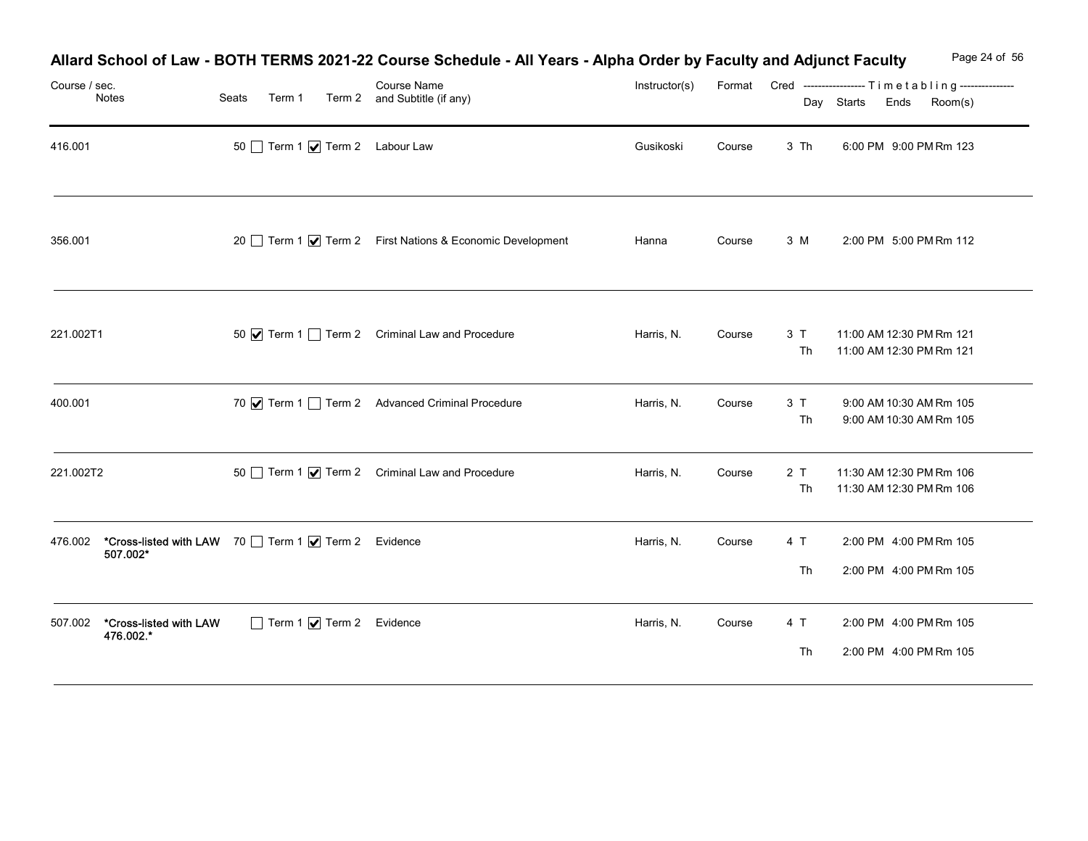|                                                                                                  |                                         | Allard School of Law - BOTH TERMS 2021-22 Course Schedule - All Years - Alpha Order by Faculty and Adjunct Faculty |               |        |          | Page 24 of 56                                                                          |
|--------------------------------------------------------------------------------------------------|-----------------------------------------|--------------------------------------------------------------------------------------------------------------------|---------------|--------|----------|----------------------------------------------------------------------------------------|
| Course / sec.<br>Notes                                                                           | Seats<br>Term 1                         | Course Name<br>Term 2 and Subtitle (if any)                                                                        | Instructor(s) |        |          | Format Cred ----------------- Timetabling---------------<br>Day Starts Ends<br>Room(s) |
| 416.001                                                                                          | 50 Term 1 Ø Term 2 Labour Law           |                                                                                                                    | Gusikoski     | Course | 3 Th     | 6:00 PM 9:00 PM Rm 123                                                                 |
| 356.001                                                                                          |                                         | 20 Term 1 Ø Term 2 First Nations & Economic Development                                                            | Hanna         | Course | 3 M      | 2:00 PM 5:00 PM Rm 112                                                                 |
| 221.002T1                                                                                        |                                         | 50 $\blacksquare$ Term 1 $\blacksquare$ Term 2 Criminal Law and Procedure                                          | Harris, N.    | Course | 3T<br>Th | 11:00 AM 12:30 PM Rm 121<br>11:00 AM 12:30 PM Rm 121                                   |
| 400.001                                                                                          |                                         | 70 V Term 1 Term 2 Advanced Criminal Procedure                                                                     | Harris, N.    | Course | 3T<br>Th | 9:00 AM 10:30 AM Rm 105<br>9:00 AM 10:30 AM Rm 105                                     |
| 221.002T2                                                                                        |                                         | 50 Term 1 <b>V</b> Term 2 Criminal Law and Procedure                                                               | Harris, N.    | Course | 2T<br>Th | 11:30 AM 12:30 PM Rm 106<br>11:30 AM 12:30 PM Rm 106                                   |
| <b>*Cross-listed with LAW</b> 70 □ Term 1 <b>Ø</b> Term 2 Evidence<br><b>507.002*</b><br>476.002 |                                         |                                                                                                                    | Harris, N.    | Course | 4 T      | 2:00 PM 4:00 PM Rm 105                                                                 |
|                                                                                                  |                                         |                                                                                                                    |               |        | Th       | 2:00 PM 4:00 PM Rm 105                                                                 |
| *Cross-listed with LAW<br>507.002<br>476.002.*                                                   | $\Box$ Term 1 $\bigvee$ Term 2 Evidence |                                                                                                                    | Harris, N.    | Course | 4 T      | 2:00 PM 4:00 PM Rm 105                                                                 |
|                                                                                                  |                                         |                                                                                                                    |               |        | Th       | 2:00 PM 4:00 PM Rm 105                                                                 |

# Allard School of Law - BOTH TERMS 2021-22 Course Schedule - All Years - Alpha Order by Faculty and Adjunct Faculty Page 24 of 56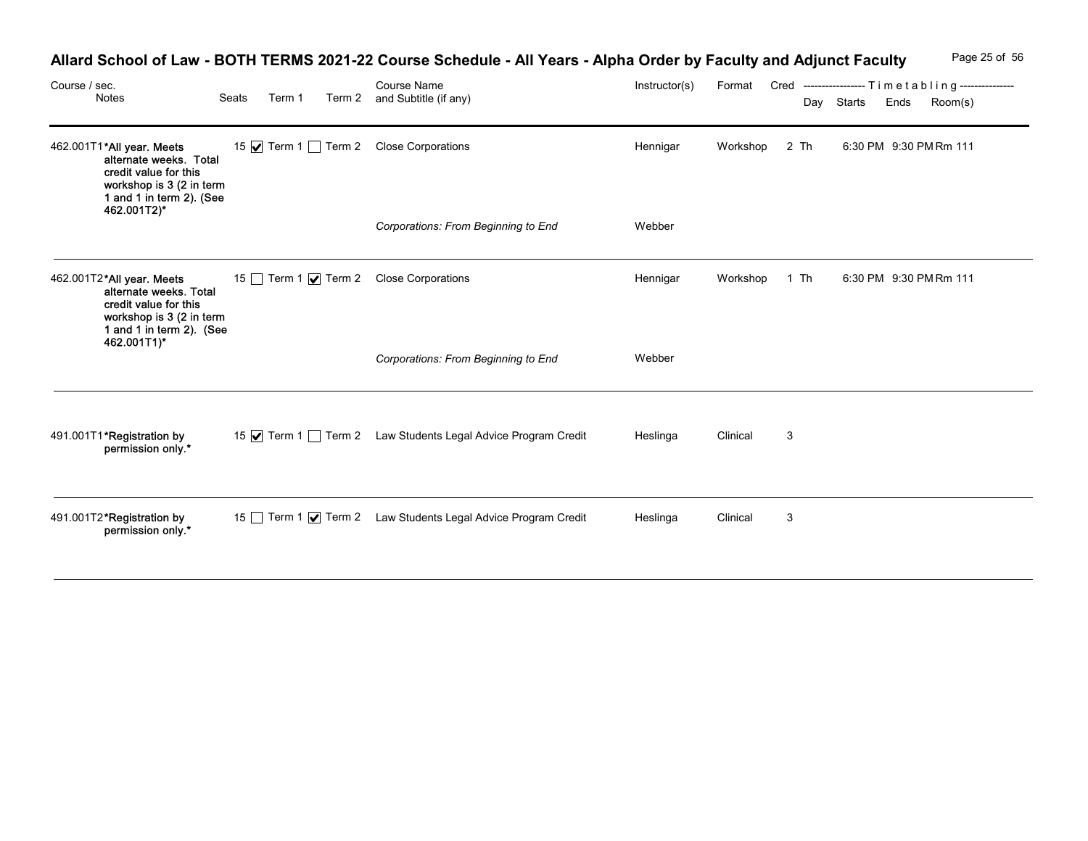| Course / sec. | Notes                                                                                                                                               | Seats | Term 1 | Allard School of Law - BOTH TERMS 2021-22 Course Schedule - All Years - Alpha Order by Faculty and Adjunct Faculty<br><b>Course Name</b><br>Term 2 and Subtitle (if any) | Instructor(s) |               |              | Page 25 of 56<br>Format Cred -----------------Timetabling---------------<br>Day Starts Ends<br>Room(s) |
|---------------|-----------------------------------------------------------------------------------------------------------------------------------------------------|-------|--------|--------------------------------------------------------------------------------------------------------------------------------------------------------------------------|---------------|---------------|--------------|--------------------------------------------------------------------------------------------------------|
|               | 462.001T1*All year. Meets<br>alternate weeks. Total<br>credit value for this<br>workshop is 3 (2 in term<br>1 and 1 in term 2). (See<br>462.001T2)* |       |        | 15 Ø Term 1 □ Term 2 Close Corporations                                                                                                                                  | Hennigar      | Workshop 2 Th |              | 6:30 PM 9:30 PM Rm 111                                                                                 |
|               |                                                                                                                                                     |       |        | Corporations: From Beginning to End                                                                                                                                      | Webber        |               |              |                                                                                                        |
|               | 462.001T2*All year. Meets<br>alternate weeks. Total<br>credit value for this<br>workshop is 3 (2 in term<br>1 and 1 in term 2). (See                |       |        | 15 Term 1 √ Term 2 Close Corporations                                                                                                                                    | Hennigar      | Workshop 1 Th |              | 6:30 PM 9:30 PM Rm 111                                                                                 |
|               | 462.001T1)*                                                                                                                                         |       |        | Corporations: From Beginning to End                                                                                                                                      | Webber        |               |              |                                                                                                        |
|               | 491.001T1*Registration by<br>*.permission only                                                                                                      |       |        | 15 √ Term 1 ∂ Term 2 Law Students Legal Advice Program Credit                                                                                                            | Heslinga      | Clinical      | $\mathbf{3}$ |                                                                                                        |
|               | 491.001T2*Registration by<br>*.permission only                                                                                                      |       |        | 15 Term 1 Ø Term 2 Law Students Legal Advice Program Credit                                                                                                              | Heslinga      | Clinical      | $\mathbf 3$  |                                                                                                        |

## Allard School of Law - BOTH TERMS 2021-22 Course Schedule - All Years - Alpha Order by Faculty and Adjunct Faculty Page 25 of 56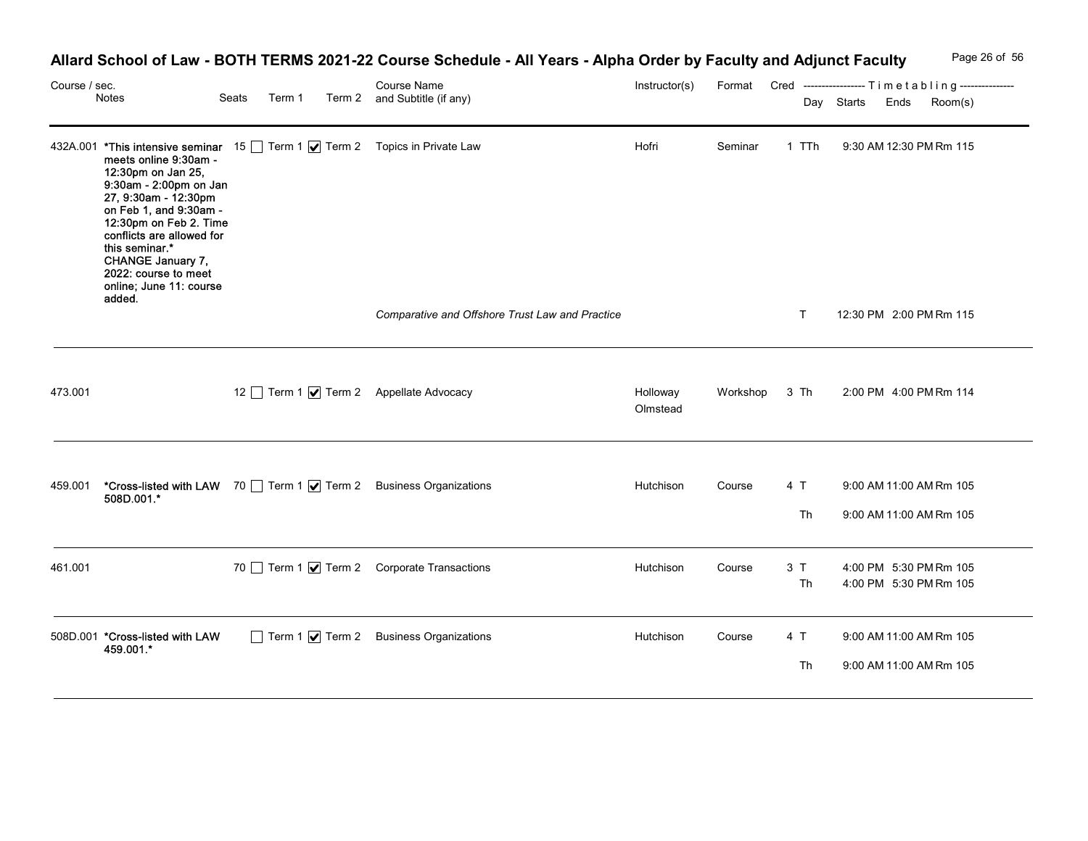| Course / sec. |                                                                                                                                                                                                                                                                                                                                                                   |                 | Allard School of Law - BOTH TERMS 2021-22 Course Schedule - All Years - Alpha Order by Faculty and Adjunct Faculty<br><b>Course Name</b> | Instructor(s)        |               |           | Page 26 of 56<br>Format Cred ----------------- Timetabling--------------- |
|---------------|-------------------------------------------------------------------------------------------------------------------------------------------------------------------------------------------------------------------------------------------------------------------------------------------------------------------------------------------------------------------|-----------------|------------------------------------------------------------------------------------------------------------------------------------------|----------------------|---------------|-----------|---------------------------------------------------------------------------|
|               | Notes                                                                                                                                                                                                                                                                                                                                                             | Seats<br>Term 1 | Term 2 and Subtitle (if any)                                                                                                             |                      |               |           | Day Starts Ends Room(s)                                                   |
|               | 432A.001 *This intensive seminar 15   Term 1   Term 2 Topics in Private Law<br>meets online 9:30am -<br>12:30pm on Jan 25,<br>9:30am - 2:00pm on Jan<br>27, 9:30am - 12:30pm<br>on Feb 1, and 9:30am -<br>12:30pm on Feb 2. Time<br>conflicts are allowed for<br>this seminar.*<br>CHANGE January 7,<br>2022: course to meet<br>online; June 11: course<br>added. |                 |                                                                                                                                          | Hofri                | Seminar       | 1 TTh     | 9:30 AM 12:30 PM Rm 115                                                   |
|               |                                                                                                                                                                                                                                                                                                                                                                   |                 | Comparative and Offshore Trust Law and Practice                                                                                          |                      |               | т         | 12:30 PM 2:00 PM Rm 115                                                   |
| 473.001       |                                                                                                                                                                                                                                                                                                                                                                   |                 | 12 Term 1 Ø Term 2 Appellate Advocacy                                                                                                    | Holloway<br>Olmstead | Workshop 3 Th |           | 2:00 PM 4:00 PM Rm 114                                                    |
|               | 459.001 *Cross-listed with LAW 70 Term 1 7 Term 2 Business Organizations<br>508D.001.*                                                                                                                                                                                                                                                                            |                 |                                                                                                                                          | Hutchison            | Course        | 4 T<br>Th | 9:00 AM 11:00 AM Rm 105<br>9:00 AM 11:00 AM Rm 105                        |
| 461.001       |                                                                                                                                                                                                                                                                                                                                                                   |                 | 70 Term 1 Ø Term 2 Corporate Transactions                                                                                                | Hutchison            | Course        | 3T<br>Th  | 4:00 PM 5:30 PM Rm 105<br>4:00 PM 5:30 PM Rm 105                          |
|               | 508D.001 *Cross-listed with LAW<br>459.001.*                                                                                                                                                                                                                                                                                                                      |                 | Term 1 7 Term 2 Business Organizations                                                                                                   | Hutchison            | Course        | 4 T       | 9:00 AM 11:00 AM Rm 105                                                   |

## Allard School of Law - BOTH TERMS 2021-22 Course Schedule - All Years - Alpha Order by Faculty and Adjunct Faculty Page 26 of 56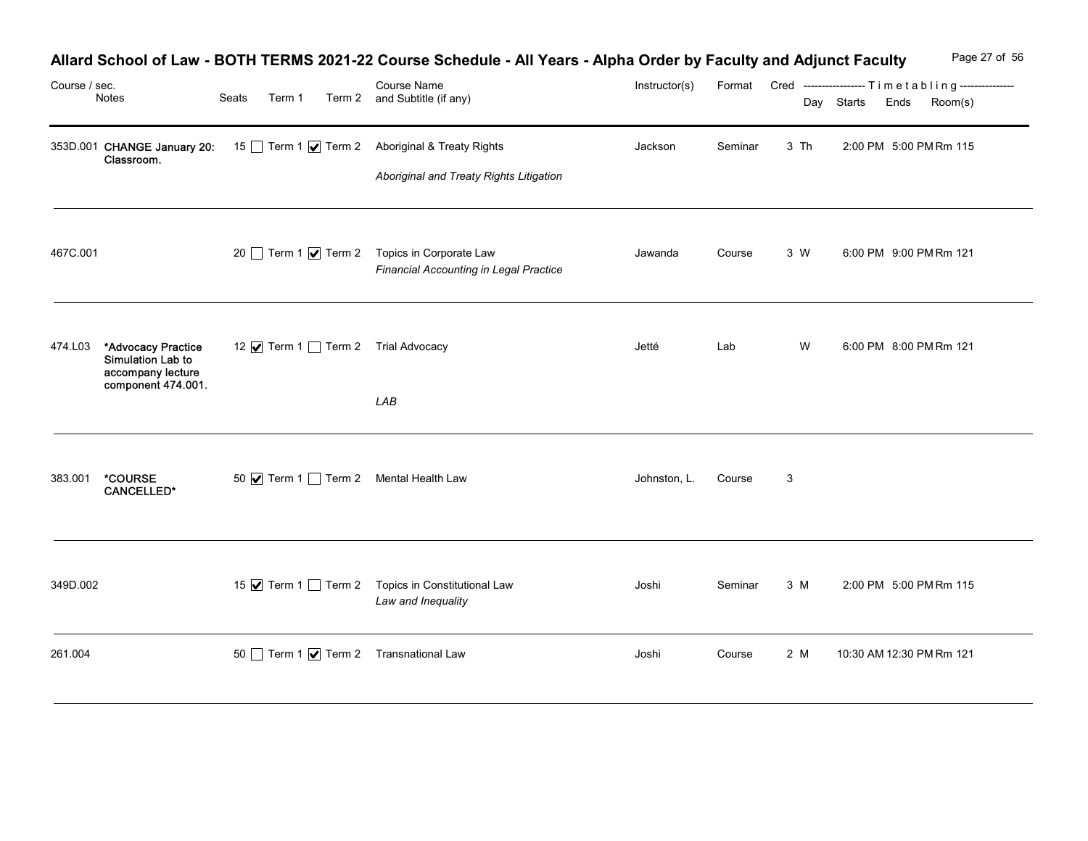|               |                                                                                            |                                               | Allard School of Law - BOTH TERMS 2021-22 Course Schedule - All Years - Alpha Order by Faculty and Adjunct Faculty |               |         |              | Page 27 of 56                                                                             |
|---------------|--------------------------------------------------------------------------------------------|-----------------------------------------------|--------------------------------------------------------------------------------------------------------------------|---------------|---------|--------------|-------------------------------------------------------------------------------------------|
| Course / sec. | Notes                                                                                      | Seats                                         | Course Name<br>Term 1 Term 2 and Subtitle (if any)                                                                 | Instructor(s) |         |              | Format Cred ----------------- Timetabling---------------<br>Day Starts<br>Room(s)<br>Ends |
|               | 353D.001 CHANGE January 20:<br>Classroom.                                                  |                                               | 15 Term 1 Ø Term 2 Aboriginal & Treaty Rights<br>Aboriginal and Treaty Rights Litigation                           | Jackson       | Seminar | 3 Th         | 2:00 PM 5:00 PM Rm 115                                                                    |
| 467C.001      |                                                                                            |                                               | 20 Term 1 √ Term 2 Topics in Corporate Law<br><b>Financial Accounting in Legal Practice</b>                        | Jawanda       | Course  | 3 W          | 6:00 PM 9:00 PM Rm 121                                                                    |
|               | 474.L03 *Advocacy Practice<br>Simulation Lab to<br>accompany lecture<br>component 474.001. | 12 Ø Term 1 □ Term 2 Trial Advocacy           | LAB                                                                                                                | Jetté         | Lab     | W            | 6:00 PM 8:00 PM Rm 121                                                                    |
| 383.001       | *COURSE<br><b>CANCELLED*</b>                                                               | 50 $\sqrt{ }$ Term 1 Term 2 Mental Health Law |                                                                                                                    | Johnston, L.  | Course  | $\mathbf{3}$ |                                                                                           |
| 349D.002      |                                                                                            |                                               | 15 √ Term 1 1 Term 2 Topics in Constitutional Law<br>Law and Inequality                                            | Joshi         | Seminar | 3 M          | 2:00 PM 5:00 PM Rm 115                                                                    |
| 261.004       |                                                                                            | 50 Term 1 7 Term 2 Transnational Law          |                                                                                                                    | Joshi         |         |              |                                                                                           |

## Allard School of Law - BOTH TERMS 2021-22 Course Schedule - All Years - Alpha Order by Faculty and Adjunct Faculty Page 27 of 56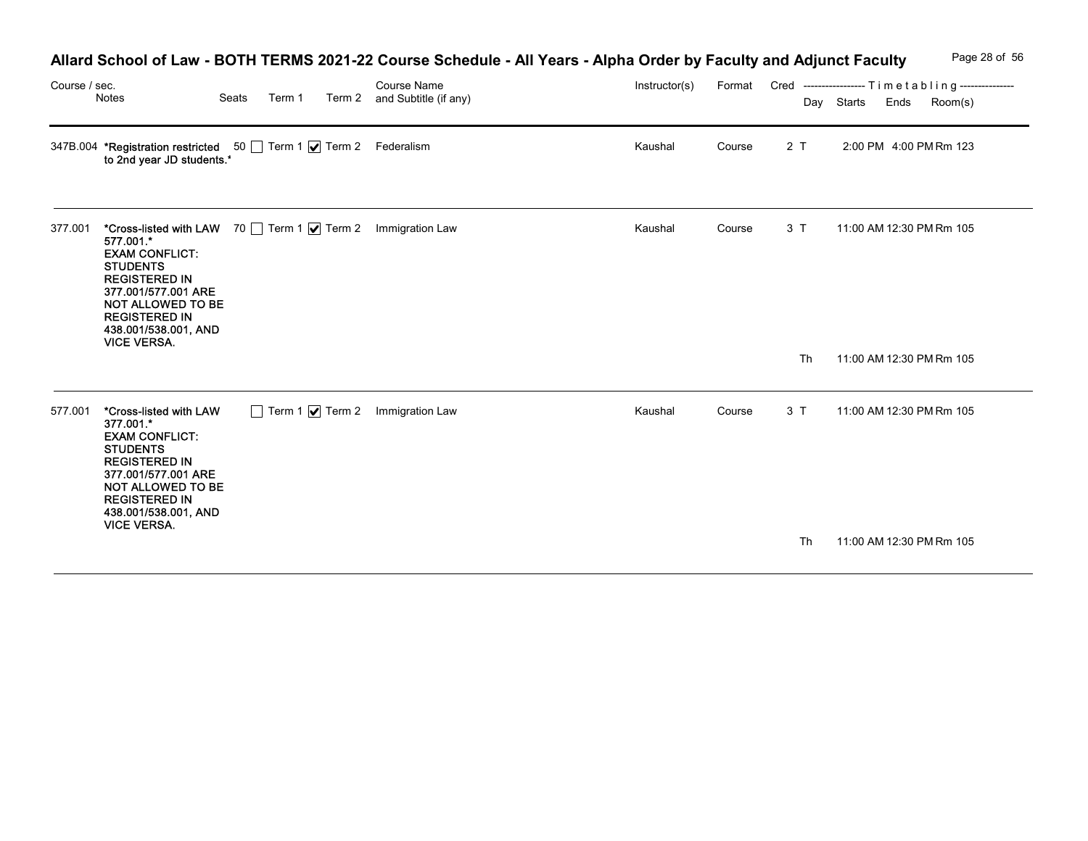| Course / sec. | Notes                                                                                                                                                                                                                                  | Seats<br>Term 1 | Course Name<br>Term 2 and Subtitle (if any) | Allard School of Law - BOTH TERMS 2021-22 Course Schedule - All Years - Alpha Order by Faculty and Adjunct Faculty<br>Instructor(s) |        |     | Page 28 of 56<br>Format Cred ----------------- Timetabling---------------<br>Room(s)<br>Day Starts<br>Ends |
|---------------|----------------------------------------------------------------------------------------------------------------------------------------------------------------------------------------------------------------------------------------|-----------------|---------------------------------------------|-------------------------------------------------------------------------------------------------------------------------------------|--------|-----|------------------------------------------------------------------------------------------------------------|
|               | 347B.004 <b>*Registration restricted</b> 50 Term 1 $\sqrt{ }$ Term 2 Federalism<br>to 2nd year JD students. <sup>*</sup>                                                                                                               |                 |                                             | Kaushal                                                                                                                             | Course | 2T  | 2:00 PM 4:00 PM Rm 123                                                                                     |
| 377.001       | *Cross-listed with LAW 70 Term 1   Term 2 Immigration Law<br>577.001.*<br><b>EXAM CONFLICT:</b><br><b>STUDENTS</b><br><b>REGISTERED IN</b><br>377.001/577.001 ARE<br>NOT ALLOWED TO BE<br><b>REGISTERED IN</b><br>438.001/538.001, AND |                 |                                             | Kaushal                                                                                                                             | Course | 3 T | 11:00 AM 12:30 PM Rm 105                                                                                   |
|               | <b>VICE VERSA.</b>                                                                                                                                                                                                                     |                 |                                             |                                                                                                                                     |        | Th  | 11:00 AM 12:30 PM Rm 105                                                                                   |
|               | 577.001 *Cross-listed with LAW<br>377.001.*<br><b>EXAM CONFLICT:</b><br><b>STUDENTS</b><br><b>REGISTERED IN</b><br>377.001/577.001 ARE<br>NOT ALLOWED TO BE<br><b>REGISTERED IN</b>                                                    |                 | Term 1 7 Term 2 Immigration Law             | Kaushal                                                                                                                             | Course | 3 T | 11:00 AM 12:30 PM Rm 105                                                                                   |
|               | 438.001/538.001, AND<br><b>VICE VERSA.</b>                                                                                                                                                                                             |                 |                                             |                                                                                                                                     |        | Th  | 11:00 AM 12:30 PM Rm 105                                                                                   |

# Allard School of Law - BOTH TERMS 2021-22 Course Schedule - All Years - Alpha Order by Faculty and Adjunct Faculty Page 28 of 56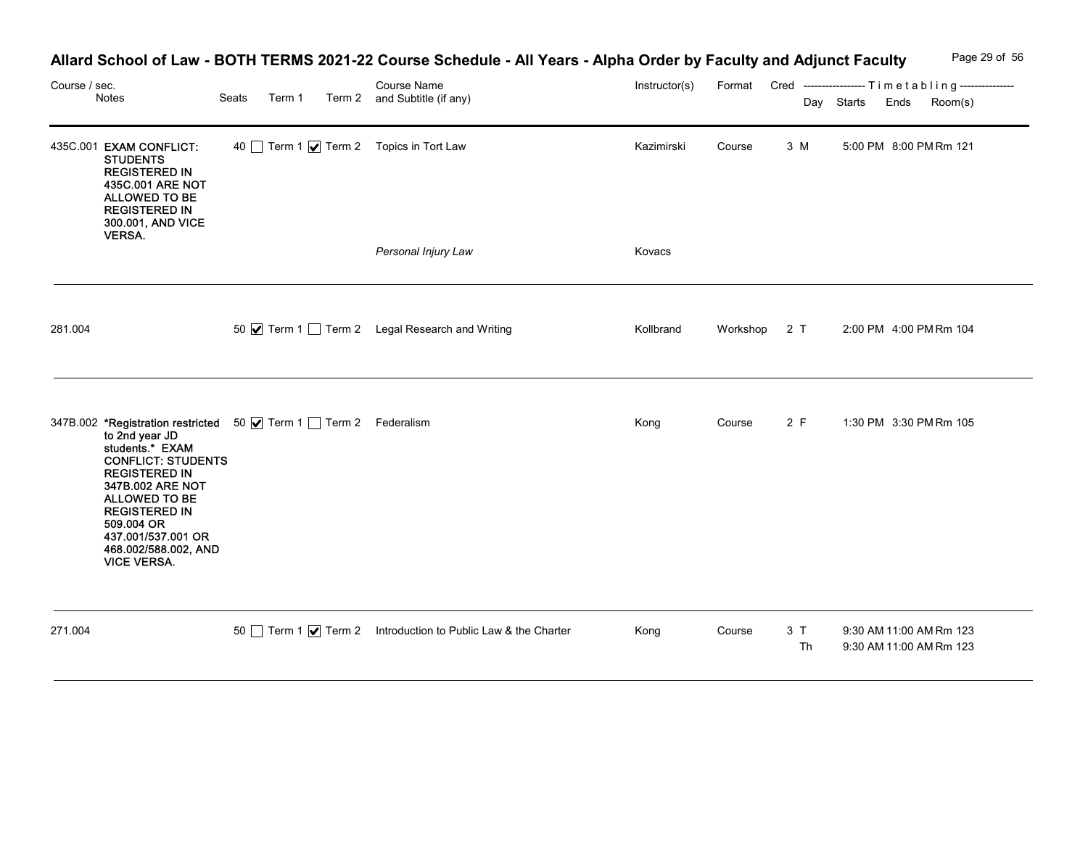| Course / sec. | Notes                                                                                                                                                                                                                                 | Seats<br>Term 1                                                 | Allard School of Law - BOTH TERMS 2021-22 Course Schedule - All Years - Alpha Order by Faculty and Adjunct Faculty<br>Course Name<br>Term 2 and Subtitle (if any) | Instructor(s) |          |          | Page 29 of 56<br>Format Cred -----------------Timetabling---------------<br>Day Starts<br>Ends<br>Room(s) |
|---------------|---------------------------------------------------------------------------------------------------------------------------------------------------------------------------------------------------------------------------------------|-----------------------------------------------------------------|-------------------------------------------------------------------------------------------------------------------------------------------------------------------|---------------|----------|----------|-----------------------------------------------------------------------------------------------------------|
|               | 435C.001 EXAM CONFLICT:<br><b>STUDENTS</b><br><b>REGISTERED IN</b><br>435C.001 ARE NOT<br>ALLOWED TO BE<br><b>REGISTERED IN</b><br>300.001, AND VICE<br><b>VERSA</b>                                                                  | 40 Term 1 7 Term 2 Topics in Tort Law                           |                                                                                                                                                                   | Kazimirski    | Course   | 3 M      | 5:00 PM 8:00 PM Rm 121                                                                                    |
|               |                                                                                                                                                                                                                                       |                                                                 | Personal Injury Law                                                                                                                                               | Kovacs        |          |          |                                                                                                           |
| 281.004       |                                                                                                                                                                                                                                       |                                                                 | 50 V Term 1 Term 2 Legal Research and Writing                                                                                                                     | Kollbrand     | Workshop | 2T       | 2:00 PM 4:00 PM Rm 104                                                                                    |
|               | to 2nd year JD<br>students.* EXAM<br><b>CONFLICT: STUDENTS</b><br><b>REGISTERED IN</b><br>347B.002 ARE NOT<br>ALLOWED TO BE<br><b>REGISTERED IN</b><br>509.004 OR<br>437.001/537.001 OR<br>468.002/588.002, AND<br><b>VICE VERSA.</b> | 347B.002 *Registration restricted 50 Ø Term 1 Term 2 Federalism |                                                                                                                                                                   | Kong          | Course   | 2 F      | 1:30 PM 3:30 PM Rm 105                                                                                    |
| 271.004       |                                                                                                                                                                                                                                       |                                                                 | 50 Term 1 7 Term 2 Introduction to Public Law & the Charter                                                                                                       | Kong          | Course   | 3T<br>Th | 9:30 AM 11:00 AM Rm 123<br>9:30 AM 11:00 AM Rm 123                                                        |

## Allard School of Law - BOTH TERMS 2021-22 Course Schedule - All Years - Alpha Order by Faculty and Adjunct Faculty Page 29 of 56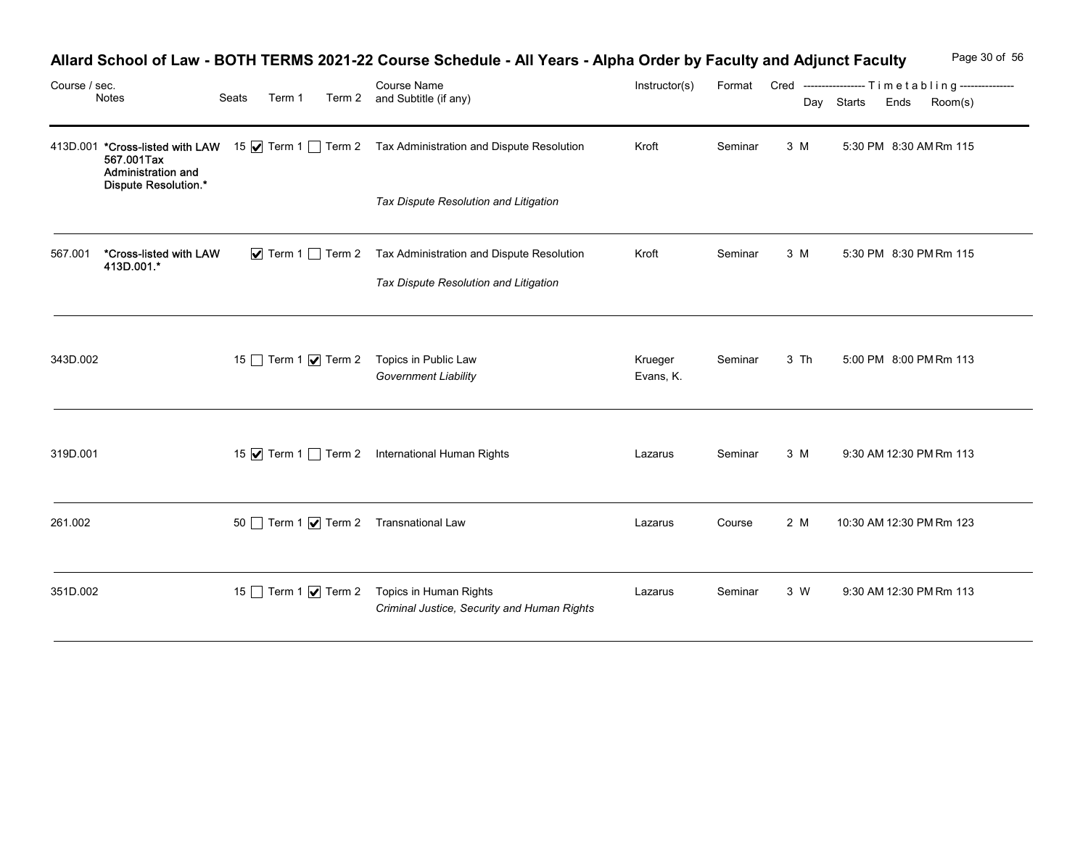| Course / sec. |                                                          |                                         | Allard School of Law - BOTH TERMS 2021-22 Course Schedule - All Years - Alpha Order by Faculty and Adjunct Faculty<br>Course Name | Instructor(s)        |         |      |            | Page 30 of 56<br>Format Cred ----------------- Timetabling--------------- |
|---------------|----------------------------------------------------------|-----------------------------------------|-----------------------------------------------------------------------------------------------------------------------------------|----------------------|---------|------|------------|---------------------------------------------------------------------------|
|               | Notes                                                    | Seats<br>Term 1                         | Term 2 and Subtitle (if any)                                                                                                      |                      |         |      | Day Starts | Ends<br>Room(s)                                                           |
|               | 567.001Tax<br>Administration and<br>Dispute Resolution.* |                                         | 413D.001 *Cross-listed with LAW 15 M Term 1 Term 2 Tax Administration and Dispute Resolution                                      | Kroft                | Seminar | 3 M  |            | 5:30 PM 8:30 AM Rm 115                                                    |
|               |                                                          |                                         | Tax Dispute Resolution and Litigation                                                                                             |                      |         |      |            |                                                                           |
| 567.001       | *Cross-listed with LAW<br>413D.001.*                     |                                         | $\triangledown$ Term 1 $\square$ Term 2 Tax Administration and Dispute Resolution<br>Tax Dispute Resolution and Litigation        | Kroft                | Seminar | 3 M  |            | 5:30 PM 8:30 PM Rm 115                                                    |
|               |                                                          |                                         |                                                                                                                                   |                      |         |      |            |                                                                           |
| 343D.002      |                                                          | 15 Term 1 Ø Term 2 Topics in Public Law | <b>Government Liability</b>                                                                                                       | Krueger<br>Evans, K. | Seminar | 3 Th |            | 5:00 PM 8:00 PM Rm 113                                                    |
|               |                                                          |                                         |                                                                                                                                   |                      |         |      |            |                                                                           |
| 319D.001      |                                                          |                                         | 15 √ Term 1 1 Term 2 International Human Rights                                                                                   | Lazarus              | Seminar | 3 M  |            | 9:30 AM 12:30 PM Rm 113                                                   |
| 261.002       |                                                          | 50 Term 1 7 Term 2 Transnational Law    |                                                                                                                                   | Lazarus              | Course  | 2 M  |            | 10:30 AM 12:30 PM Rm 123                                                  |
| 351D.002      |                                                          |                                         | 15 Term 1 Ø Term 2 Topics in Human Rights<br>Criminal Justice, Security and Human Rights                                          | Lazarus              | Seminar | 3 W  |            | 9:30 AM 12:30 PM Rm 113                                                   |

# Allard School of Law - BOTH TERMS 2021-22 Course Schedule - All Years - Alpha Order by Faculty and Adjunct Faculty Page 30 of 56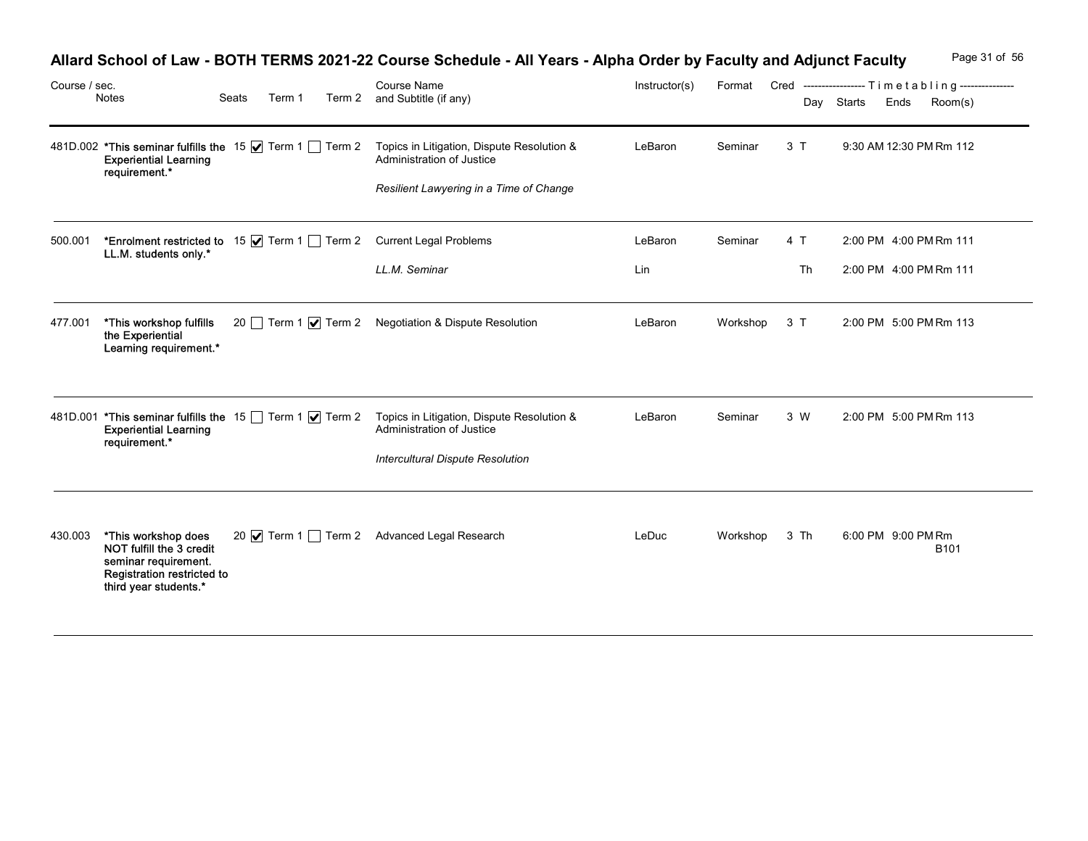| Course / sec. |                                                                                                                         |       |  | Allard School of Law - BOTH TERMS 2021-22 Course Schedule - All Years - Alpha Order by Faculty and Adjunct Faculty<br>Course Name | Instructor(s) | Format        |     | Page 31 of 56<br>Cred ----------------- Timetabling--------------- |
|---------------|-------------------------------------------------------------------------------------------------------------------------|-------|--|-----------------------------------------------------------------------------------------------------------------------------------|---------------|---------------|-----|--------------------------------------------------------------------|
|               | Notes                                                                                                                   | Seats |  | Term 1 Term 2 and Subtitle (if any)                                                                                               |               |               |     | Day Starts<br>Room(s)<br>Ends                                      |
|               | 481D.002 *This seminar fulfills the 15 $\sqrt{ }$ Term 1 Term 2<br><b>Experiential Learning</b><br>requirement.*        |       |  | Topics in Litigation, Dispute Resolution &<br>Administration of Justice                                                           | LeBaron       | Seminar       | 3T  | 9:30 AM 12:30 PM Rm 112                                            |
|               |                                                                                                                         |       |  | Resilient Lawyering in a Time of Change                                                                                           |               |               |     |                                                                    |
| 500.001       | LL.M. students only.*                                                                                                   |       |  | *Enrolment restricted to 15 \[ Term 1 \[ Term 2 Current Legal Problems                                                            | LeBaron       | Seminar       | 4 T | 2:00 PM 4:00 PM Rm 111                                             |
|               |                                                                                                                         |       |  | LL.M. Seminar                                                                                                                     | Lin           |               | Th  | 2:00 PM 4:00 PM Rm 111                                             |
| 477.001       | *This workshop fulfills<br>the Experiential<br>Learning requirement.*                                                   |       |  | 20   Term 1 √ Term 2 Negotiation & Dispute Resolution                                                                             | LeBaron       | Workshop      | 3 T | 2:00 PM 5:00 PM Rm 113                                             |
|               | 481D.001 <b>*This seminar fulfills the</b> 15 □ Term 1 <b>V</b> Term 2<br><b>Experiential Learning</b><br>requirement.* |       |  | Topics in Litigation, Dispute Resolution &<br>Administration of Justice                                                           | LeBaron       | Seminar       | 3 W | 2:00 PM 5:00 PM Rm 113                                             |
|               |                                                                                                                         |       |  | <b>Intercultural Dispute Resolution</b>                                                                                           |               |               |     |                                                                    |
| 430.003       | *This workshop does<br>NOT fulfill the 3 credit<br>seminar requirement.<br>Registration restricted to                   |       |  | 20 √ Term 1 1 Term 2 Advanced Legal Research                                                                                      | LeDuc         | Workshop 3 Th |     | 6:00 PM 9:00 PM Rm<br>B101                                         |

#### Allard School of Law - BOTH TERMS 2021-22 Course Schedule - All Years - Alpha Order by Faculty and Adjunct Faculty Page 31 of 56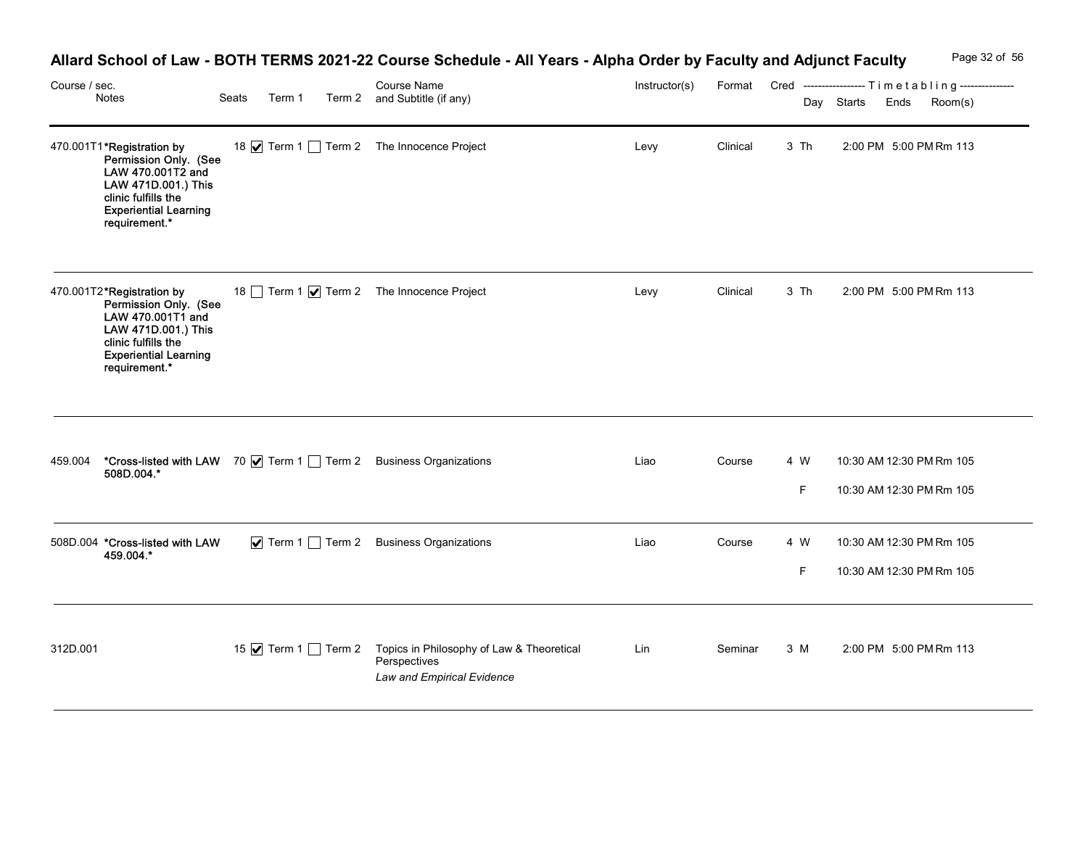|               |                                                                                                                                                                        |       |        | Allard School of Law - BOTH TERMS 2021-22 Course Schedule - All Years - Alpha Order by Faculty and Adjunct Faculty |               |          |           |                    | Page 32 of 56                                                       |
|---------------|------------------------------------------------------------------------------------------------------------------------------------------------------------------------|-------|--------|--------------------------------------------------------------------------------------------------------------------|---------------|----------|-----------|--------------------|---------------------------------------------------------------------|
| Course / sec. | Notes                                                                                                                                                                  | Seats | Term 1 | <b>Course Name</b><br>Term 2 and Subtitle (if any)                                                                 | Instructor(s) |          |           | Day Starts<br>Ends | Format Cred ----------------- Timetabling---------------<br>Room(s) |
|               | 470.001T1*Registration by<br>Permission Only. (See<br>LAW 470.001T2 and<br>LAW 471D.001.) This<br>clinic fulfills the<br><b>Experiential Learning</b><br>requirement.* |       |        | 18 Ø Term 1 □ Term 2 The Innocence Project                                                                         | Levy          | Clinical | 3 Th      |                    | 2:00 PM 5:00 PM Rm 113                                              |
|               | 470.001T2*Registration by<br>Permission Only. (See<br>LAW 470.001T1 and<br>LAW 471D.001.) This<br>clinic fulfills the<br><b>Experiential Learning</b><br>requirement.* |       |        | 18 Term 1 √ Term 2 The Innocence Project                                                                           | Levy          | Clinical | 3 Th      |                    | 2:00 PM 5:00 PM Rm 113                                              |
|               | 508D.004.*                                                                                                                                                             |       |        | 459.004 *Cross-listed with LAW 70   Term 1   Term 2 Business Organizations                                         | Liao          | Course   | 4 W<br>F. |                    | 10:30 AM 12:30 PM Rm 105<br>10:30 AM 12:30 PM Rm 105                |
|               | 508D.004 *Cross-listed with LAW<br>459.004.*                                                                                                                           |       |        | ✔ Term 1 □ Term 2 Business Organizations                                                                           | Liao          | Course   | 4 W<br>F. |                    | 10:30 AM 12:30 PM Rm 105<br>10:30 AM 12:30 PM Rm 105                |
| 312D.001      |                                                                                                                                                                        |       |        | 15 ● Term 1 □ Term 2 Topics in Philosophy of Law & Theoretical<br>Perspectives<br>Law and Empirical Evidence       | Lin           | Seminar  | 3 M       |                    | 2:00 PM 5:00 PM Rm 113                                              |

## Allard School of Law - BOTH TERMS 2021-22 Course Schedule - All Years - Alpha Order by Faculty and Adjunct Faculty Page 32 of 56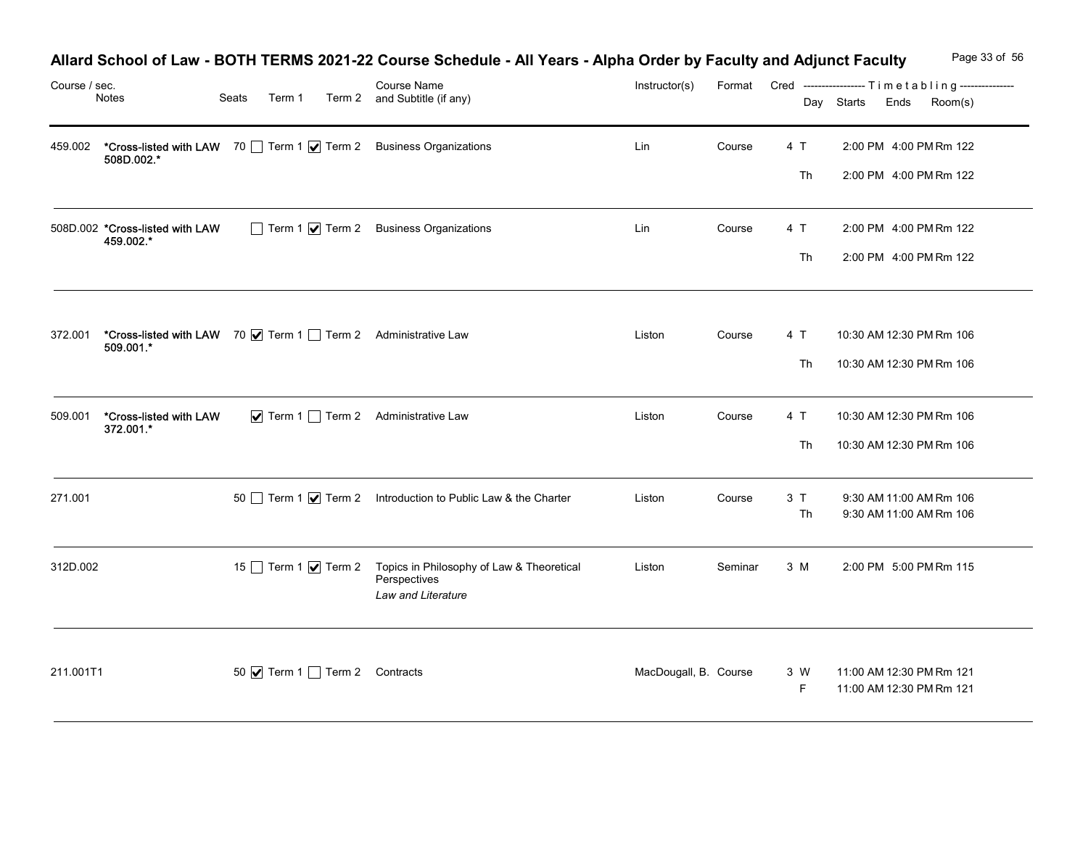| Course / sec. |                                                                           |                              | Allard School of Law - BOTH TERMS 2021-22 Course Schedule - All Years - Alpha Order by Faculty and Adjunct Faculty<br>Course Name | Instructor(s)         |         |          | Format Cred ----------------- Timetabling--------------- | Page 33 of 56 |
|---------------|---------------------------------------------------------------------------|------------------------------|-----------------------------------------------------------------------------------------------------------------------------------|-----------------------|---------|----------|----------------------------------------------------------|---------------|
|               | Notes                                                                     | Seats<br>Term 1              | Term 2 and Subtitle (if any)                                                                                                      |                       |         |          | Day Starts Ends                                          | Room(s)       |
| 459.002       | 508D.002.*                                                                |                              | *Cross-listed with LAW 70   Term 1   Term 2 Business Organizations                                                                | Lin                   | Course  | 4 T      | 2:00 PM 4:00 PM Rm 122                                   |               |
|               |                                                                           |                              |                                                                                                                                   |                       |         | Th       | 2:00 PM 4:00 PM Rm 122                                   |               |
|               | 508D.002 *Cross-listed with LAW<br>459.002.*                              |                              | Term 1 7 Term 2 Business Organizations                                                                                            | Lin                   | Course  | 4 T      | 2:00 PM 4:00 PM Rm 122                                   |               |
|               |                                                                           |                              |                                                                                                                                   |                       |         | Th       | 2:00 PM 4:00 PM Rm 122                                   |               |
|               |                                                                           |                              |                                                                                                                                   |                       |         |          |                                                          |               |
| 372.001       | *Cross-listed with LAW 70 V Term 1 Term 2 Administrative Law<br>509.001.* |                              |                                                                                                                                   | Liston                | Course  | 4 T      | 10:30 AM 12:30 PM Rm 106                                 |               |
|               |                                                                           |                              |                                                                                                                                   |                       |         | Th       | 10:30 AM 12:30 PM Rm 106                                 |               |
| 509.001       | *Cross-listed with LAW                                                    |                              | ▼ Term 1 Term 2 Administrative Law                                                                                                | Liston                | Course  | 4 T      | 10:30 AM 12:30 PM Rm 106                                 |               |
|               | 372.001.*                                                                 |                              |                                                                                                                                   |                       |         | Th       | 10:30 AM 12:30 PM Rm 106                                 |               |
|               |                                                                           |                              |                                                                                                                                   |                       |         |          |                                                          |               |
| 271.001       |                                                                           |                              | 50 Term 1 √ Term 2 Introduction to Public Law & the Charter                                                                       | Liston                | Course  | 3T<br>Th | 9:30 AM 11:00 AM Rm 106<br>9:30 AM 11:00 AM Rm 106       |               |
| 312D.002      |                                                                           | 15 Term 1 $\sqrt{ }$ Term 2  | Topics in Philosophy of Law & Theoretical                                                                                         | Liston                | Seminar | 3 M      | 2:00 PM 5:00 PM Rm 115                                   |               |
|               |                                                                           |                              | Perspectives<br>Law and Literature                                                                                                |                       |         |          |                                                          |               |
|               |                                                                           |                              |                                                                                                                                   |                       |         |          |                                                          |               |
|               | 211.001T1                                                                 | 50 Ø Term 1 Term 2 Contracts |                                                                                                                                   | MacDougall, B. Course |         | 3 W      | 11:00 AM 12:30 PM Rm 121                                 |               |

## Allard School of Law - BOTH TERMS 2021-22 Course Schedule - All Years - Alpha Order by Faculty and Adjunct Faculty Page 33 of 56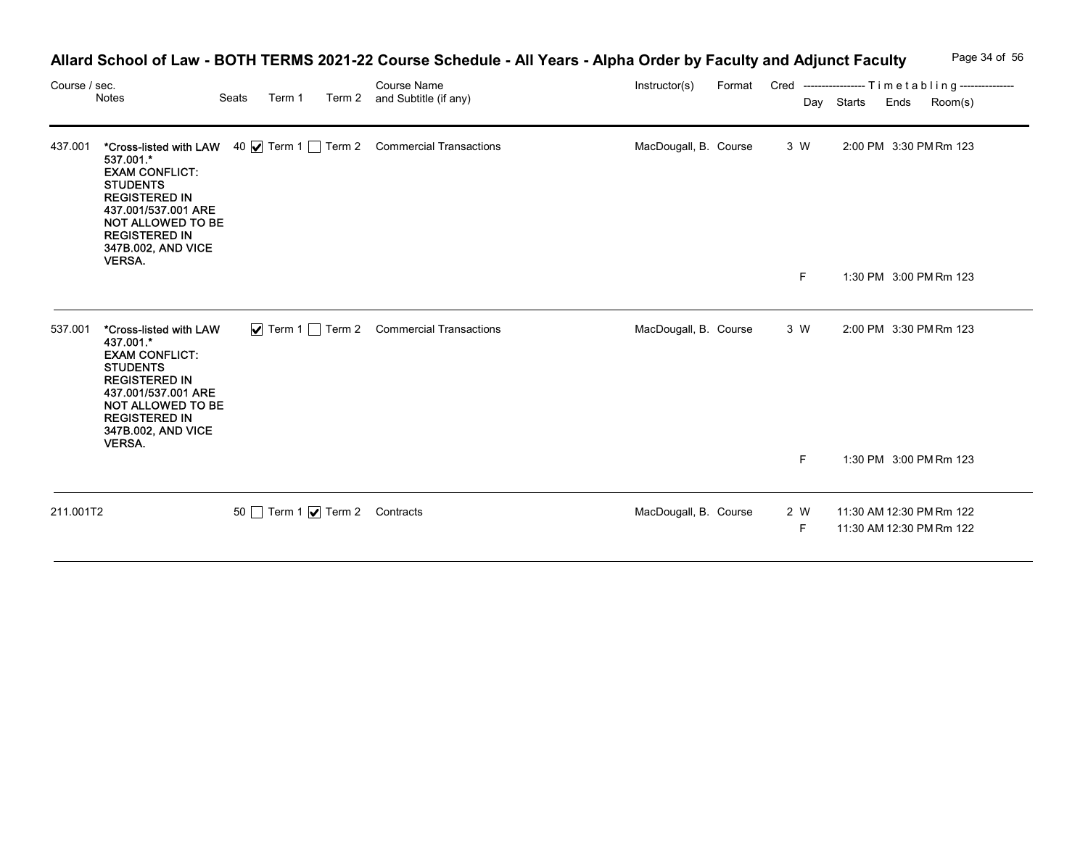| Course / sec. | Notes                                                                                                                                                                                             | Seats | Term 1 | Course Name<br>Term 2 and Subtitle (if any)                         | Allard School of Law - BOTH TERMS 2021-22 Course Schedule - All Years - Alpha Order by Faculty and Adjunct Faculty<br>Instructor(s) |          | Page 34 of 56<br>Format Cred ----------------- Timetabling---------------<br>Day Starts<br>Ends<br>Room(s) |
|---------------|---------------------------------------------------------------------------------------------------------------------------------------------------------------------------------------------------|-------|--------|---------------------------------------------------------------------|-------------------------------------------------------------------------------------------------------------------------------------|----------|------------------------------------------------------------------------------------------------------------|
| 437.001       | 537.001.*<br><b>EXAM CONFLICT:</b><br><b>STUDENTS</b><br><b>REGISTERED IN</b><br>437.001/537.001 ARE<br>NOT ALLOWED TO BE<br><b>REGISTERED IN</b><br>347B.002, AND VICE<br><b>VERSA.</b>          |       |        | *Cross-listed with LAW 40   Term 1   Term 2 Commercial Transactions | MacDougall, B. Course                                                                                                               | 3 W      | 2:00 PM 3:30 PM Rm 123                                                                                     |
|               |                                                                                                                                                                                                   |       |        |                                                                     |                                                                                                                                     | F        | 1:30 PM 3:00 PM Rm 123                                                                                     |
| 537.001       | *Cross-listed with LAW<br>437.001.*<br><b>EXAM CONFLICT:</b><br><b>STUDENTS</b><br><b>REGISTERED IN</b><br>437.001/537.001 ARE<br>NOT ALLOWED TO BE<br><b>REGISTERED IN</b><br>347B.002, AND VICE |       |        | ✔ Term 1 □ Term 2 Commercial Transactions                           | MacDougall, B. Course                                                                                                               | 3 W      | 2:00 PM 3:30 PM Rm 123                                                                                     |
|               | <b>VERSA</b>                                                                                                                                                                                      |       |        |                                                                     |                                                                                                                                     | F        | 1:30 PM 3:00 PM Rm 123                                                                                     |
| 211.001T2     |                                                                                                                                                                                                   |       |        | 50 Term 1 7 Term 2 Contracts                                        | MacDougall, B. Course                                                                                                               | 2 W<br>F | 11:30 AM 12:30 PM Rm 122<br>11:30 AM 12:30 PM Rm 122                                                       |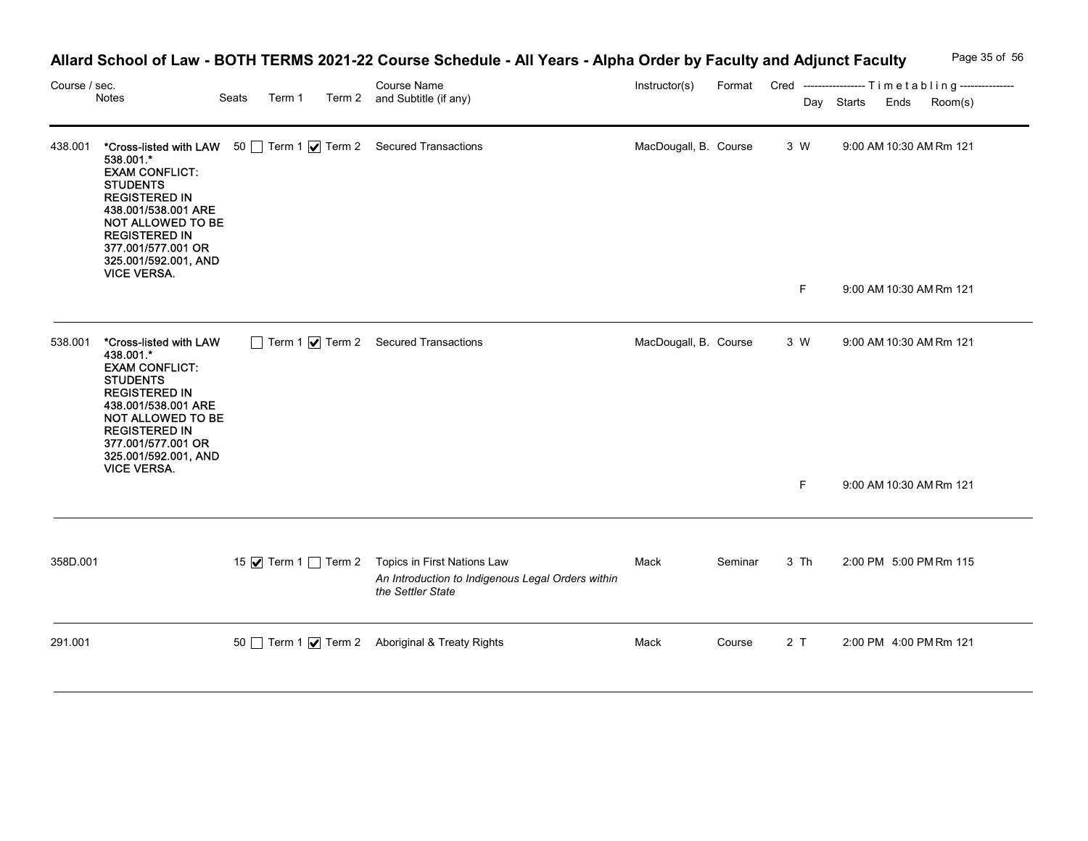| Course / sec. | Notes                                                                                                                                                                                                                                                                                   | Seats<br>Term 1 | Allard School of Law - BOTH TERMS 2021-22 Course Schedule - All Years - Alpha Order by Faculty and Adjunct Faculty<br>Course Name<br>Term 2 and Subtitle (if any) | Instructor(s)         |         |                 | Day Starts Ends | Page 35 of 56<br>Format Cred ----------------- Timetabling---------------<br>Room(s) |
|---------------|-----------------------------------------------------------------------------------------------------------------------------------------------------------------------------------------------------------------------------------------------------------------------------------------|-----------------|-------------------------------------------------------------------------------------------------------------------------------------------------------------------|-----------------------|---------|-----------------|-----------------|--------------------------------------------------------------------------------------|
| 438.001       | *Cross-listed with LAW 50 Term 1   Term 2 Secured Transactions<br>538.001.*<br><b>EXAM CONFLICT:</b><br><b>STUDENTS</b><br><b>REGISTERED IN</b><br>438.001/538.001 ARE<br>NOT ALLOWED TO BE<br><b>REGISTERED IN</b><br>377.001/577.001 OR<br>325.001/592.001, AND<br><b>VICE VERSA.</b> |                 |                                                                                                                                                                   | MacDougall, B. Course |         | 3 W             |                 | 9:00 AM 10:30 AM Rm 121                                                              |
|               | 538.001 *Cross-listed with LAW<br>438.001.*<br><b>EXAM CONFLICT:</b><br><b>STUDENTS</b><br><b>REGISTERED IN</b><br>438.001/538.001 ARE<br>NOT ALLOWED TO BE<br><b>REGISTERED IN</b><br>377.001/577.001 OR<br>325.001/592.001, AND<br><b>VICE VERSA.</b>                                 |                 | Term 1 7 Term 2 Secured Transactions                                                                                                                              | MacDougall, B. Course |         | F.<br>3 W<br>F. |                 | 9:00 AM 10:30 AM Rm 121<br>9:00 AM 10:30 AM Rm 121<br>9:00 AM 10:30 AM Rm 121        |
| 358D.001      |                                                                                                                                                                                                                                                                                         |                 | 15 √ Term 1 ◯ Term 2 Topics in First Nations Law<br>An Introduction to Indigenous Legal Orders within<br>the Settler State                                        | Mack                  | Seminar | 3 Th            |                 | 2:00 PM 5:00 PM Rm 115                                                               |
| 291.001       |                                                                                                                                                                                                                                                                                         |                 | 50 Term 1 Ø Term 2 Aboriginal & Treaty Rights                                                                                                                     | Mack                  | Course  | 2T              |                 | 2:00 PM 4:00 PM Rm 121                                                               |

# Allard School of Law - BOTH TERMS 2021-22 Course Schedule - All Years - Alpha Order by Faculty and Adjunct Faculty Page 35 of 56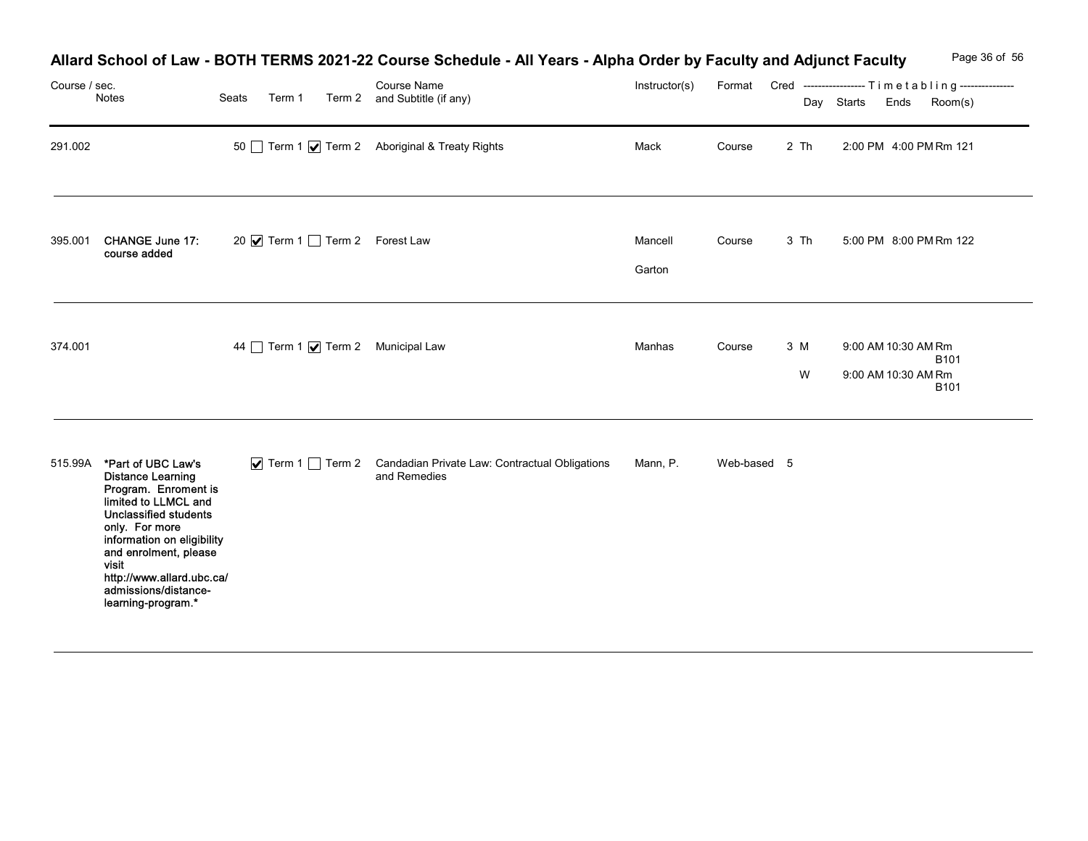|               |                                                                                                                                                                                                                                                                                              |                                 | Allard School of Law - BOTH TERMS 2021-22 Course Schedule - All Years - Alpha Order by Faculty and Adjunct Faculty |                   |             |          | Page 36 of 56                                                                       |
|---------------|----------------------------------------------------------------------------------------------------------------------------------------------------------------------------------------------------------------------------------------------------------------------------------------------|---------------------------------|--------------------------------------------------------------------------------------------------------------------|-------------------|-------------|----------|-------------------------------------------------------------------------------------|
| Course / sec. | Notes                                                                                                                                                                                                                                                                                        | Seats                           | Course Name<br>Term 1 Term 2 and Subtitle (if any)                                                                 | Instructor(s)     |             |          | Format Cred ----------------- Timetabling---------------<br>Day Starts Ends Room(s) |
| 291.002       |                                                                                                                                                                                                                                                                                              |                                 | 50 Term 1 Ø Term 2 Aboriginal & Treaty Rights                                                                      | Mack              | Course      | 2 Th     | 2:00 PM 4:00 PM Rm 121                                                              |
| 395.001       | CHANGE June 17:<br>course added                                                                                                                                                                                                                                                              | 20 Ø Term 1 □ Term 2 Forest Law |                                                                                                                    | Mancell<br>Garton | Course      | 3 Th     | 5:00 PM 8:00 PM Rm 122                                                              |
| 374.001       |                                                                                                                                                                                                                                                                                              |                                 | 44 Term 1 <b>V</b> Term 2 Municipal Law                                                                            | Manhas            | Course      | 3 M<br>W | 9:00 AM 10:30 AM Rm<br><b>B101</b><br>9:00 AM 10:30 AM Rm<br><b>B101</b>            |
|               | 515.99A *Part of UBC Law's<br><b>Distance Learning</b><br>Program. Enroment is<br>limited to LLMCL and<br>Unclassified students<br>only. For more<br>information on eligibility<br>and enrolment, please<br>visit<br>http://www.allard.ubc.ca/<br>admissions/distance-<br>learning-program.* |                                 | ▼ Term 1 Term 2 Candadian Private Law: Contractual Obligations<br>and Remedies                                     | Mann, P.          | Web-based 5 |          |                                                                                     |

## Allard School of Law - BOTH TERMS 2021-22 Course Schedule - All Years - Alpha Order by Faculty and Adjunct Faculty Page 36 of 56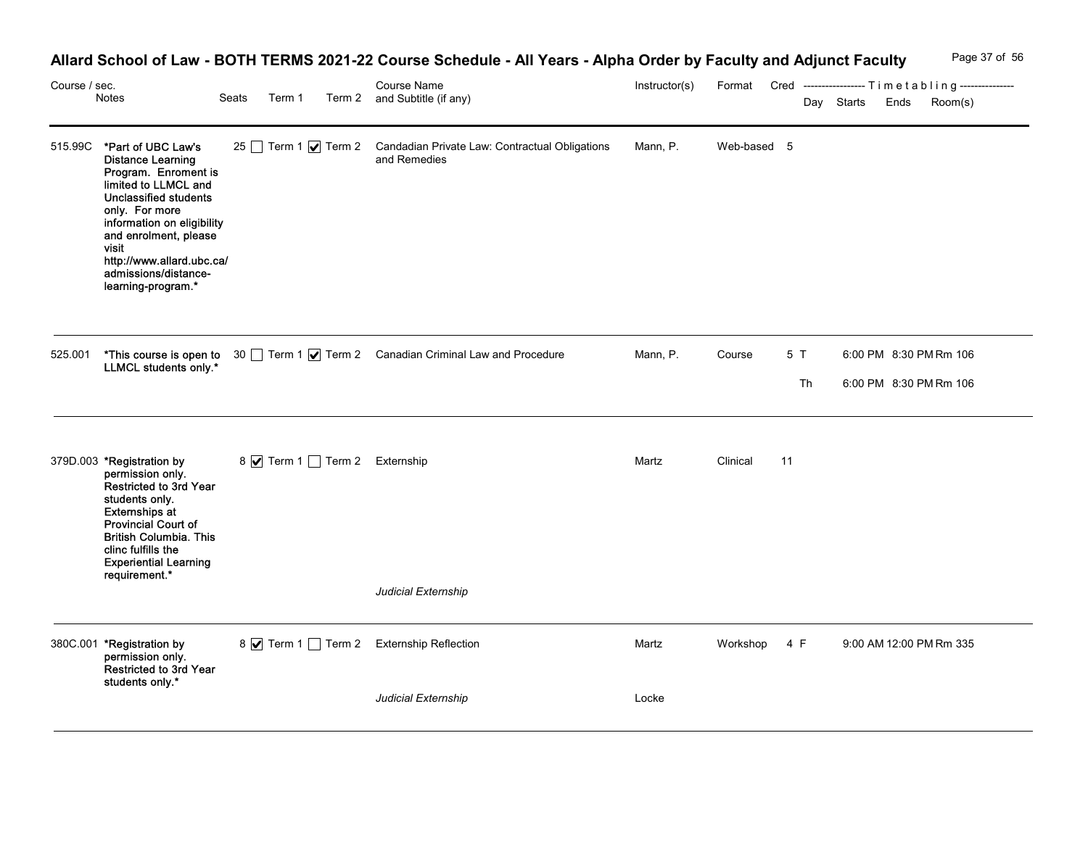| <b>Allard School of Law</b> | - BOTH TERMS 2021-22 C | <b>All Years</b><br><b>Course Schedule</b> | - Alpha<br>Order by Faculty and A. | <b>Adjunct Faculty</b> | Page 37 of |  |
|-----------------------------|------------------------|--------------------------------------------|------------------------------------|------------------------|------------|--|
|                             |                        |                                            |                                    |                        |            |  |

| Course / sec. | Notes                                                                                                                                                                                                                                                                                               | Seats<br>Term 1 | <b>Course Name</b><br>Term 2 and Subtitle (if any)                                                                                     | Allard School of Law - BOTH TERMS 2021-22 Course Schedule - All Years - Alpha Order by Faculty and Adjunct Faculty | Instructor(s) |              |          | Day Starts | Format Cred ----------------- Timetabling ---------------<br>Ends<br>Room(s) | Page 37 of 56 |
|---------------|-----------------------------------------------------------------------------------------------------------------------------------------------------------------------------------------------------------------------------------------------------------------------------------------------------|-----------------|----------------------------------------------------------------------------------------------------------------------------------------|--------------------------------------------------------------------------------------------------------------------|---------------|--------------|----------|------------|------------------------------------------------------------------------------|---------------|
|               | 515.99C *Part of UBC Law's<br><b>Distance Learning</b><br>Program. Enroment is<br>limited to LLMCL and<br><b>Unclassified students</b><br>only. For more<br>information on eligibility<br>and enrolment, please<br>visit<br>http://www.allard.ubc.ca/<br>admissions/distance-<br>learning-program.* |                 | and Remedies                                                                                                                           | 25 Term 1 Ø Term 2 Candadian Private Law: Contractual Obligations                                                  | Mann, P.      | Web-based 5  |          |            |                                                                              |               |
|               |                                                                                                                                                                                                                                                                                                     |                 | 525.001 <b>*This course is open to</b> 30 <u>□</u> Term 1 <b>v</b> Term 2 Canadian Criminal Law and Procedure<br>LLMCL students only.* |                                                                                                                    | Mann, P.      | Course       | 5T<br>Th |            | 6:00 PM 8:30 PM Rm 106<br>6:00 PM 8:30 PM Rm 106                             |               |
|               | 379D.003 *Registration by<br>permission only.<br>Restricted to 3rd Year<br>students only.<br><b>Externships at</b><br>Provincial Court of<br><b>British Columbia. This</b><br>clinc fulfills the<br><b>Experiential Learning</b><br>requirement.*                                                   |                 | 8 • Term 1 □ Term 2 Externship                                                                                                         |                                                                                                                    | Martz         | Clinical     | 11       |            |                                                                              |               |
|               |                                                                                                                                                                                                                                                                                                     |                 | Judicial Externship                                                                                                                    |                                                                                                                    |               |              |          |            |                                                                              |               |
|               | 380C.001 *Registration by<br>permission only.<br>Restricted to 3rd Year<br>students only.*                                                                                                                                                                                                          |                 | 8 Ø Term 1 □ Term 2 Externship Reflection                                                                                              |                                                                                                                    | Martz         | Workshop 4 F |          |            | 9:00 AM 12:00 PM Rm 335                                                      |               |
|               |                                                                                                                                                                                                                                                                                                     |                 | Judicial Externship                                                                                                                    |                                                                                                                    | Locke         |              |          |            |                                                                              |               |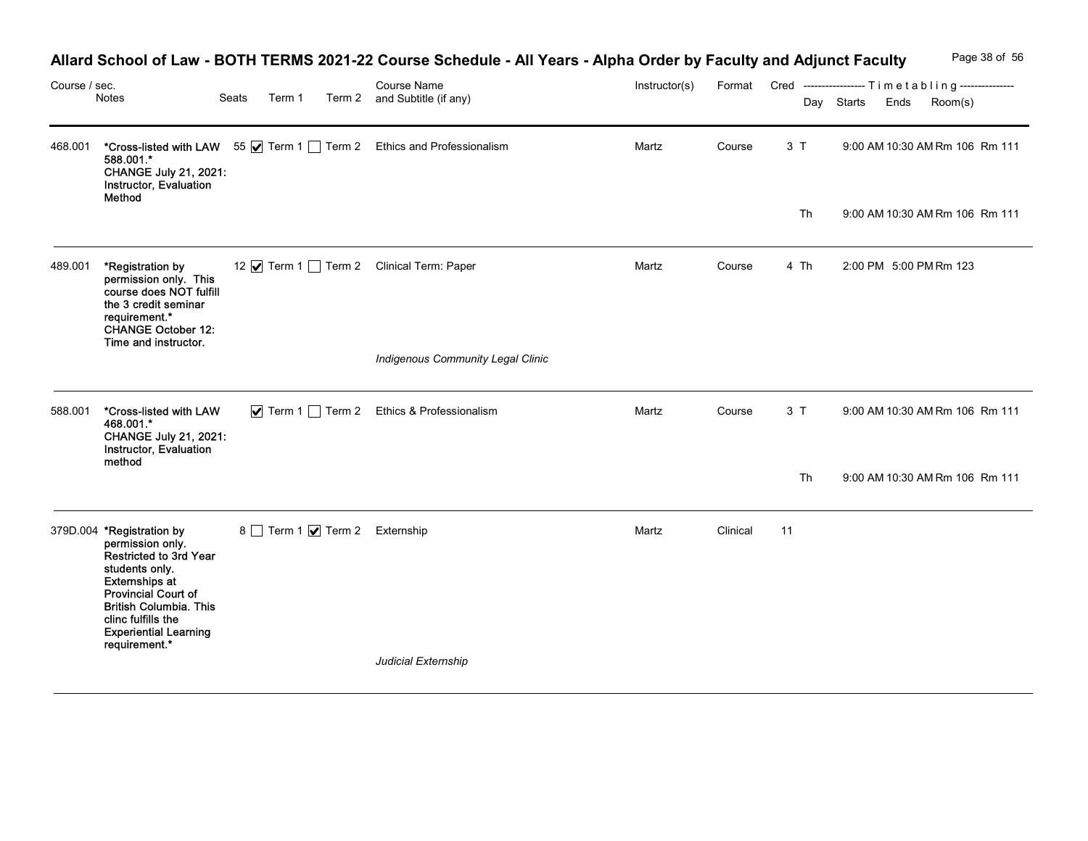| Course / sec. |                                                                                                                                                                                                                                                   |                 |                                     | Allard School of Law - BOTH TERMS 2021-22 Course Schedule - All Years - Alpha Order by Faculty and Adjunct Faculty<br><b>Course Name</b> | Instructor(s) |          |      |            | Page 38 of 56<br>Format Cred ----------------- Timetabling--------------- |
|---------------|---------------------------------------------------------------------------------------------------------------------------------------------------------------------------------------------------------------------------------------------------|-----------------|-------------------------------------|------------------------------------------------------------------------------------------------------------------------------------------|---------------|----------|------|------------|---------------------------------------------------------------------------|
|               | Notes                                                                                                                                                                                                                                             | Seats<br>Term 1 |                                     | Term 2 and Subtitle (if any)                                                                                                             |               |          |      | Day Starts | Room(s)<br>Ends                                                           |
| 468.001       | 588.001.*<br><b>CHANGE July 21, 2021:</b><br>Instructor, Evaluation<br>Method                                                                                                                                                                     |                 |                                     | *Cross-listed with LAW 55   Term 1   Term 2 Ethics and Professionalism                                                                   | Martz         | Course   | 3T   |            | 9:00 AM 10:30 AM Rm 106 Rm 111                                            |
|               |                                                                                                                                                                                                                                                   |                 |                                     |                                                                                                                                          |               |          | Th   |            | 9:00 AM 10:30 AM Rm 106 Rm 111                                            |
| 489.001       | *Registration by<br>permission only. This<br>course does NOT fulfill<br>the 3 credit seminar<br>requirement.*<br><b>CHANGE October 12:</b><br>Time and instructor.                                                                                |                 |                                     | 12 V Term 1 Term 2 Clinical Term: Paper                                                                                                  | Martz         | Course   | 4 Th |            | 2:00 PM 5:00 PM Rm 123                                                    |
|               |                                                                                                                                                                                                                                                   |                 |                                     | Indigenous Community Legal Clinic                                                                                                        |               |          |      |            |                                                                           |
|               | 588.001 *Cross-listed with LAW<br>468.001.*<br><b>CHANGE July 21, 2021:</b><br>Instructor, Evaluation<br>method                                                                                                                                   |                 |                                     | ▼ Term 1 Term 2 Ethics & Professionalism                                                                                                 | Martz         | Course   | 3T   |            | 9:00 AM 10:30 AM Rm 106 Rm 111                                            |
|               |                                                                                                                                                                                                                                                   |                 |                                     |                                                                                                                                          |               |          | Th   |            | 9:00 AM 10:30 AM Rm 106 Rm 111                                            |
|               | 379D.004 *Registration by<br>permission only.<br>Restricted to 3rd Year<br>students only.<br><b>Externships at</b><br>Provincial Court of<br><b>British Columbia. This</b><br>clinc fulfills the<br><b>Experiential Learning</b><br>requirement.* |                 | 8 Term 1 <b>V</b> Term 2 Externship |                                                                                                                                          | Martz         | Clinical | 11   |            |                                                                           |
|               |                                                                                                                                                                                                                                                   |                 |                                     | Judicial Externship                                                                                                                      |               |          |      |            |                                                                           |

## Allard School of Law - BOTH TERMS 2021-22 Course Schedule - All Years - Alpha Order by Faculty and Adjunct Faculty Page 38 of 56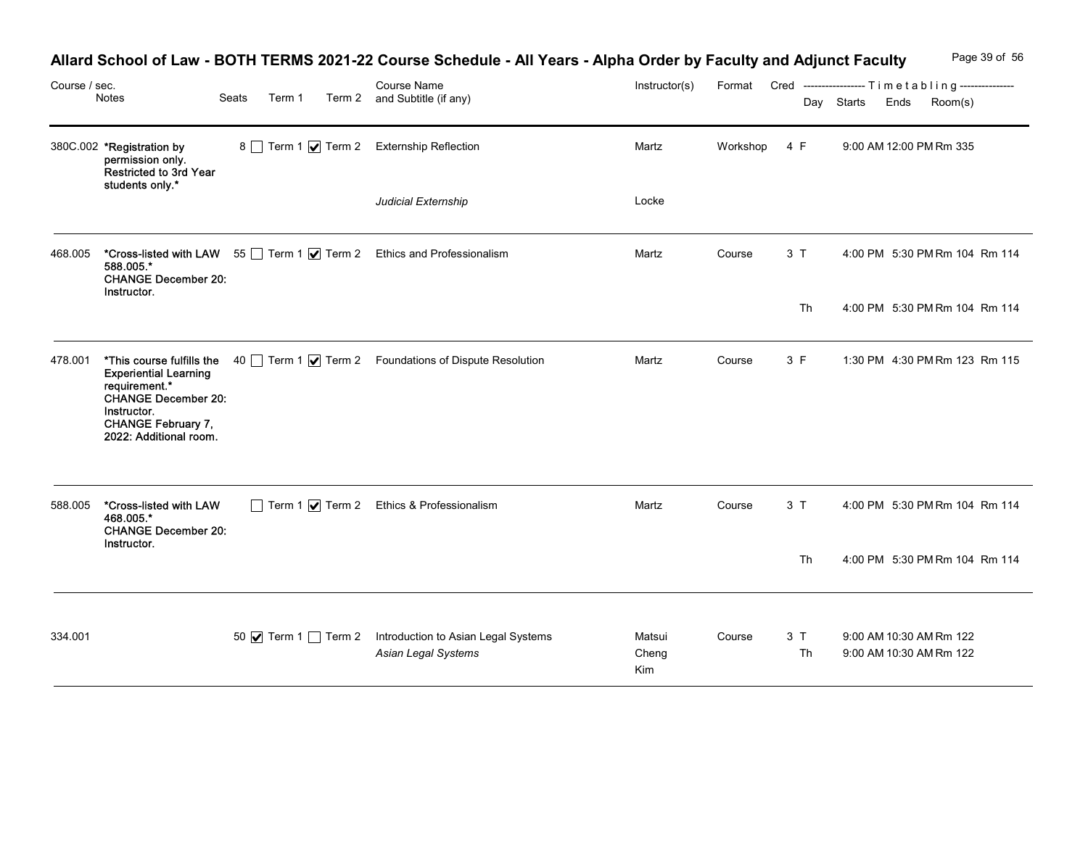|               |                                                                                                                                                   |       |        |  | Allard School of Law - BOTH TERMS 2021-22 Course Schedule - All Years - Alpha Order by Faculty and Adjunct Faculty |                        |          |          | Page 39 of 56                                                                             |
|---------------|---------------------------------------------------------------------------------------------------------------------------------------------------|-------|--------|--|--------------------------------------------------------------------------------------------------------------------|------------------------|----------|----------|-------------------------------------------------------------------------------------------|
| Course / sec. | Notes                                                                                                                                             | Seats | Term 1 |  | Course Name<br>Term 2 and Subtitle (if any)                                                                        | Instructor(s)          |          |          | Format Cred ----------------- Timetabling---------------<br>Day Starts<br>Ends<br>Room(s) |
|               | 380C.002 *Registration by<br>permission only.<br>Restricted to 3rd Year<br>students only.*                                                        |       |        |  | 8 Term 1 √ Term 2 Externship Reflection                                                                            | Martz                  | Workshop | 4 F      | 9:00 AM 12:00 PM Rm 335                                                                   |
|               |                                                                                                                                                   |       |        |  | Judicial Externship                                                                                                | Locke                  |          |          |                                                                                           |
| 468.005       | 588.005.*<br><b>CHANGE December 20:</b>                                                                                                           |       |        |  | *Cross-listed with LAW 55 Term 1 7 Term 2 Ethics and Professionalism                                               | Martz                  | Course   | 3T       | 4:00 PM 5:30 PM Rm 104 Rm 114                                                             |
|               | Instructor.                                                                                                                                       |       |        |  |                                                                                                                    |                        |          | Th       | 4:00 PM 5:30 PM Rm 104 Rm 114                                                             |
|               | <b>Experiential Learning</b><br>requirement.*<br><b>CHANGE December 20:</b><br>Instructor.<br><b>CHANGE February 7,</b><br>2022: Additional room. |       |        |  | 478.001 *This course fulfills the 40 Term 1 $\sqrt{ }$ Term 2 Foundations of Dispute Resolution                    | Martz                  | Course   | 3 F      | 1:30 PM 4:30 PM Rm 123 Rm 115                                                             |
| 588.005       | *Cross-listed with LAW<br>468.005.*<br><b>CHANGE December 20:</b>                                                                                 |       |        |  | Term 1 7 Term 2 Ethics & Professionalism                                                                           | Martz                  | Course   | 3T       | 4:00 PM 5:30 PM Rm 104 Rm 114                                                             |
|               | Instructor.                                                                                                                                       |       |        |  |                                                                                                                    |                        |          | Th       | 4:00 PM 5:30 PM Rm 104 Rm 114                                                             |
| 334.001       |                                                                                                                                                   |       |        |  | 50 $\boxed{\blacktriangleright}$ Term 1 Term 2 Introduction to Asian Legal Systems<br>Asian Legal Systems          | Matsui<br>Cheng<br>Kim | Course   | 3T<br>Th | 9:00 AM 10:30 AM Rm 122<br>9:00 AM 10:30 AM Rm 122                                        |

# Allard School of Law - BOTH TERMS 2021-22 Course Schedule - All Years - Alpha Order by Faculty and Adjunct Faculty Page 39 of 56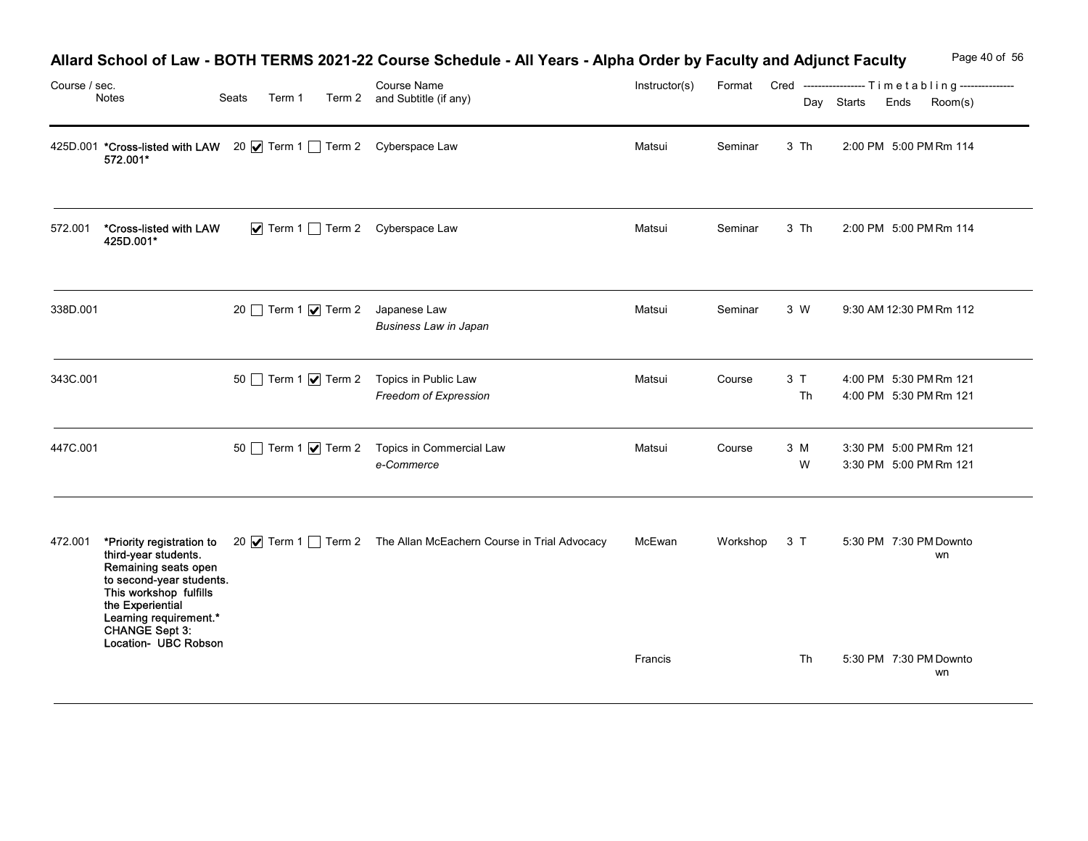| Course / sec. | Notes                                                                                                                                                                                             | Seats<br>Term 1 | Allard School of Law - BOTH TERMS 2021-22 Course Schedule - All Years - Alpha Order by Faculty and Adjunct Faculty<br><b>Course Name</b><br>Term 2 and Subtitle (if any) | Instructor(s) | Format       |          | Page 40 of 56<br>Cred ----------------- Timetabling---------------<br>Day Starts<br>Ends<br>Room(s) |
|---------------|---------------------------------------------------------------------------------------------------------------------------------------------------------------------------------------------------|-----------------|--------------------------------------------------------------------------------------------------------------------------------------------------------------------------|---------------|--------------|----------|-----------------------------------------------------------------------------------------------------|
|               | 425D.001 *Cross-listed with LAW 20 Ø Term 1 Term 2 Cyberspace Law<br>572.001*                                                                                                                     |                 |                                                                                                                                                                          | Matsui        | Seminar      | 3 Th     | 2:00 PM 5:00 PM Rm 114                                                                              |
| 572.001       | *Cross-listed with LAW<br>425D.001*                                                                                                                                                               |                 | $\blacktriangleright$ Term 1 $\Box$ Term 2 Cyberspace Law                                                                                                                | Matsui        | Seminar      | 3 Th     | 2:00 PM 5:00 PM Rm 114                                                                              |
| 338D.001      |                                                                                                                                                                                                   |                 | 20 Term 1 Ø Term 2 Japanese Law<br><b>Business Law in Japan</b>                                                                                                          | Matsui        | Seminar      | 3 W      | 9:30 AM 12:30 PM Rm 112                                                                             |
| 343C.001      |                                                                                                                                                                                                   |                 | 50 Term 1 7 Term 2 Topics in Public Law<br>Freedom of Expression                                                                                                         | Matsui        | Course       | 3T<br>Th | 4:00 PM 5:30 PM Rm 121<br>4:00 PM 5:30 PM Rm 121                                                    |
| 447C.001      |                                                                                                                                                                                                   |                 | 50 Term 1 <b>V</b> Term 2 Topics in Commercial Law<br>e-Commerce                                                                                                         | Matsui        | Course       | 3 M<br>W | 3:30 PM 5:00 PM Rm 121<br>3:30 PM 5:00 PM Rm 121                                                    |
|               | third-year students.<br>Remaining seats open<br>to second-year students.<br>This workshop fulfills<br>the Experiential<br>Learning requirement.*<br><b>CHANGE Sept 3:</b><br>Location- UBC Robson |                 | 472.001 *Priority registration to 20 V Term 1 Term 2 The Allan McEachern Course in Trial Advocacy                                                                        | McEwan        | Workshop 3 T |          | 5:30 PM 7:30 PM Downto<br>wn                                                                        |
|               |                                                                                                                                                                                                   |                 |                                                                                                                                                                          | Francis       |              | Th       | 5:30 PM 7:30 PM Downto<br>wn                                                                        |

# Allard School of Law - BOTH TERMS 2021-22 Course Schedule - All Years - Alpha Order by Faculty and Adjunct Faculty Page 40 of 56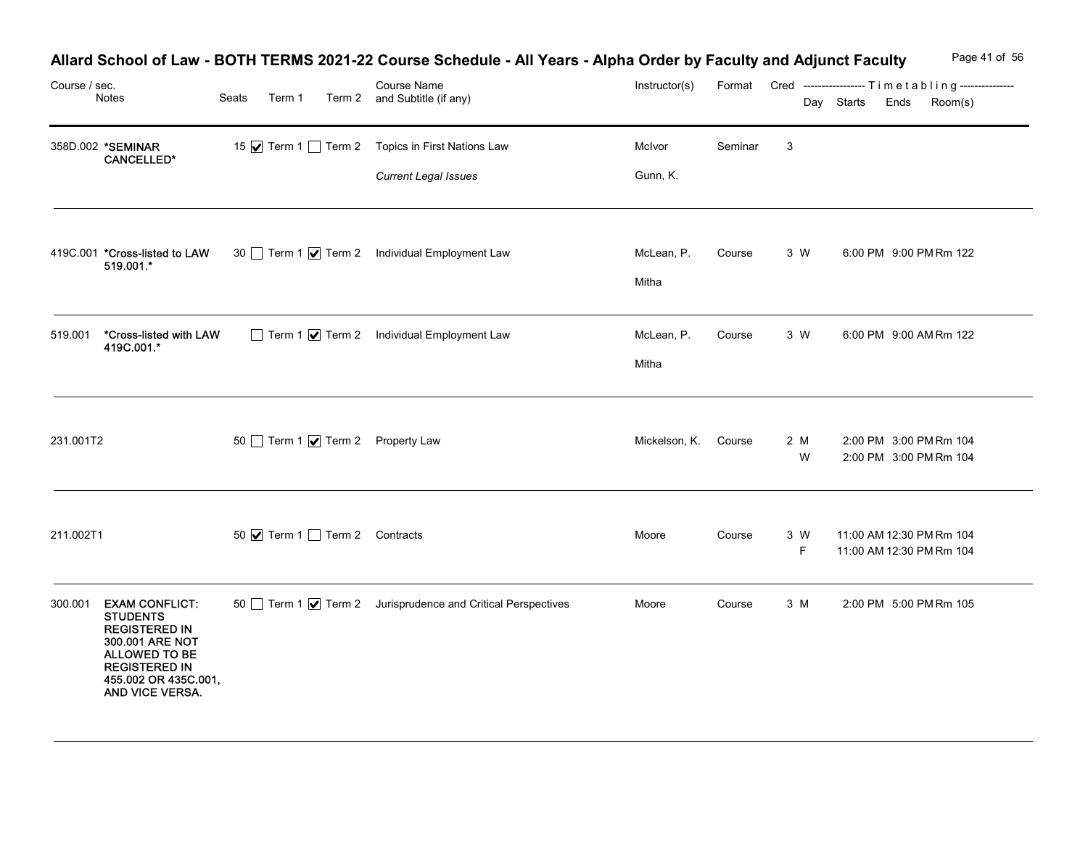| Course / sec.<br>Notes                                                                                                                                                             | Seats<br>Term 1              | Allard School of Law - BOTH TERMS 2021-22 Course Schedule - All Years - Alpha Order by Faculty and Adjunct Faculty<br>Course Name<br>Term 2 and Subtitle (if any) | Instructor(s)        |         |           | Format Cred -----------------Timetabling---------------<br>Day Starts<br>Ends<br>Room(s) | Page 41 of 56 |
|------------------------------------------------------------------------------------------------------------------------------------------------------------------------------------|------------------------------|-------------------------------------------------------------------------------------------------------------------------------------------------------------------|----------------------|---------|-----------|------------------------------------------------------------------------------------------|---------------|
| 358D.002 *SEMINAR<br><b>CANCELLED*</b>                                                                                                                                             |                              | 15 Ø Term 1 □ Term 2 Topics in First Nations Law<br><b>Current Legal Issues</b>                                                                                   | McIvor<br>Gunn, K.   | Seminar | 3         |                                                                                          |               |
| 419C.001 *Cross-listed to LAW<br>519.001.*                                                                                                                                         |                              | 30 Term 1 <b>V</b> Term 2 Individual Employment Law                                                                                                               | McLean, P.<br>Mitha  | Course  | 3 W       | 6:00 PM 9:00 PM Rm 122                                                                   |               |
| *Cross-listed with LAW<br>519.001<br>419C.001.*                                                                                                                                    |                              | Term 1 7 Term 2 Individual Employment Law                                                                                                                         | McLean, P.<br>Mitha  | Course  | 3 W       | 6:00 PM 9:00 AM Rm 122                                                                   |               |
| 231.001T2                                                                                                                                                                          |                              | 50 Term 1 Ø Term 2 Property Law                                                                                                                                   | Mickelson, K. Course |         | 2 M<br>W  | 2:00 PM 3:00 PM Rm 104<br>2:00 PM 3:00 PM Rm 104                                         |               |
| 211.002T1                                                                                                                                                                          | 50 Ø Term 1 Term 2 Contracts |                                                                                                                                                                   | Moore                | Course  | 3 W<br>F. | 11:00 AM 12:30 PM Rm 104<br>11:00 AM 12:30 PM Rm 104                                     |               |
| <b>EXAM CONFLICT:</b><br>300.001<br><b>STUDENTS</b><br><b>REGISTERED IN</b><br>300.001 ARE NOT<br>ALLOWED TO BE<br><b>REGISTERED IN</b><br>455.002 OR 435C.001,<br>AND VICE VERSA. |                              | 50 Term 1 √ Term 2 Jurisprudence and Critical Perspectives                                                                                                        | Moore                | Course  | 3 M       | 2:00 PM 5:00 PM Rm 105                                                                   |               |

#### Allard School of Law - BOTH TERMS 2021-22 Course Schedule - All Years - Alpha Order by Faculty and Adjunct Faculty Page 41 of 56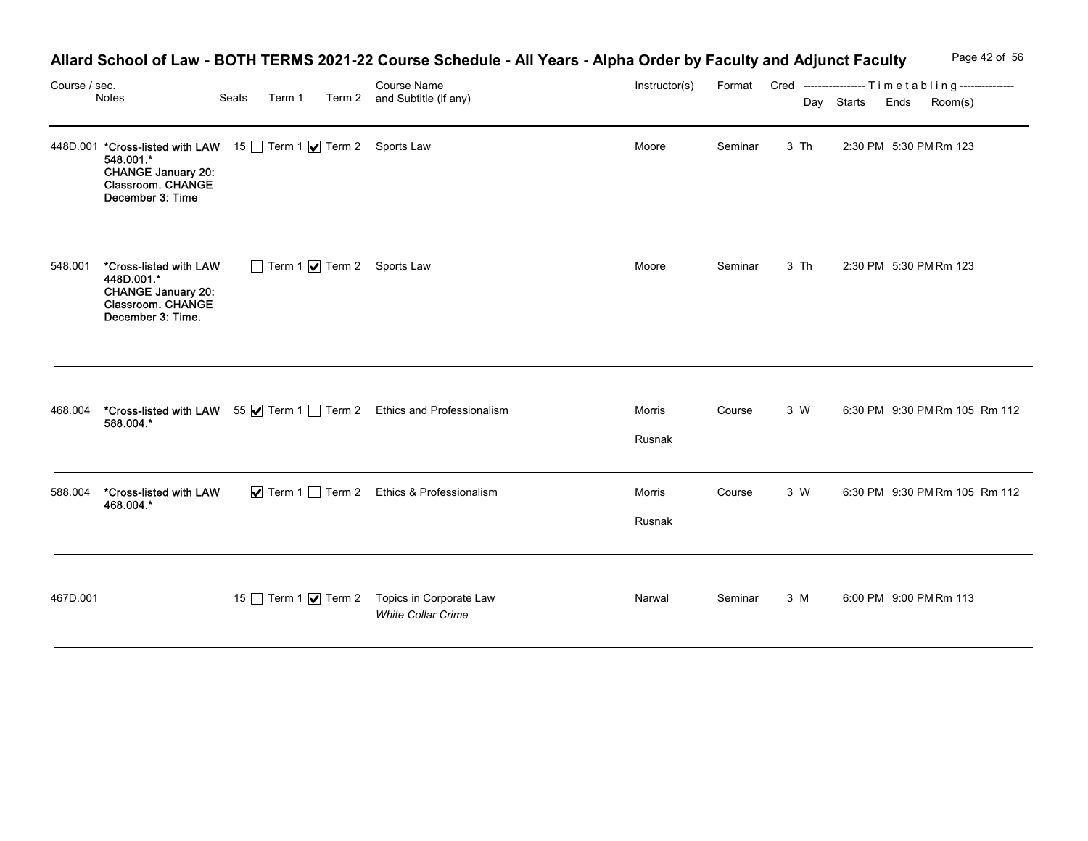|               |                                                                                                                                                  |       |        |                                                                                                                                                                   |                  |         |      |                 | Page 42 of 56                                                      |
|---------------|--------------------------------------------------------------------------------------------------------------------------------------------------|-------|--------|-------------------------------------------------------------------------------------------------------------------------------------------------------------------|------------------|---------|------|-----------------|--------------------------------------------------------------------|
| Course / sec. | Notes                                                                                                                                            | Seats | Term 1 | Allard School of Law - BOTH TERMS 2021-22 Course Schedule - All Years - Alpha Order by Faculty and Adjunct Faculty<br>Course Name<br>Term 2 and Subtitle (if any) | Instructor(s)    |         |      | Day Starts Ends | Format Cred -----------------Timetabling---------------<br>Room(s) |
|               | 448D.001 *Cross-listed with LAW 15 Term 1 7 Term 2 Sports Law<br>548.001.*<br><b>CHANGE January 20:</b><br>Classroom. CHANGE<br>December 3: Time |       |        |                                                                                                                                                                   | Moore            | Seminar | 3 Th |                 | 2:30 PM 5:30 PM Rm 123                                             |
| 548.001       | *Cross-listed with LAW<br>448D.001.*<br><b>CHANGE January 20:</b><br>Classroom. CHANGE<br>December 3: Time.                                      |       |        | Term 1 7 Term 2 Sports Law                                                                                                                                        | Moore            | Seminar | 3 Th |                 | 2:30 PM 5:30 PM Rm 123                                             |
|               |                                                                                                                                                  |       |        | 468.004 <b>*Cross-listed with LAW</b> 55 <b>Ø</b> Term 1 <u>D</u> Term 2 Ethics and Professionalism 588.004.*                                                     | Morris<br>Rusnak | Course  | 3 W  |                 | 6:30 PM 9:30 PM Rm 105 Rm 112                                      |
| 588.004       | *Cross-listed with LAW<br>468.004.*                                                                                                              |       |        | ▼ Term 1 Term 2 Ethics & Professionalism                                                                                                                          | Morris<br>Rusnak | Course  | 3 W  |                 | 6:30 PM 9:30 PM Rm 105 Rm 112                                      |
| 467D.001      |                                                                                                                                                  |       |        | 15 Term 1 Ø Term 2 Topics in Corporate Law<br><b>White Collar Crime</b>                                                                                           | Narwal           | Seminar | 3 M  |                 | 6:00 PM 9:00 PM Rm 113                                             |

## Allard School of Law - BOTH TERMS 2021-22 Course Schedule - All Years - Alpha Order by Faculty and Adjunct Faculty Page 42 of 56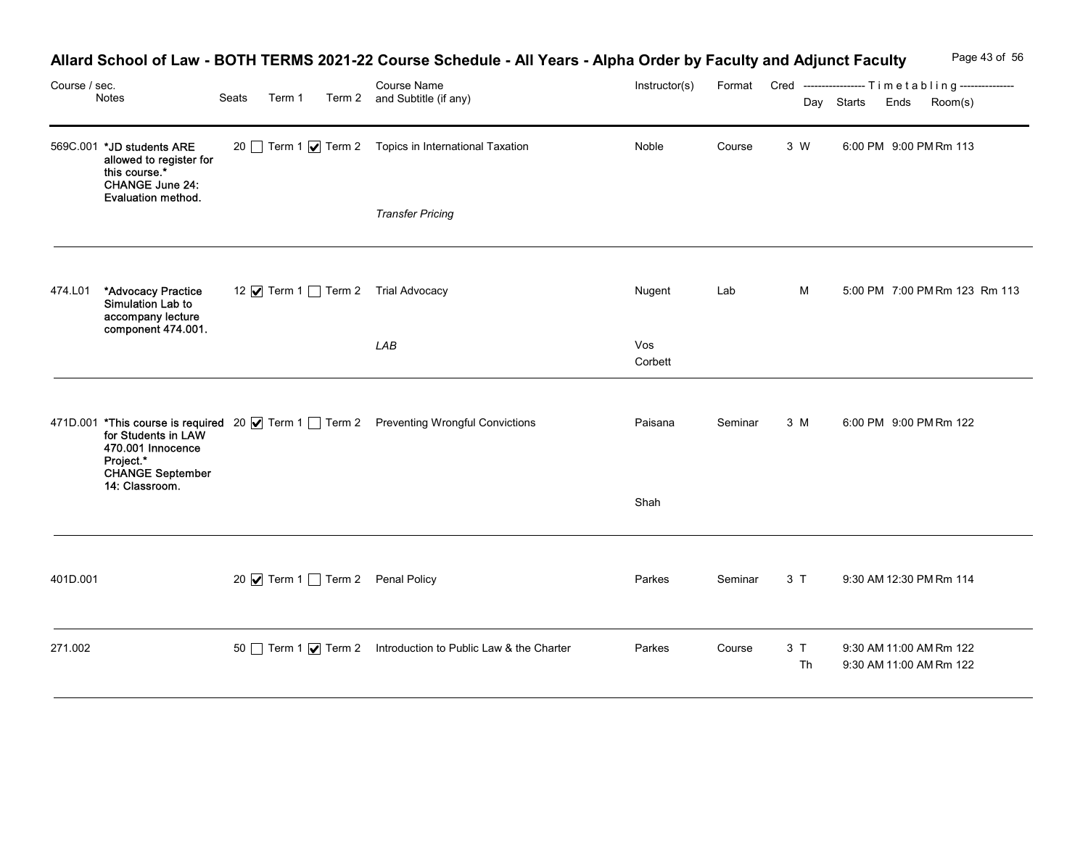|               |                                                                                                                              |                                   | Allard School of Law - BOTH TERMS 2021-22 Course Schedule - All Years - Alpha Order by Faculty and Adjunct Faculty |                |         |          | Page 43 of 56                                                                          |
|---------------|------------------------------------------------------------------------------------------------------------------------------|-----------------------------------|--------------------------------------------------------------------------------------------------------------------|----------------|---------|----------|----------------------------------------------------------------------------------------|
| Course / sec. | Notes                                                                                                                        | Seats<br>Term 1                   | Course Name<br>Term 2 and Subtitle (if any)                                                                        | Instructor(s)  |         |          | Format Cred ----------------- Timetabling---------------<br>Day Starts Ends<br>Room(s) |
|               | 569C.001 *JD students ARE<br>allowed to register for<br>this course.*<br><b>CHANGE June 24:</b><br><b>Evaluation method.</b> |                                   | 20 Term 1 √ Term 2 Topics in International Taxation                                                                | Noble          | Course  | 3 W      | 6:00 PM 9:00 PM Rm 113                                                                 |
|               |                                                                                                                              |                                   | <b>Transfer Pricing</b>                                                                                            |                |         |          |                                                                                        |
| 474.L01       | *Advocacy Practice<br>Simulation Lab to<br>accompany lecture<br>component 474.001.                                           | 12 √ Term 1 Term 2 Trial Advocacy |                                                                                                                    | Nugent         | Lab     | M        | 5:00 PM 7:00 PM Rm 123 Rm 113                                                          |
|               |                                                                                                                              |                                   | ${\sf LAB}$                                                                                                        | Vos<br>Corbett |         |          |                                                                                        |
|               | for Students in LAW<br>470.001 Innocence<br>Project.*<br>CHANGE September<br>14: Classroom.                                  |                                   | 471D.001 *This course is required 20   Term 1   Term 2 Preventing Wrongful Convictions                             | Paisana        | Seminar | 3 M      | 6:00 PM 9:00 PM Rm 122                                                                 |
|               |                                                                                                                              |                                   |                                                                                                                    | Shah           |         |          |                                                                                        |
| 401D.001      |                                                                                                                              | 20 Ø Term 1 Term 2 Penal Policy   |                                                                                                                    | Parkes         | Seminar | 3T       | 9:30 AM 12:30 PM Rm 114                                                                |
| 271.002       |                                                                                                                              |                                   | 50 Term 1 √ Term 2 Introduction to Public Law & the Charter                                                        | Parkes         | Course  | 3T<br>Th | 9:30 AM 11:00 AM Rm 122<br>9:30 AM 11:00 AM Rm 122                                     |

## Allard School of Law - BOTH TERMS 2021-22 Course Schedule - All Years - Alpha Order by Faculty and Adjunct Faculty Page 43 of 56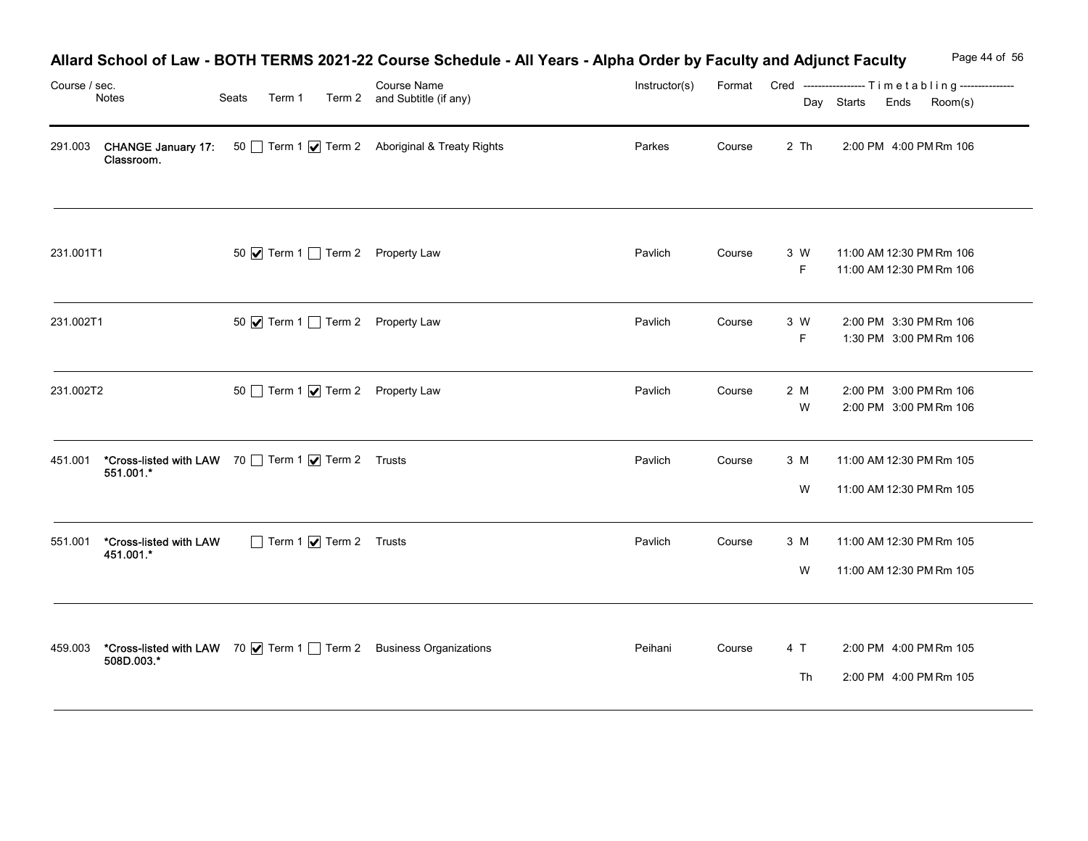| Course / sec. | Notes                               | Seats<br>Term 1                                                                     | Course Name<br>Term 2 and Subtitle (if any)          | Allard School of Law - BOTH TERMS 2021-22 Course Schedule - All Years - Alpha Order by Faculty and Adjunct Faculty<br>Instructor(s) |        |          | Page 44 of 56<br>Format Cred ----------------- Timetabling--------------- |
|---------------|-------------------------------------|-------------------------------------------------------------------------------------|------------------------------------------------------|-------------------------------------------------------------------------------------------------------------------------------------|--------|----------|---------------------------------------------------------------------------|
| 291.003       | <b>CHANGE January 17:</b>           |                                                                                     | 50 Term 1 <b>V</b> Term 2 Aboriginal & Treaty Rights | Parkes                                                                                                                              | Course | 2 Th     | Day Starts<br>Ends<br>Room(s)<br>2:00 PM 4:00 PM Rm 106                   |
|               | Classroom.                          |                                                                                     |                                                      |                                                                                                                                     |        |          |                                                                           |
| 231.001T1     |                                     | 50 √ Term 1 Term 2 Property Law                                                     |                                                      | Pavlich                                                                                                                             | Course | 3 W      | 11:00 AM 12:30 PM Rm 106                                                  |
|               |                                     |                                                                                     |                                                      |                                                                                                                                     |        | F.       | 11:00 AM 12:30 PM Rm 106                                                  |
| 231.002T1     |                                     | 50 V Term 1 Term 2 Property Law                                                     |                                                      | Pavlich                                                                                                                             | Course | 3 W<br>F | 2:00 PM 3:30 PM Rm 106<br>1:30 PM 3:00 PM Rm 106                          |
| 231.002T2     |                                     | 50 Term 1 Ø Term 2 Property Law                                                     |                                                      | Pavlich                                                                                                                             | Course | 2 M<br>W | 2:00 PM 3:00 PM Rm 106<br>2:00 PM 3:00 PM Rm 106                          |
|               |                                     |                                                                                     |                                                      | Pavlich                                                                                                                             | Course | 3 M      | 11:00 AM 12:30 PM Rm 105                                                  |
|               |                                     | 451.001 <b>*Cross-listed with LAW</b> 70 <u>Term 1</u> √ Term 2 Trusts<br>551.001.* |                                                      |                                                                                                                                     |        | W        | 11:00 AM 12:30 PM Rm 105                                                  |
| 551.001       | *Cross-listed with LAW<br>451.001.* | Term 1 $\sqrt{ }$ Term 2 Trusts                                                     |                                                      | Pavlich                                                                                                                             | Course | 3 M      | 11:00 AM 12:30 PM Rm 105                                                  |
|               |                                     |                                                                                     |                                                      |                                                                                                                                     |        | W        | 11:00 AM 12:30 PM Rm 105                                                  |
| 459.003       |                                     | *Cross-listed with LAW 70   Term 1   Term 2 Business Organizations                  |                                                      | Peihani                                                                                                                             | Course | 4 T      | 2:00 PM 4:00 PM Rm 105                                                    |
|               | 508D.003.*                          |                                                                                     |                                                      |                                                                                                                                     |        | Th       | 2:00 PM 4:00 PM Rm 105                                                    |

# Allard School of Law - BOTH TERMS 2021-22 Course Schedule - All Years - Alpha Order by Faculty and Adjunct Faculty Page 44 of 56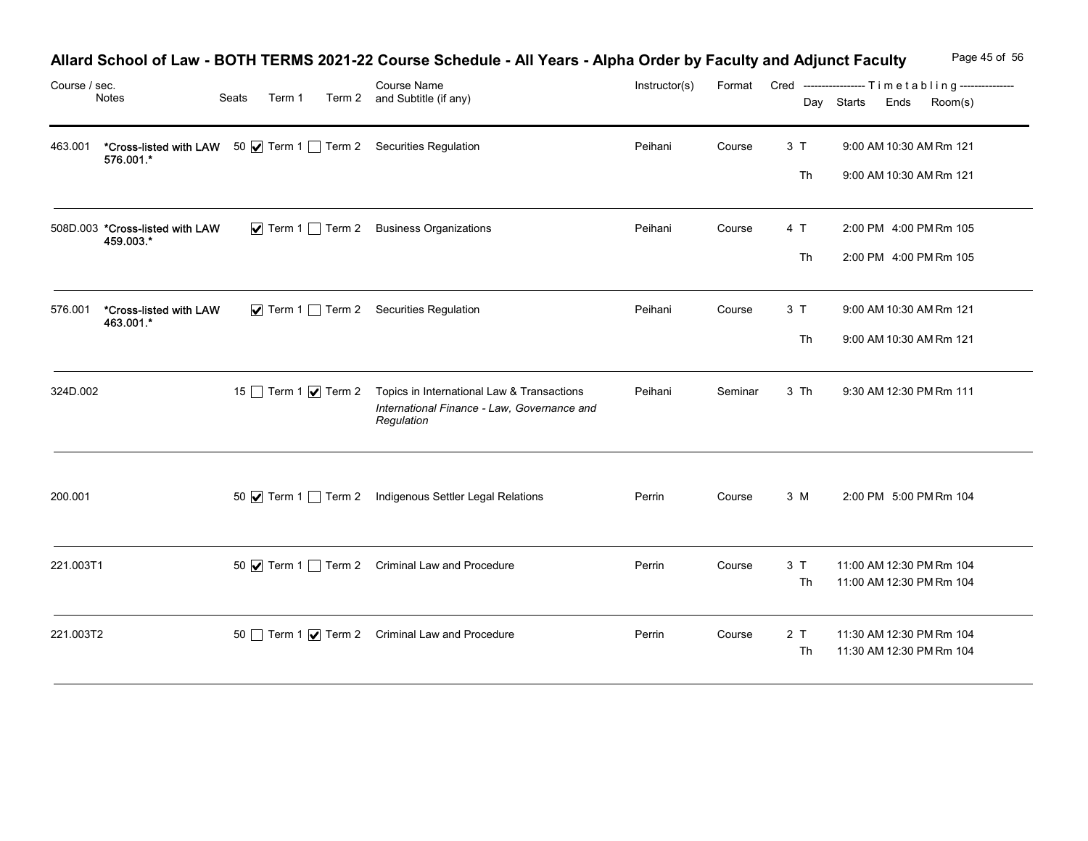| Course / sec. | Notes                                                                                        | Seats | Allard School of Law - BOTH TERMS 2021-22 Course Schedule - All Years - Alpha Order by Faculty and Adjunct Faculty<br>Course Name<br>Term 1 Term 2 and Subtitle (if any) | Instructor(s) | Format  |          | Page 45 of 56<br>Cred -----------------Timetabling---------------<br>Day Starts<br>Ends<br>Room(s) |
|---------------|----------------------------------------------------------------------------------------------|-------|--------------------------------------------------------------------------------------------------------------------------------------------------------------------------|---------------|---------|----------|----------------------------------------------------------------------------------------------------|
| 463.001       | <b>*Cross-listed with LAW</b> 50 <b>Ø</b> Term 1 □ Term 2 Securities Regulation<br>576.001.* |       |                                                                                                                                                                          | Peihani       | Course  | 3T       | 9:00 AM 10:30 AM Rm 121                                                                            |
|               |                                                                                              |       |                                                                                                                                                                          |               |         | Th       | 9:00 AM 10:30 AM Rm 121                                                                            |
|               | 508D.003 *Cross-listed with LAW<br>459.003.*                                                 |       | ▼ Term 1 Term 2 Business Organizations                                                                                                                                   | Peihani       | Course  | 4 T      | 2:00 PM 4:00 PM Rm 105                                                                             |
|               |                                                                                              |       |                                                                                                                                                                          |               |         | Th       | 2:00 PM 4:00 PM Rm 105                                                                             |
| 576.001       | *Cross-listed with LAW<br>463.001.*                                                          |       | ✔ Term 1 Term 2 Securities Regulation                                                                                                                                    | Peihani       | Course  | 3T       | 9:00 AM 10:30 AM Rm 121                                                                            |
|               |                                                                                              |       |                                                                                                                                                                          |               |         | Th       | 9:00 AM 10:30 AM Rm 121                                                                            |
| 324D.002      |                                                                                              |       | 15 Term 1 <b>V</b> Term 2 Topics in International Law & Transactions<br>International Finance - Law, Governance and<br>Regulation                                        | Peihani       | Seminar | 3 Th     | 9:30 AM 12:30 PM Rm 111                                                                            |
| 200.001       |                                                                                              |       | 50 $\blacksquare$ Term 1 $\blacksquare$ Term 2 Indigenous Settler Legal Relations                                                                                        | Perrin        | Course  | 3 M      | 2:00 PM 5:00 PM Rm 104                                                                             |
| 221.003T1     |                                                                                              |       | 50 $\sqrt{ }$ Term 1 Term 2 Criminal Law and Procedure                                                                                                                   | Perrin        | Course  | 3T<br>Th | 11:00 AM 12:30 PM Rm 104<br>11:00 AM 12:30 PM Rm 104                                               |
| 221.003T2     |                                                                                              |       | 50 Term 1 <b>V</b> Term 2 Criminal Law and Procedure                                                                                                                     | Perrin        | Course  | 2T<br>Th | 11:30 AM 12:30 PM Rm 104<br>11:30 AM 12:30 PM Rm 104                                               |

# Allard School of Law - BOTH TERMS 2021-22 Course Schedule - All Years - Alpha Order by Faculty and Adjunct Faculty Page 45 of 56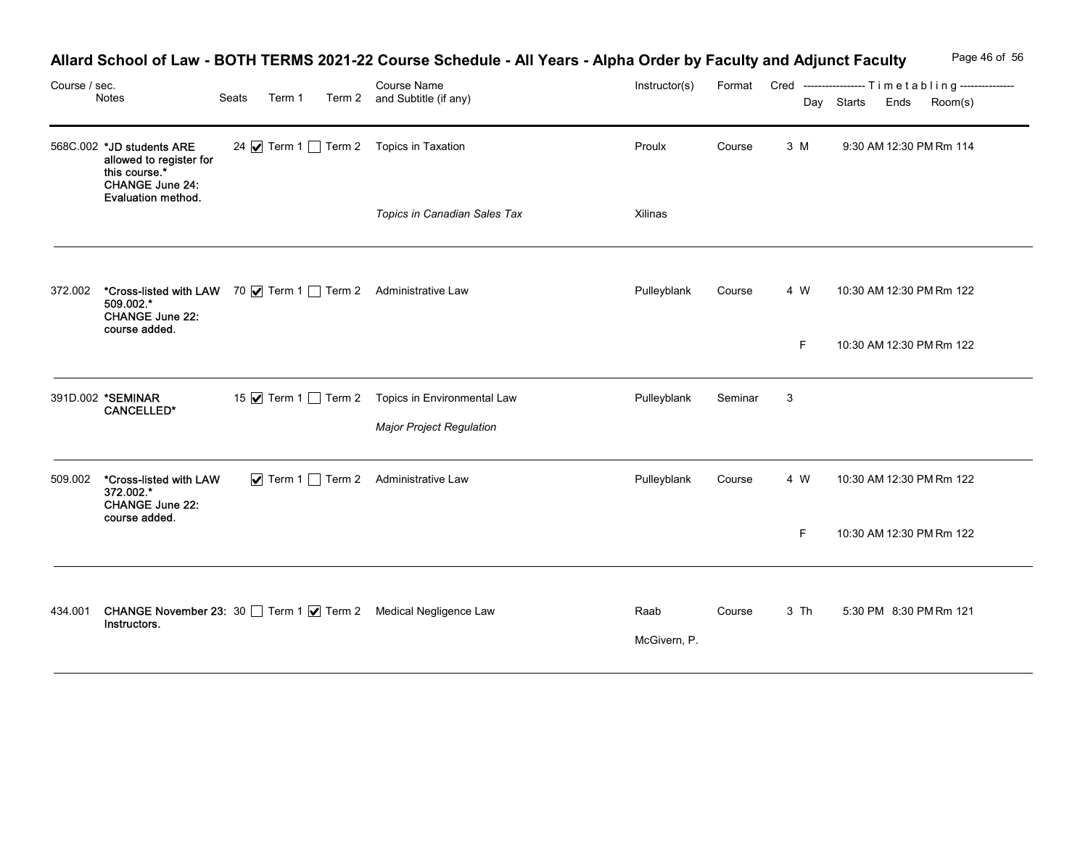| Course / sec. | Notes                                                                                                                 | Seats | Term 1 |  | Allard School of Law - BOTH TERMS 2021-22 Course Schedule - All Years - Alpha Order by Faculty and Adjunct Faculty<br><b>Course Name</b><br>Term 2 and Subtitle (if any) | Instructor(s)        |         |              | Page 46 of 56<br>Format Cred ----------------- Timetabling---------------<br>Day Starts Ends<br>Room(s) |
|---------------|-----------------------------------------------------------------------------------------------------------------------|-------|--------|--|--------------------------------------------------------------------------------------------------------------------------------------------------------------------------|----------------------|---------|--------------|---------------------------------------------------------------------------------------------------------|
|               | 568C.002 *JD students ARE<br>allowed to register for<br>this course.*<br><b>CHANGE June 24:</b><br>Evaluation method. |       |        |  | 24 V Term 1 Term 2 Topics in Taxation                                                                                                                                    | Proulx               | Course  | 3 M          | 9:30 AM 12:30 PM Rm 114                                                                                 |
|               |                                                                                                                       |       |        |  | Topics in Canadian Sales Tax                                                                                                                                             | Xilinas              |         |              |                                                                                                         |
| 372.002       | *Cross-listed with LAW 70 V Term 1 Term 2 Administrative Law<br>509.002.*<br><b>CHANGE June 22:</b><br>course added.  |       |        |  |                                                                                                                                                                          | Pulleyblank          | Course  | 4 W<br>F.    | 10:30 AM 12:30 PM Rm 122<br>10:30 AM 12:30 PM Rm 122                                                    |
|               | 391D.002 *SEMINAR<br><b>CANCELLED*</b>                                                                                |       |        |  | 15 √ Term 1 1 Term 2 Topics in Environmental Law<br>Major Project Regulation                                                                                             | Pulleyblank          | Seminar | $\mathbf{3}$ |                                                                                                         |
|               | 509.002 *Cross-listed with LAW<br>372.002.*<br><b>CHANGE June 22:</b><br>course added.                                |       |        |  | ▼ Term 1 Term 2 Administrative Law                                                                                                                                       | Pulleyblank          | Course  | 4 W          | 10:30 AM 12:30 PM Rm 122                                                                                |
|               |                                                                                                                       |       |        |  |                                                                                                                                                                          |                      |         | F.           | 10:30 AM 12:30 PM Rm 122                                                                                |
|               | Instructors.                                                                                                          |       |        |  | 434.001 CHANGE November 23: 30 Term 1 7 Term 2 Medical Negligence Law                                                                                                    | Raab<br>McGivern, P. | Course  | 3 Th         | 5:30 PM 8:30 PM Rm 121                                                                                  |

## Allard School of Law - BOTH TERMS 2021-22 Course Schedule - All Years - Alpha Order by Faculty and Adjunct Faculty Page 46 of 56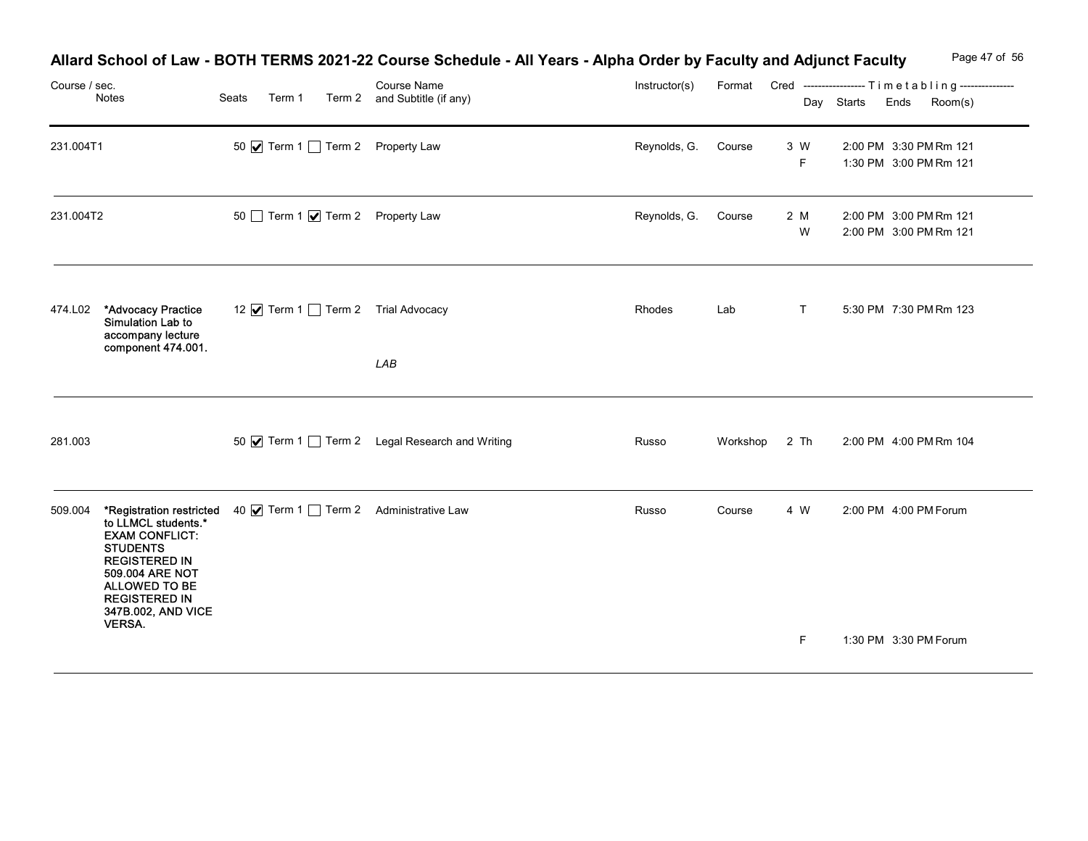| Course / sec. | Notes                                                                                                                                                                                                         | Seats<br>Term 1 | Allard School of Law - BOTH TERMS 2021-22 Course Schedule - All Years - Alpha Order by Faculty and Adjunct Faculty<br>Course Name<br>Term 2 and Subtitle (if any) | Instructor(s) |               |          | Page 47 of 56<br>Format Cred ----------------- Timetabling---------------<br>Day Starts Ends<br>Room(s) |
|---------------|---------------------------------------------------------------------------------------------------------------------------------------------------------------------------------------------------------------|-----------------|-------------------------------------------------------------------------------------------------------------------------------------------------------------------|---------------|---------------|----------|---------------------------------------------------------------------------------------------------------|
| 231.004T1     |                                                                                                                                                                                                               |                 | 50 Ø Term 1 Term 2 Property Law                                                                                                                                   | Reynolds, G.  | Course        | 3 W<br>F | 2:00 PM 3:30 PM Rm 121<br>1:30 PM 3:00 PM Rm 121                                                        |
| 231.004T2     |                                                                                                                                                                                                               |                 | 50 Term 1 7 Term 2 Property Law                                                                                                                                   | Reynolds, G.  | Course        | 2 M<br>W | 2:00 PM 3:00 PM Rm 121<br>2:00 PM 3:00 PM Rm 121                                                        |
| 474.L02       | *Advocacy Practice<br>Simulation Lab to<br>accompany lecture<br>component 474.001.                                                                                                                            |                 | 12 • Term 1 □ Term 2 Trial Advocacy<br>LAB                                                                                                                        | Rhodes        | Lab           | T        | 5:30 PM 7:30 PM Rm 123                                                                                  |
| 281.003       |                                                                                                                                                                                                               |                 | 50 $\blacksquare$ Term 1 $\blacksquare$ Term 2 Legal Research and Writing                                                                                         | Russo         | Workshop 2 Th |          | 2:00 PM 4:00 PM Rm 104                                                                                  |
|               | 509.004 *Registration restricted<br>to LLMCL students.*<br><b>EXAM CONFLICT:</b><br><b>STUDENTS</b><br><b>REGISTERED IN</b><br>509.004 ARE NOT<br>ALLOWED TO BE<br><b>REGISTERED IN</b><br>347B.002, AND VICE |                 | 40 V Term 1 Term 2 Administrative Law                                                                                                                             | Russo         | Course        | 4 W      | 2:00 PM 4:00 PM Forum                                                                                   |
|               | <b>VERSA.</b>                                                                                                                                                                                                 |                 |                                                                                                                                                                   |               |               | F        | 1:30 PM 3:30 PM Forum                                                                                   |

## Allard School of Law - BOTH TERMS 2021-22 Course Schedule - All Years - Alpha Order by Faculty and Adjunct Faculty Page 47 of 56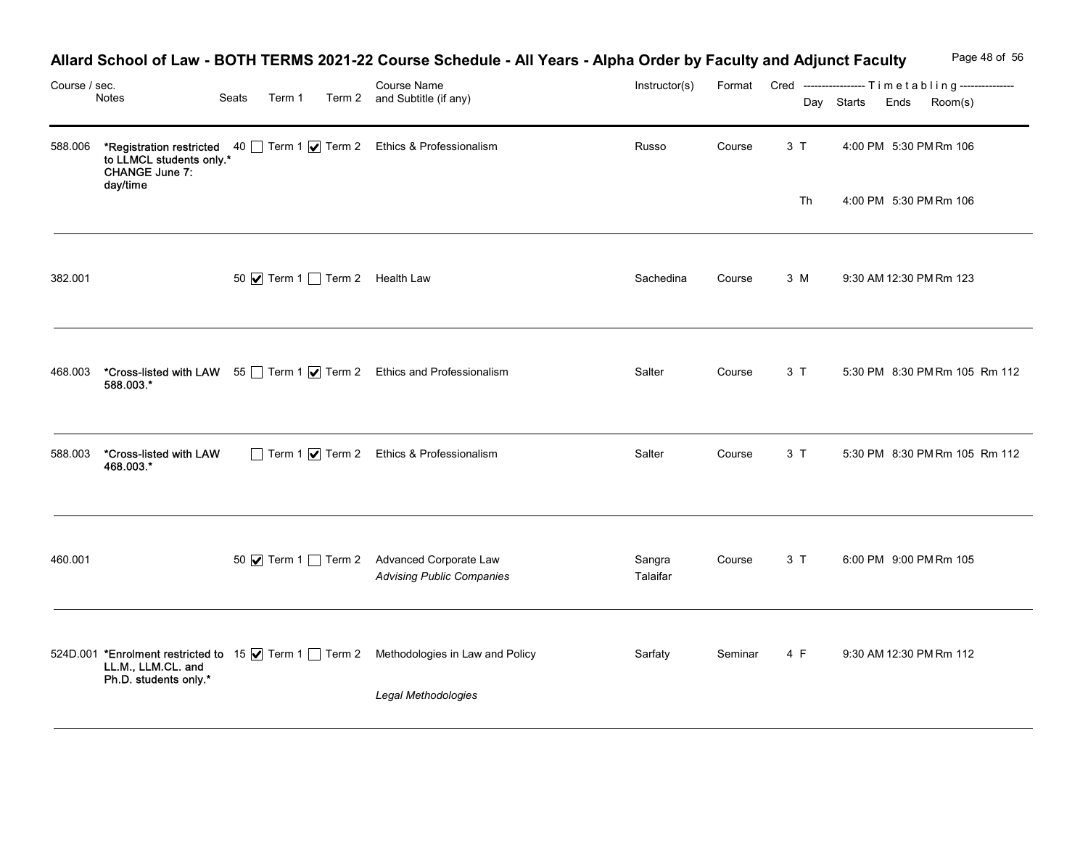| Course / sec. | Notes                                                  | Seats | Term 1 | Allard School of Law - BOTH TERMS 2021-22 Course Schedule - All Years - Alpha Order by Faculty and Adjunct Faculty<br>Course Name<br>Term 2 and Subtitle (if any) | Instructor(s)      |         |          | Day Starts Ends | Page 48 of 56<br>Format Cred -----------------Timetabling---------------<br>Room(s) |
|---------------|--------------------------------------------------------|-------|--------|-------------------------------------------------------------------------------------------------------------------------------------------------------------------|--------------------|---------|----------|-----------------|-------------------------------------------------------------------------------------|
| 588.006       | to LLMCL students only.*<br>CHANGE June 7:<br>day/time |       |        | *Registration restricted 40 Term 1 7 Term 2 Ethics & Professionalism                                                                                              | Russo              | Course  | 3T<br>Th |                 | 4:00 PM 5:30 PM Rm 106<br>4:00 PM 5:30 PM Rm 106                                    |
| 382.001       |                                                        |       |        | 50 Ø Term 1 Term 2 Health Law                                                                                                                                     | Sachedina          | Course  | 3 M      |                 | 9:30 AM 12:30 PM Rm 123                                                             |
| 468.003       | 588.003.*                                              |       |        | *Cross-listed with LAW 55 Term 1 7 Term 2 Ethics and Professionalism                                                                                              | Salter             | Course  | 3T       |                 | 5:30 PM 8:30 PM Rm 105 Rm 112                                                       |
| 588.003       | *Cross-listed with LAW<br>468.003.*                    |       |        | Term 1 7 Term 2 Ethics & Professionalism                                                                                                                          | Salter             | Course  | 3T       |                 | 5:30 PM 8:30 PM Rm 105 Rm 112                                                       |
| 460.001       |                                                        |       |        | 50 Ø Term 1 □ Term 2 Advanced Corporate Law<br><b>Advising Public Companies</b>                                                                                   | Sangra<br>Talaifar | Course  | 3T       |                 | 6:00 PM 9:00 PM Rm 105                                                              |
|               | LL.M., LLM.CL. and<br>Ph.D. students only.*            |       |        | 524D.001 *Enrolment restricted to 15 Ø Term 1 Term 2 Methodologies in Law and Policy<br>Legal Methodologies                                                       | Sarfaty            | Seminar | 4 F      |                 | 9:30 AM 12:30 PM Rm 112                                                             |

# Allard School of Law - BOTH TERMS 2021-22 Course Schedule - All Years - Alpha Order by Faculty and Adjunct Faculty Page 48 of 56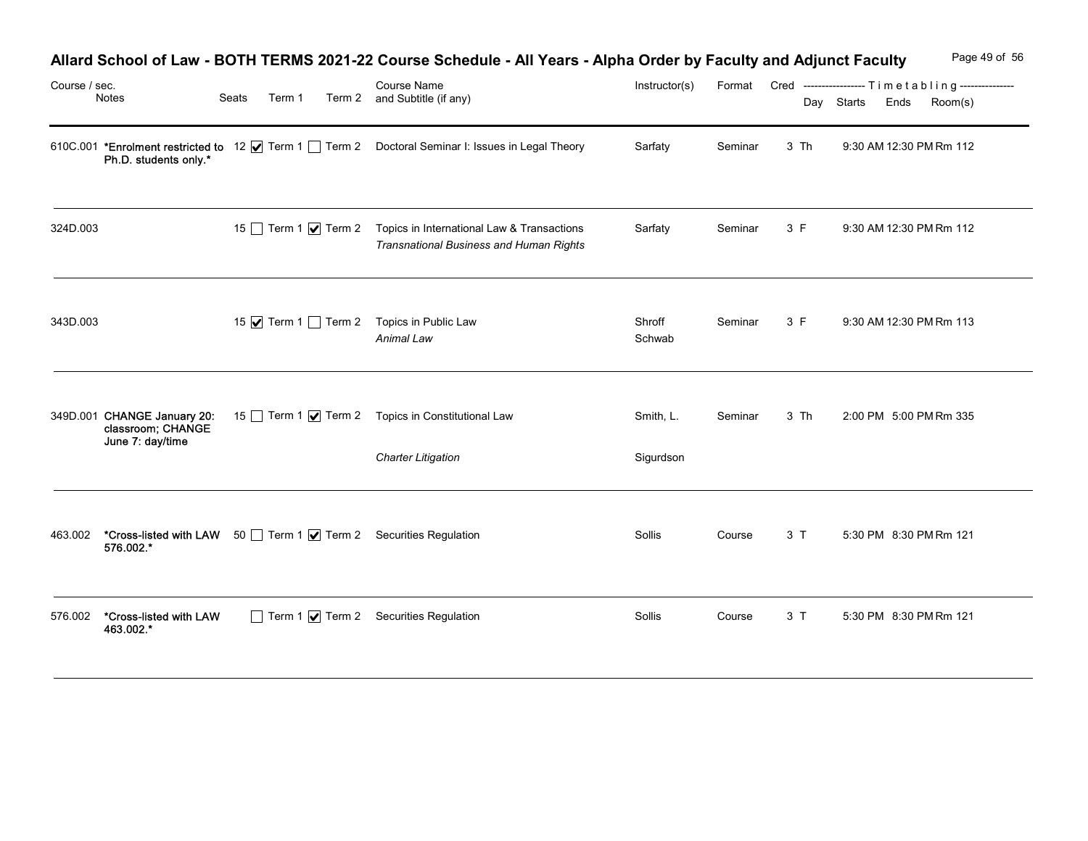| Course / sec. |                                       |       |        | Allard School of Law - BOTH TERMS 2021-22 Course Schedule - All Years - Alpha Order by Faculty and Adjunct Faculty<br>Course Name | Instructor(s)    |         |      | Page 49 of 56<br>Format Cred ----------------- Timetabling--------------- |
|---------------|---------------------------------------|-------|--------|-----------------------------------------------------------------------------------------------------------------------------------|------------------|---------|------|---------------------------------------------------------------------------|
|               | Notes                                 | Seats | Term 1 | Term 2 and Subtitle (if any)                                                                                                      |                  |         |      | Day Starts Ends<br>Room(s)                                                |
|               | Ph.D. students only.*                 |       |        | 610C.001 *Enrolment restricted to 12 Ø Term 1 D Term 2 Doctoral Seminar I: Issues in Legal Theory                                 | Sarfaty          | Seminar | 3 Th | 9:30 AM 12:30 PM Rm 112                                                   |
| 324D.003      |                                       |       |        | 15 Term 1 <b>V</b> Term 2 Topics in International Law & Transactions<br>Transnational Business and Human Rights                   | Sarfaty          | Seminar | 3 F  | 9:30 AM 12:30 PM Rm 112                                                   |
| 343D.003      |                                       |       |        | 15 √ Term 1 1 Term 2 Topics in Public Law<br>Animal Law                                                                           | Shroff<br>Schwab | Seminar | 3 F  | 9:30 AM 12:30 PM Rm 113                                                   |
|               | classroom; CHANGE<br>June 7: day/time |       |        | 349D.001 CHANGE January 20: 15 Term 1   Term 2 Topics in Constitutional Law                                                       | Smith, L.        | Seminar | 3 Th | 2:00 PM 5:00 PM Rm 335                                                    |
|               |                                       |       |        | <b>Charter Litigation</b>                                                                                                         | Sigurdson        |         |      |                                                                           |
| 463.002       | 576.002.*                             |       |        | *Cross-listed with LAW 50 Term 1   Term 2 Securities Regulation                                                                   | Sollis           | Course  | 3 T  | 5:30 PM 8:30 PM Rm 121                                                    |
| 576.002       | *Cross-listed with LAW<br>463.002.*   |       |        | Term 1 7 Term 2 Securities Regulation                                                                                             | Sollis           | Course  | 3T   | 5:30 PM 8:30 PM Rm 121                                                    |

## Allard School of Law - BOTH TERMS 2021-22 Course Schedule - All Years - Alpha Order by Faculty and Adjunct Faculty Page 49 of 56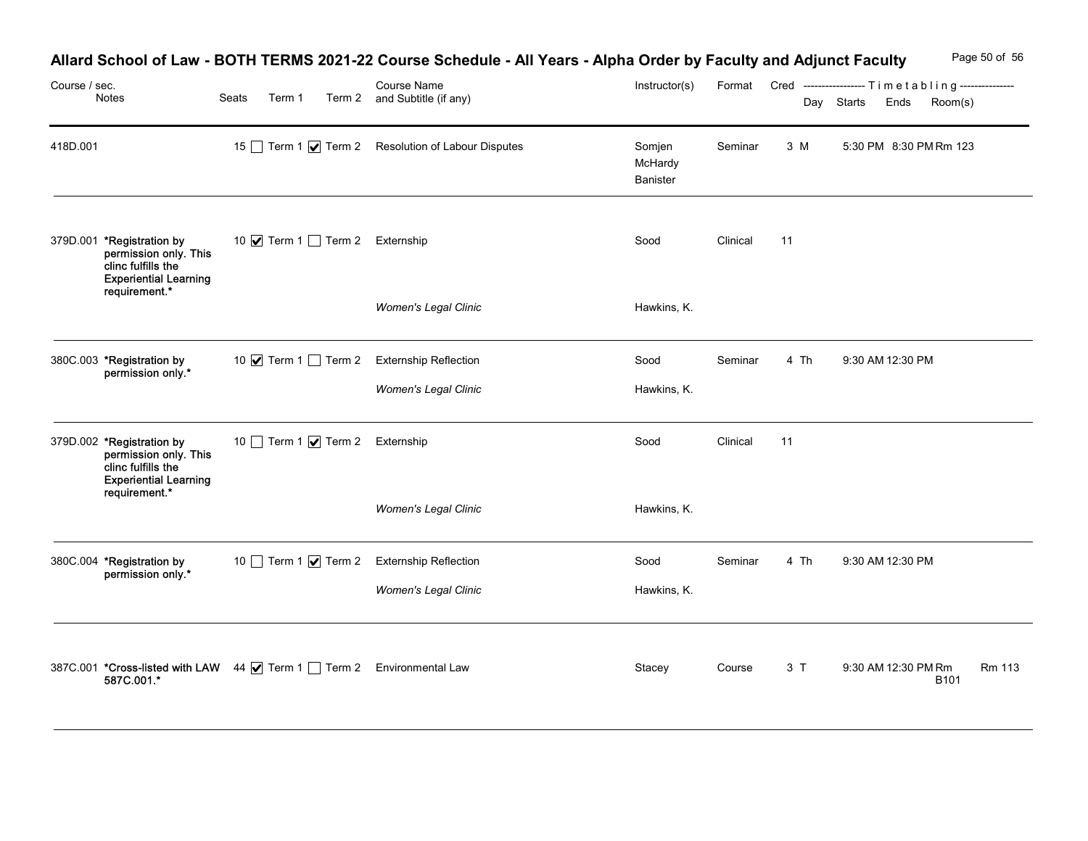|               |                                                                                                                           |                                                                                                        |                                                                                                                                                                          |                               |          |      | Page 50 of 56                                                                              |
|---------------|---------------------------------------------------------------------------------------------------------------------------|--------------------------------------------------------------------------------------------------------|--------------------------------------------------------------------------------------------------------------------------------------------------------------------------|-------------------------------|----------|------|--------------------------------------------------------------------------------------------|
| Course / sec. | Notes                                                                                                                     | Seats<br>Term 1                                                                                        | Allard School of Law - BOTH TERMS 2021-22 Course Schedule - All Years - Alpha Order by Faculty and Adjunct Faculty<br><b>Course Name</b><br>Term 2 and Subtitle (if any) | Instructor(s)                 |          |      | Format Cred ----------------- Timetabling ---------------<br>Day Starts<br>Room(s)<br>Ends |
| 418D.001      |                                                                                                                           |                                                                                                        | 15 Term 1 <b>V</b> Term 2 Resolution of Labour Disputes                                                                                                                  | Somjen<br>McHardy<br>Banister | Seminar  | 3 M  | 5:30 PM 8:30 PM Rm 123                                                                     |
|               | 379D.001 *Registration by<br>permission only. This<br>clinc fulfills the<br><b>Experiential Learning</b><br>requirement.* | 10 Ø Term 1 □ Term 2 Externship                                                                        |                                                                                                                                                                          | Sood                          | Clinical | 11   |                                                                                            |
|               |                                                                                                                           |                                                                                                        | Women's Legal Clinic                                                                                                                                                     | Hawkins, K.                   |          |      |                                                                                            |
|               | 380C.003 *Registration by<br>*.permission only                                                                            | 10 √ Term 1 □ Term 2 Externship Reflection                                                             | Women's Legal Clinic                                                                                                                                                     | Sood<br>Hawkins, K.           | Seminar  | 4 Th | 9:30 AM 12:30 PM                                                                           |
|               | 379D.002 *Registration by<br>permission only. This<br>clinc fulfills the<br><b>Experiential Learning</b>                  | 10 Term 1 Ø Term 2 Externship                                                                          |                                                                                                                                                                          | Sood                          | Clinical | 11   |                                                                                            |
|               | requirement.*                                                                                                             |                                                                                                        | Women's Legal Clinic                                                                                                                                                     | Hawkins, K.                   |          |      |                                                                                            |
|               | 380C.004 *Registration by<br>permission only.*                                                                            | 10 Term 1 Ø Term 2 Externship Reflection                                                               | Women's Legal Clinic                                                                                                                                                     | Sood<br>Hawkins, K.           | Seminar  | 4 Th | 9:30 AM 12:30 PM                                                                           |
|               |                                                                                                                           | 387C.001 <b>*Cross-listed with LAW</b> 44 <b>Ø</b> Term 1 <b>D</b> Term 2 Environmental Law 587C.001.* |                                                                                                                                                                          | Stacey                        | Course   | 3T   | 9:30 AM 12:30 PM Rm<br><b>Rm 113</b><br><b>B101</b>                                        |

# Allard School of Law - BOTH TERMS 2021-22 Course Schedule - All Years - Alpha Order by Faculty and Adjunct Faculty Page 50 of 56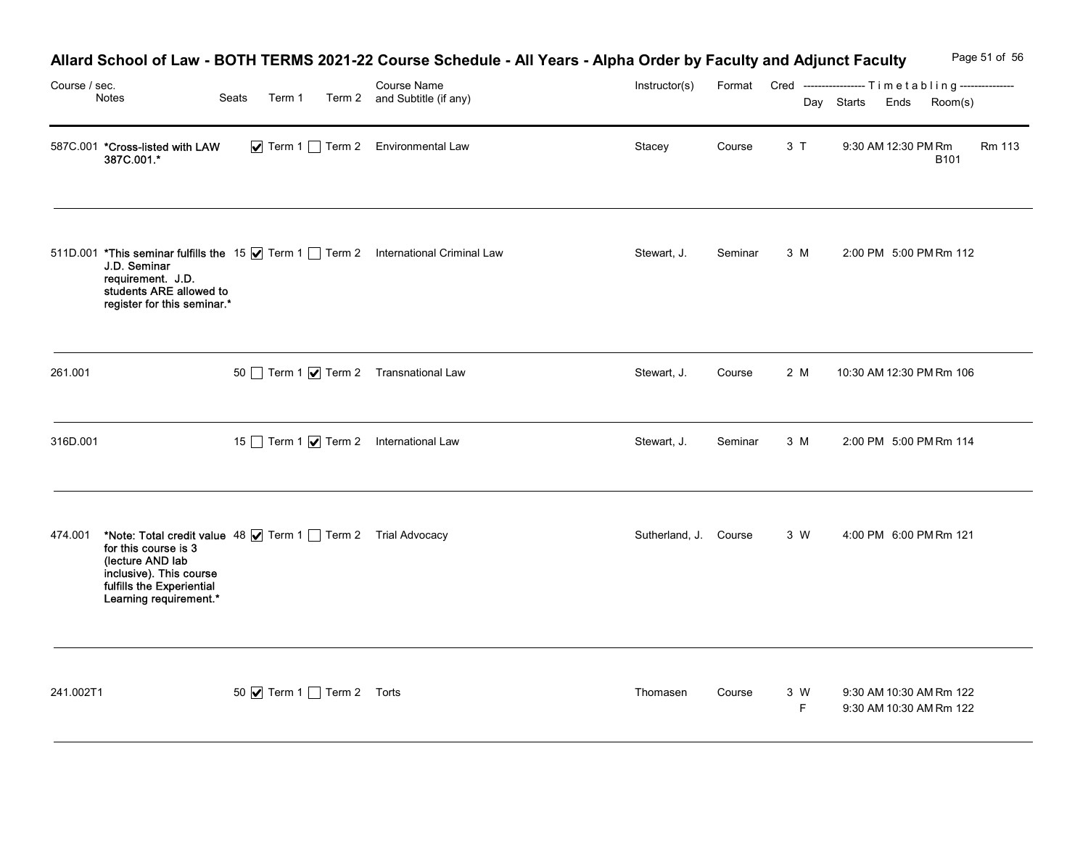| Course / sec. |                                                                                                                                                                                                   |                          | Allard School of Law - BOTH TERMS 2021-22 Course Schedule - All Years - Alpha Order by Faculty and Adjunct Faculty<br><b>Course Name</b> | Instructor(s)         |         |                    | Format Cred ----------------- Timetabling--------------- | Page 51 of 56 |
|---------------|---------------------------------------------------------------------------------------------------------------------------------------------------------------------------------------------------|--------------------------|------------------------------------------------------------------------------------------------------------------------------------------|-----------------------|---------|--------------------|----------------------------------------------------------|---------------|
|               | Notes<br>587C.001 *Cross-listed with LAW                                                                                                                                                          | Seats<br>Term 1          | Term 2 and Subtitle (if any)<br>$\triangleright$ Term 1 $\square$ Term 2 Environmental Law                                               | Stacey                | Course  | 3T                 | Day Starts<br>Room(s)<br>Ends<br>9:30 AM 12:30 PM Rm     | Rm 113        |
|               | 387C.001.*                                                                                                                                                                                        |                          |                                                                                                                                          |                       |         |                    | <b>B101</b>                                              |               |
|               | J.D. Seminar<br>requirement. J.D.<br>students ARE allowed to<br>register for this seminar.*                                                                                                       |                          | 511D.001 *This seminar fulfills the 15   Term 1   Term 2 International Criminal Law                                                      | Stewart, J.           | Seminar | 3 M                | 2:00 PM 5:00 PM Rm 112                                   |               |
| 261.001       |                                                                                                                                                                                                   |                          | 50 Term 1 7 Term 2 Transnational Law                                                                                                     | Stewart, J.           | Course  | 2 M                | 10:30 AM 12:30 PM Rm 106                                 |               |
| 316D.001      |                                                                                                                                                                                                   |                          | 15 Term 1 <b>V</b> Term 2 International Law                                                                                              | Stewart, J.           | Seminar | 3 M                | 2:00 PM 5:00 PM Rm 114                                   |               |
|               | 474.001 *Note: Total credit value 48   Term 1 Term 2 Trial Advocacy<br>for this course is 3<br>(lecture AND lab<br>inclusive). This course<br>fulfills the Experiential<br>Learning requirement.* |                          |                                                                                                                                          | Sutherland, J. Course |         | 3 W                | 4:00 PM 6:00 PM Rm 121                                   |               |
| 241.002T1     |                                                                                                                                                                                                   | 50 Ø Term 1 Term 2 Torts |                                                                                                                                          | Thomasen              | Course  | 3 W<br>$\mathsf F$ | 9:30 AM 10:30 AM Rm 122<br>9:30 AM 10:30 AM Rm 122       |               |

#### Allard School of Law - BOTH TERMS 2021-22 Course Schedule - All Years - Alpha Order by Faculty and Adjunct Faculty Page 51 of 56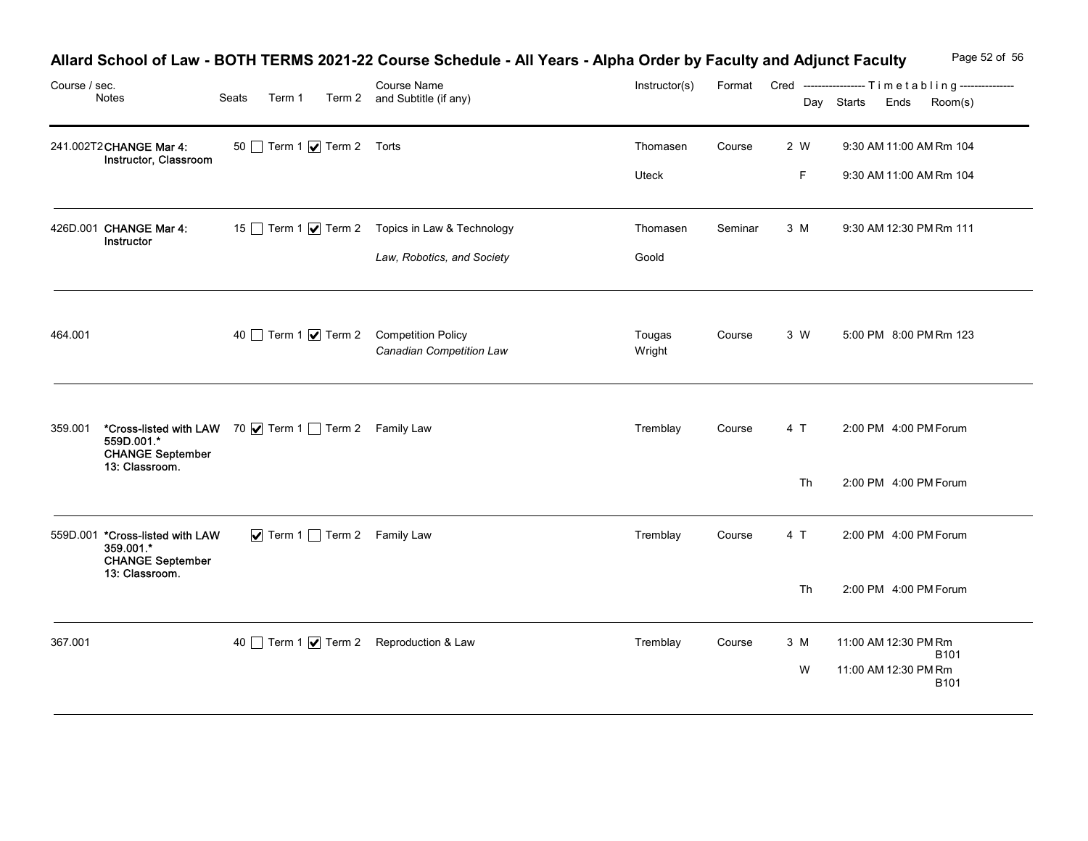| Course / sec. | Notes                                                                   | Seats<br>Term 1                                      | Allard School of Law - BOTH TERMS 2021-22 Course Schedule - All Years - Alpha Order by Faculty and Adjunct Faculty<br>Course Name<br>Term 2 and Subtitle (if any) | Instructor(s)     | Format  |           | Page 52 of 56<br>Cred ----------------- Timetabling---------------<br>Day Starts<br>Ends<br>Room(s) |
|---------------|-------------------------------------------------------------------------|------------------------------------------------------|-------------------------------------------------------------------------------------------------------------------------------------------------------------------|-------------------|---------|-----------|-----------------------------------------------------------------------------------------------------|
|               | 241.002T2CHANGE Mar 4:<br>Instructor, Classroom                         | 50 Term 1 7 Term 2 Torts                             |                                                                                                                                                                   | Thomasen<br>Uteck | Course  | 2 W<br>F  | 9:30 AM 11:00 AM Rm 104<br>9:30 AM 11:00 AM Rm 104                                                  |
|               | 426D.001 CHANGE Mar 4:<br>Instructor                                    |                                                      | 15 Term 1 √ Term 2 Topics in Law & Technology<br>Law, Robotics, and Society                                                                                       | Thomasen<br>Goold | Seminar | 3 M       | 9:30 AM 12:30 PM Rm 111                                                                             |
| 464.001       |                                                                         | 40 Term 1 7 Term 2 Competition Policy                | Canadian Competition Law                                                                                                                                          | Tougas<br>Wright  | Course  | 3 W       | 5:00 PM 8:00 PM Rm 123                                                                              |
| 359.001       | 559D.001.*<br><b>CHANGE September</b><br>13: Classroom.                 | *Cross-listed with LAW 70 V Term 1 Term 2 Family Law |                                                                                                                                                                   | Tremblay          | Course  | 4 T       | 2:00 PM 4:00 PM Forum                                                                               |
|               | 559D.001 *Cross-listed with LAW<br>359.001.*<br><b>CHANGE September</b> | $\triangledown$ Term 1 Term 2 Family Law             |                                                                                                                                                                   | Tremblay          | Course  | Th<br>4 T | 2:00 PM 4:00 PM Forum<br>2:00 PM 4:00 PM Forum                                                      |
|               | 13: Classroom.                                                          |                                                      |                                                                                                                                                                   |                   |         | Th        | 2:00 PM 4:00 PM Forum                                                                               |
| 367.001       |                                                                         | 40 Term 1 7 Term 2 Reproduction & Law                |                                                                                                                                                                   | Tremblay          | Course  | 3 M<br>W  | 11:00 AM 12:30 PM Rm<br>B101<br>11:00 AM 12:30 PM Rm<br><b>B101</b>                                 |

# Allard School of Law - BOTH TERMS 2021-22 Course Schedule - All Years - Alpha Order by Faculty and Adjunct Faculty Page 52 of 56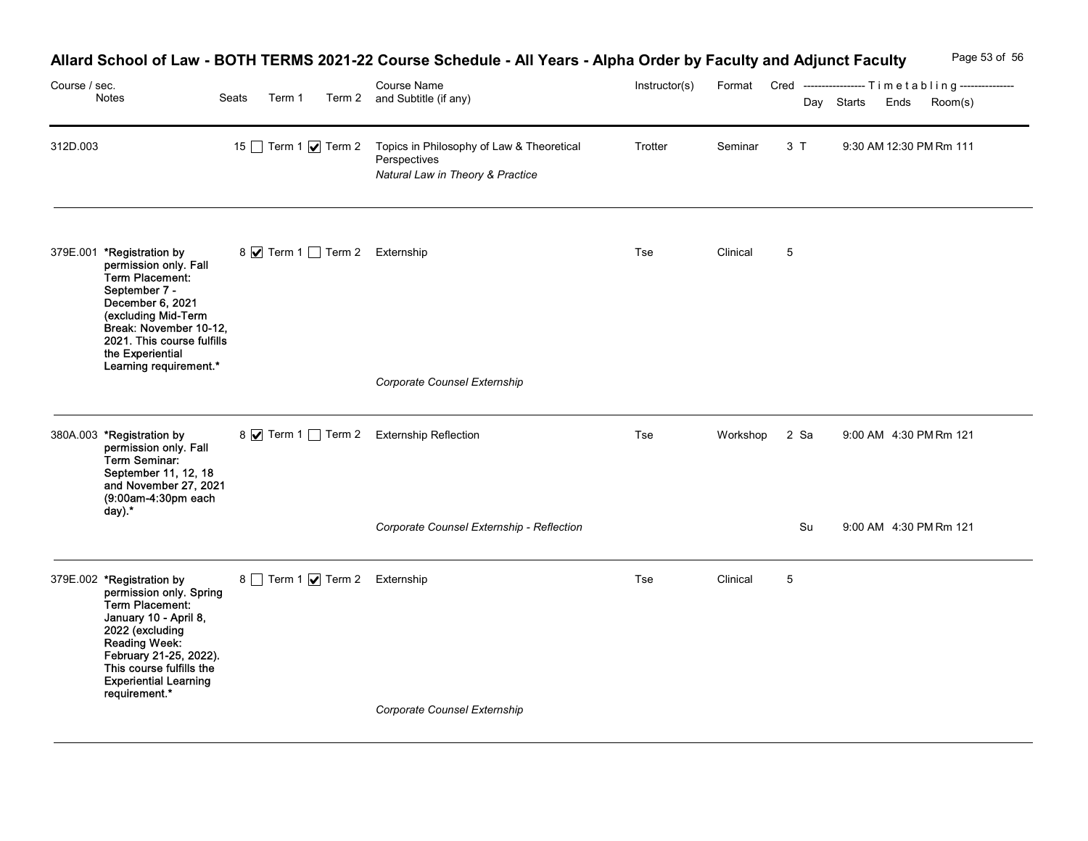| Course / sec. | Notes                                                                                                                                                                                                                                       | Seats | Term 1 |                             | Allard School of Law - BOTH TERMS 2021-22 Course Schedule - All Years - Alpha Order by Faculty and Adjunct Faculty<br>Course Name<br>Term 2 and Subtitle (if any) | Instructor(s) |               |                 | Day Starts | Format Cred -----------------Timetabling---------------<br>Ends<br>Room(s) | Page 53 of 56 |
|---------------|---------------------------------------------------------------------------------------------------------------------------------------------------------------------------------------------------------------------------------------------|-------|--------|-----------------------------|-------------------------------------------------------------------------------------------------------------------------------------------------------------------|---------------|---------------|-----------------|------------|----------------------------------------------------------------------------|---------------|
| 312D.003      |                                                                                                                                                                                                                                             |       |        | 15 Term 1 $\sqrt{ }$ Term 2 | Topics in Philosophy of Law & Theoretical<br>Perspectives<br>Natural Law in Theory & Practice                                                                     | Trotter       | Seminar       | 3T              |            | 9:30 AM 12:30 PM Rm 111                                                    |               |
|               | 379E.001 *Registration by<br>permission only. Fall<br>Term Placement:<br>September 7 -<br>December 6, 2021<br>(excluding Mid-Term<br>Break: November 10-12,<br>2021. This course fulfills<br>the Experiential<br>Learning requirement.*     |       |        |                             | 8 √ Term 1 1 Term 2 Externship<br>Corporate Counsel Externship                                                                                                    | Tse           | Clinical      | 5               |            |                                                                            |               |
|               | 380A.003 *Registration by<br>permission only. Fall<br>Term Seminar:<br>September 11, 12, 18<br>and November 27, 2021<br>(9:00am-4:30pm each<br>$day)$ .                                                                                     |       |        |                             | 8 V Term 1 Term 2 Externship Reflection                                                                                                                           | Tse           | Workshop 2 Sa |                 |            | 9:00 AM 4:30 PM Rm 121                                                     |               |
|               |                                                                                                                                                                                                                                             |       |        |                             | Corporate Counsel Externship - Reflection                                                                                                                         |               |               | Su              |            | 9:00 AM 4:30 PM Rm 121                                                     |               |
|               | 379E.002 *Registration by<br>permission only. Spring<br>Term Placement:<br>January 10 - April 8,<br>2022 (excluding<br>Reading Week:<br>February 21-25, 2022).<br>This course fulfills the<br><b>Experiential Learning</b><br>requirement.* |       |        |                             | 8 Term 1 <b>V</b> Term 2 Externship                                                                                                                               | Tse           | Clinical      | $5\phantom{.0}$ |            |                                                                            |               |
|               |                                                                                                                                                                                                                                             |       |        |                             | Corporate Counsel Externship                                                                                                                                      |               |               |                 |            |                                                                            |               |

## Allard School of Law - BOTH TERMS 2021-22 Course Schedule - All Years - Alpha Order by Faculty and Adjunct Faculty Page 53 of 56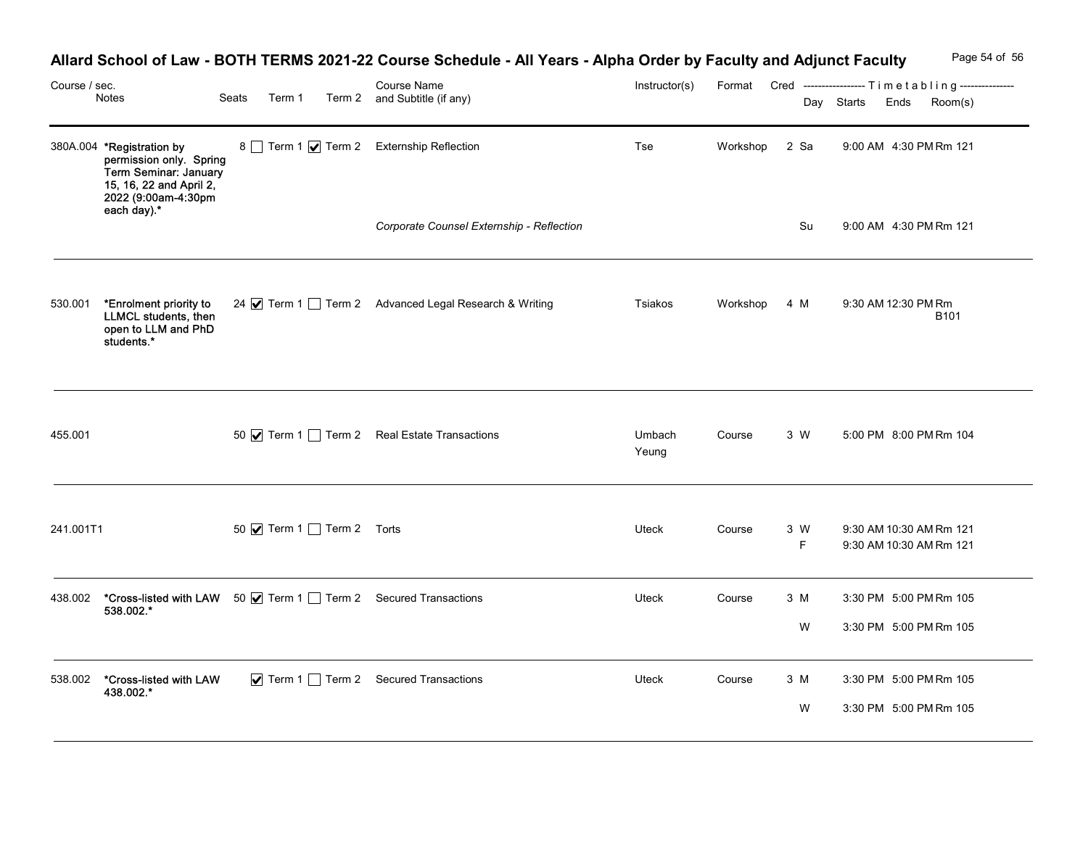|               |                                                                                                                                 |       |                                 | Allard School of Law - BOTH TERMS 2021-22 Course Schedule - All Years - Alpha Order by Faculty and Adjunct Faculty |                 |               |                    | Page 54 of 56                                                                         |
|---------------|---------------------------------------------------------------------------------------------------------------------------------|-------|---------------------------------|--------------------------------------------------------------------------------------------------------------------|-----------------|---------------|--------------------|---------------------------------------------------------------------------------------|
| Course / sec. | Notes                                                                                                                           | Seats | Term 1                          | Course Name<br>Term 2 and Subtitle (if any)                                                                        | Instructor(s)   |               |                    | Format Cred -----------------Timetabling---------------<br>Day Starts Ends<br>Room(s) |
|               | 380A.004 *Registration by<br>permission only. Spring<br>Term Seminar: January<br>15, 16, 22 and April 2,<br>2022 (9:00am-4:30pm |       |                                 | 8 Term 1 √ Term 2 Externship Reflection                                                                            | Tse             | Workshop 2 Sa |                    | 9:00 AM 4:30 PM Rm 121                                                                |
|               | each day).*                                                                                                                     |       |                                 | Corporate Counsel Externship - Reflection                                                                          |                 |               | Su                 | 9:00 AM 4:30 PM Rm 121                                                                |
| 530.001       | *Enrolment priority to<br>LLMCL students, then<br>open to LLM and PhD<br>students.*                                             |       |                                 | 24 Ø Term 1 D Term 2 Advanced Legal Research & Writing                                                             | Tsiakos         | Workshop 4 M  |                    | 9:30 AM 12:30 PM Rm<br><b>B101</b>                                                    |
| 455.001       |                                                                                                                                 |       |                                 | 50 V Term 1 Term 2 Real Estate Transactions                                                                        | Umbach<br>Yeung | Course        | 3 W                | 5:00 PM 8:00 PM Rm 104                                                                |
| 241.001T1     |                                                                                                                                 |       | 50 <b>v</b> Term 1 Term 2 Torts |                                                                                                                    | Uteck           | Course        | 3 W<br>$\mathsf F$ | 9:30 AM 10:30 AM Rm 121<br>9:30 AM 10:30 AM Rm 121                                    |
|               | 438.002 <b>*Cross-listed with LAW</b> 50 <b>Ø</b> Term 1 <b>D</b> Term 2 Secured Transactions 538.002. <sup>*</sup>             |       |                                 |                                                                                                                    | Uteck           | Course        | 3 M                | 3:30 PM 5:00 PM Rm 105                                                                |
|               |                                                                                                                                 |       |                                 |                                                                                                                    |                 |               | W                  | 3:30 PM 5:00 PM Rm 105                                                                |
| 538.002       | *Cross-listed with LAW<br>438.002.*                                                                                             |       |                                 | $\blacktriangleright$ Term 1 $\Box$ Term 2 Secured Transactions                                                    | Uteck           | Course        | 3 M                | 3:30 PM 5:00 PM Rm 105                                                                |
|               |                                                                                                                                 |       |                                 |                                                                                                                    |                 |               | W                  | 3:30 PM 5:00 PM Rm 105                                                                |

## Allard School of Law - BOTH TERMS 2021-22 Course Schedule - All Years - Alpha Order by Faculty and Adjunct Faculty Page 54 of 56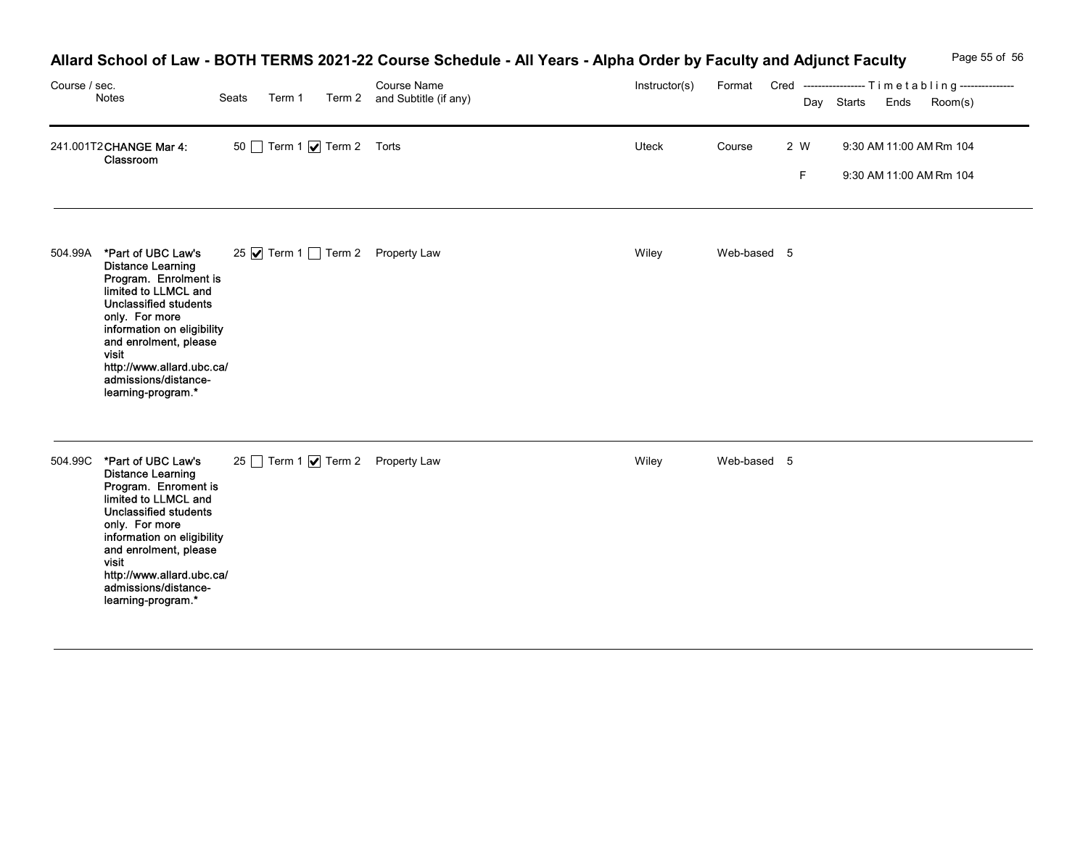## Allard School of Law - BOTH TERMS 2021-22 Course Schedule - All Years - Alpha Order by Faculty and Adjunct Faculty Page 55 of 56

| Course / sec. | Notes                                                                                                                                                                                                                                                                                               | Seats |                          | Allard School of Law - BOTH TERMS 2021-22 Course Schedule - All Years - Alpha Order by Faculty and Adjunct Faculty<br>Course Name<br>Term 1 Term 2 and Subtitle (if any) | Instructor(s) |             |                    | Format Cred ----------------- Timetabling---------------<br>Day Starts Ends | Page 55 of 56<br>Room(s) |
|---------------|-----------------------------------------------------------------------------------------------------------------------------------------------------------------------------------------------------------------------------------------------------------------------------------------------------|-------|--------------------------|--------------------------------------------------------------------------------------------------------------------------------------------------------------------------|---------------|-------------|--------------------|-----------------------------------------------------------------------------|--------------------------|
|               | 241.001T2 CHANGE Mar 4:<br>Classroom                                                                                                                                                                                                                                                                |       | 50 Term 1 7 Term 2 Torts |                                                                                                                                                                          | Uteck         | Course      | 2 W<br>$\mathsf F$ | 9:30 AM 11:00 AM Rm 104<br>9:30 AM 11:00 AM Rm 104                          |                          |
| 504.99A       | *Part of UBC Law's<br><b>Distance Learning</b><br>Program. Enrolment is<br>limited to LLMCL and<br><b>Unclassified students</b><br>only. For more<br>information on eligibility<br>and enrolment, please<br>visit<br>http://www.allard.ubc.ca/<br>admissions/distance-<br>learning-program.*        |       |                          | 25 Ø Term 1 Term 2 Property Law                                                                                                                                          | Wiley         | Web-based 5 |                    |                                                                             |                          |
|               | 504.99C *Part of UBC Law's<br><b>Distance Learning</b><br>Program. Enroment is<br>limited to LLMCL and<br><b>Unclassified students</b><br>only. For more<br>information on eligibility<br>and enrolment, please<br>visit<br>http://www.allard.ubc.ca/<br>admissions/distance-<br>learning-program.* |       |                          | 25 Term 1 Ø Term 2 Property Law                                                                                                                                          | Wiley         | Web-based 5 |                    |                                                                             |                          |